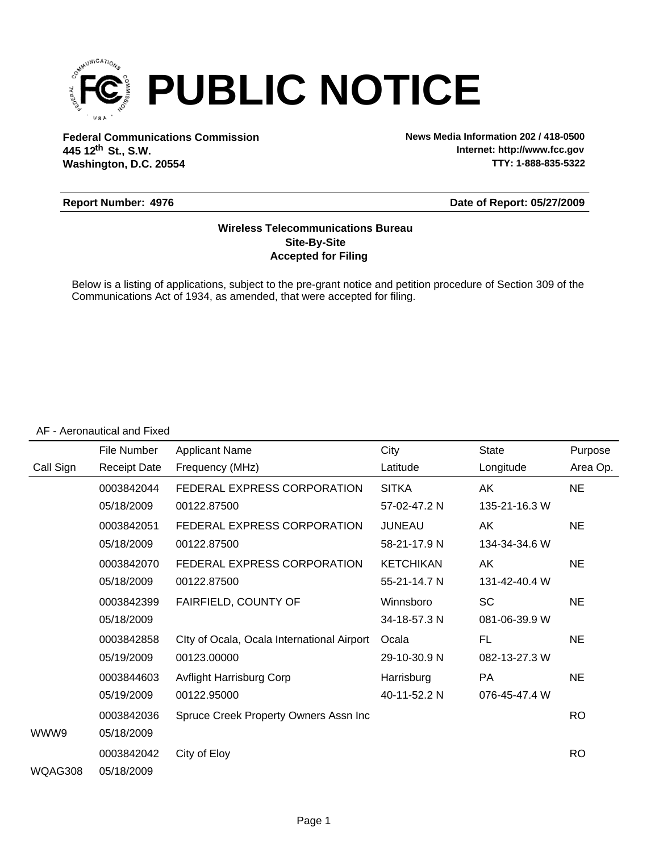

**Federal Communications Commission News Media Information 202 / 418-0500 Washington, D.C. 20554 th 445 12 St., S.W.**

**Internet: http://www.fcc.gov TTY: 1-888-835-5322**

#### **Report Number: 4976**

**Date of Report: 05/27/2009**

### **Accepted for Filing Site-By-Site Wireless Telecommunications Bureau**

Below is a listing of applications, subject to the pre-grant notice and petition procedure of Section 309 of the Communications Act of 1934, as amended, that were accepted for filing.

#### AF - Aeronautical and Fixed

|           | File Number         | <b>Applicant Name</b>                      | City             | <b>State</b>  | Purpose   |
|-----------|---------------------|--------------------------------------------|------------------|---------------|-----------|
| Call Sign | <b>Receipt Date</b> | Frequency (MHz)                            | Latitude         | Longitude     | Area Op.  |
|           | 0003842044          | FEDERAL EXPRESS CORPORATION                | <b>SITKA</b>     | AK            | <b>NE</b> |
|           | 05/18/2009          | 00122.87500                                | 57-02-47.2 N     | 135-21-16.3 W |           |
|           | 0003842051          | FEDERAL EXPRESS CORPORATION                | <b>JUNEAU</b>    | AK            | <b>NE</b> |
|           | 05/18/2009          | 00122.87500                                | 58-21-17.9 N     | 134-34-34.6 W |           |
|           | 0003842070          | FEDERAL EXPRESS CORPORATION                | <b>KETCHIKAN</b> | AK            | <b>NE</b> |
|           | 05/18/2009          | 00122.87500                                | 55-21-14.7 N     | 131-42-40.4 W |           |
|           | 0003842399          | FAIRFIELD, COUNTY OF                       | Winnsboro        | <b>SC</b>     | <b>NE</b> |
|           | 05/18/2009          |                                            | 34-18-57.3 N     | 081-06-39.9 W |           |
|           | 0003842858          | Clty of Ocala, Ocala International Airport | Ocala            | FL            | <b>NE</b> |
|           | 05/19/2009          | 00123.00000                                | 29-10-30.9 N     | 082-13-27.3 W |           |
|           | 0003844603          | Avflight Harrisburg Corp                   | Harrisburg       | <b>PA</b>     | <b>NE</b> |
|           | 05/19/2009          | 00122.95000                                | 40-11-52.2 N     | 076-45-47.4 W |           |
|           | 0003842036          | Spruce Creek Property Owners Assn Inc      |                  |               | <b>RO</b> |
| WWW9      | 05/18/2009          |                                            |                  |               |           |
|           | 0003842042          | City of Eloy                               |                  |               | <b>RO</b> |
| WQAG308   | 05/18/2009          |                                            |                  |               |           |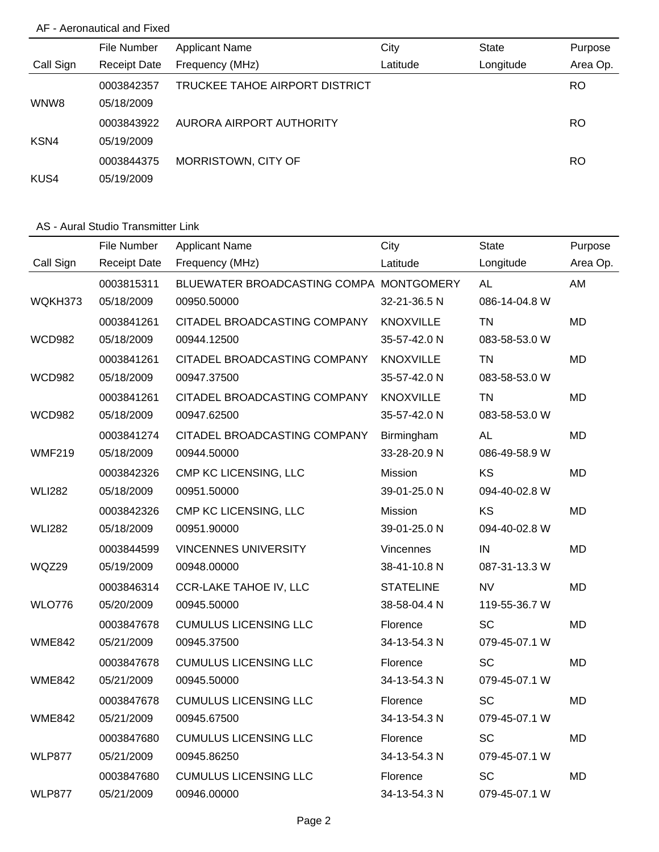## AF - Aeronautical and Fixed

|           | File Number         | <b>Applicant Name</b>          | City     | <b>State</b> | Purpose   |
|-----------|---------------------|--------------------------------|----------|--------------|-----------|
| Call Sign | <b>Receipt Date</b> | Frequency (MHz)                | Latitude | Longitude    | Area Op.  |
|           | 0003842357          | TRUCKEE TAHOE AIRPORT DISTRICT |          |              | <b>RO</b> |
| WNW8      | 05/18/2009          |                                |          |              |           |
|           | 0003843922          | AURORA AIRPORT AUTHORITY       |          |              | RO.       |
| KSN4      | 05/19/2009          |                                |          |              |           |
|           | 0003844375          | MORRISTOWN, CITY OF            |          |              | RO.       |
| KUS4      | 05/19/2009          |                                |          |              |           |

### AS - Aural Studio Transmitter Link

|               | File Number         | <b>Applicant Name</b>                   | City             | <b>State</b>  | Purpose   |
|---------------|---------------------|-----------------------------------------|------------------|---------------|-----------|
| Call Sign     | <b>Receipt Date</b> | Frequency (MHz)                         | Latitude         | Longitude     | Area Op.  |
|               | 0003815311          | BLUEWATER BROADCASTING COMPA MONTGOMERY |                  | <b>AL</b>     | AM        |
| WQKH373       | 05/18/2009          | 00950.50000                             | 32-21-36.5 N     | 086-14-04.8 W |           |
|               | 0003841261          | CITADEL BROADCASTING COMPANY            | <b>KNOXVILLE</b> | <b>TN</b>     | <b>MD</b> |
| <b>WCD982</b> | 05/18/2009          | 00944.12500                             | 35-57-42.0 N     | 083-58-53.0 W |           |
|               | 0003841261          | CITADEL BROADCASTING COMPANY            | <b>KNOXVILLE</b> | <b>TN</b>     | <b>MD</b> |
| <b>WCD982</b> | 05/18/2009          | 00947.37500                             | 35-57-42.0 N     | 083-58-53.0 W |           |
|               | 0003841261          | CITADEL BROADCASTING COMPANY            | <b>KNOXVILLE</b> | <b>TN</b>     | <b>MD</b> |
| <b>WCD982</b> | 05/18/2009          | 00947.62500                             | 35-57-42.0 N     | 083-58-53.0 W |           |
|               | 0003841274          | CITADEL BROADCASTING COMPANY            | Birmingham       | <b>AL</b>     | <b>MD</b> |
| <b>WMF219</b> | 05/18/2009          | 00944.50000                             | 33-28-20.9 N     | 086-49-58.9 W |           |
|               | 0003842326          | CMP KC LICENSING, LLC                   | Mission          | <b>KS</b>     | <b>MD</b> |
| <b>WLI282</b> | 05/18/2009          | 00951.50000                             | 39-01-25.0 N     | 094-40-02.8 W |           |
|               | 0003842326          | CMP KC LICENSING, LLC                   | Mission          | KS            | <b>MD</b> |
| <b>WLI282</b> | 05/18/2009          | 00951.90000                             | 39-01-25.0 N     | 094-40-02.8 W |           |
|               | 0003844599          | <b>VINCENNES UNIVERSITY</b>             | Vincennes        | IN            | <b>MD</b> |
| WQZ29         | 05/19/2009          | 00948.00000                             | 38-41-10.8 N     | 087-31-13.3 W |           |
|               | 0003846314          | <b>CCR-LAKE TAHOE IV, LLC</b>           | <b>STATELINE</b> | <b>NV</b>     | <b>MD</b> |
| <b>WLO776</b> | 05/20/2009          | 00945.50000                             | 38-58-04.4 N     | 119-55-36.7 W |           |
|               | 0003847678          | <b>CUMULUS LICENSING LLC</b>            | Florence         | <b>SC</b>     | <b>MD</b> |
| <b>WME842</b> | 05/21/2009          | 00945.37500                             | 34-13-54.3 N     | 079-45-07.1 W |           |
|               | 0003847678          | <b>CUMULUS LICENSING LLC</b>            | Florence         | SC            | <b>MD</b> |
| <b>WME842</b> | 05/21/2009          | 00945.50000                             | 34-13-54.3 N     | 079-45-07.1 W |           |
|               | 0003847678          | <b>CUMULUS LICENSING LLC</b>            | Florence         | SC            | <b>MD</b> |
| <b>WME842</b> | 05/21/2009          | 00945.67500                             | 34-13-54.3 N     | 079-45-07.1 W |           |
|               | 0003847680          | <b>CUMULUS LICENSING LLC</b>            | Florence         | SC            | <b>MD</b> |
| <b>WLP877</b> | 05/21/2009          | 00945.86250                             | 34-13-54.3 N     | 079-45-07.1 W |           |
|               | 0003847680          | <b>CUMULUS LICENSING LLC</b>            | Florence         | SC            | MD        |
| <b>WLP877</b> | 05/21/2009          | 00946.00000                             | 34-13-54.3 N     | 079-45-07.1 W |           |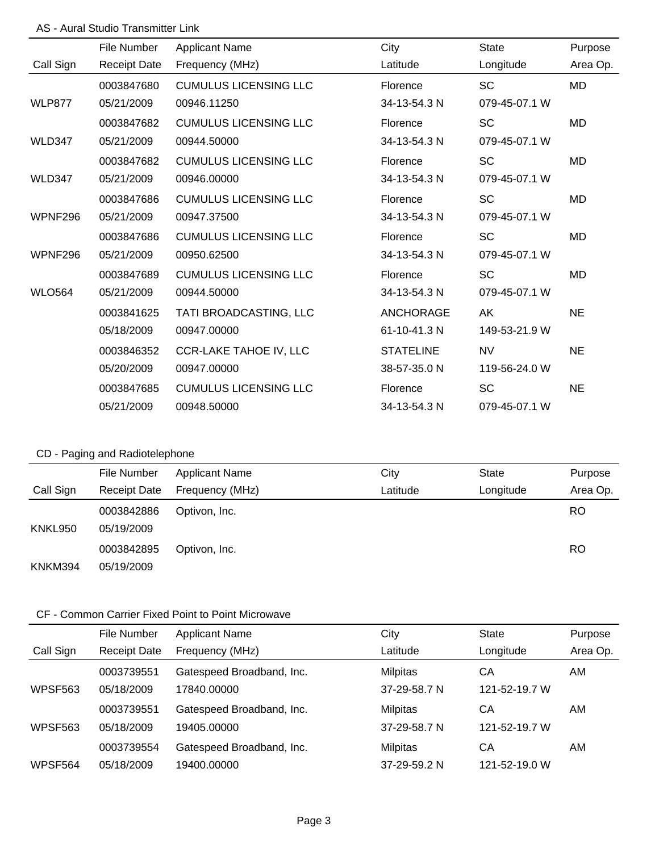## AS - Aural Studio Transmitter Link

|                | <b>File Number</b>  | <b>Applicant Name</b>         | City             | <b>State</b>  | Purpose   |
|----------------|---------------------|-------------------------------|------------------|---------------|-----------|
| Call Sign      | <b>Receipt Date</b> | Frequency (MHz)               | Latitude         | Longitude     | Area Op.  |
|                | 0003847680          | <b>CUMULUS LICENSING LLC</b>  | Florence         | <b>SC</b>     | <b>MD</b> |
| <b>WLP877</b>  | 05/21/2009          | 00946.11250                   | 34-13-54.3 N     | 079-45-07.1 W |           |
|                | 0003847682          | <b>CUMULUS LICENSING LLC</b>  | Florence         | <b>SC</b>     | <b>MD</b> |
| <b>WLD347</b>  | 05/21/2009          | 00944.50000                   | 34-13-54.3 N     | 079-45-07.1 W |           |
|                | 0003847682          | <b>CUMULUS LICENSING LLC</b>  | Florence         | <b>SC</b>     | <b>MD</b> |
| WLD347         | 05/21/2009          | 00946.00000                   | 34-13-54.3 N     | 079-45-07.1 W |           |
|                | 0003847686          | <b>CUMULUS LICENSING LLC</b>  | Florence         | <b>SC</b>     | <b>MD</b> |
| <b>WPNF296</b> | 05/21/2009          | 00947.37500                   | 34-13-54.3 N     | 079-45-07.1 W |           |
|                | 0003847686          | <b>CUMULUS LICENSING LLC</b>  | Florence         | <b>SC</b>     | <b>MD</b> |
| WPNF296        | 05/21/2009          | 00950.62500                   | 34-13-54.3 N     | 079-45-07.1 W |           |
|                | 0003847689          | <b>CUMULUS LICENSING LLC</b>  | Florence         | <b>SC</b>     | <b>MD</b> |
| <b>WLO564</b>  | 05/21/2009          | 00944.50000                   | 34-13-54.3 N     | 079-45-07.1 W |           |
|                | 0003841625          | TATI BROADCASTING, LLC        | <b>ANCHORAGE</b> | AK            | <b>NE</b> |
|                | 05/18/2009          | 00947.00000                   | 61-10-41.3 N     | 149-53-21.9 W |           |
|                | 0003846352          | <b>CCR-LAKE TAHOE IV, LLC</b> | <b>STATELINE</b> | <b>NV</b>     | <b>NE</b> |
|                | 05/20/2009          | 00947.00000                   | 38-57-35.0 N     | 119-56-24.0 W |           |
|                | 0003847685          | <b>CUMULUS LICENSING LLC</b>  | Florence         | <b>SC</b>     | <b>NE</b> |
|                | 05/21/2009          | 00948.50000                   | 34-13-54.3 N     | 079-45-07.1 W |           |

# CD - Paging and Radiotelephone

|           | File Number         | <b>Applicant Name</b> | City     | <b>State</b> | Purpose   |
|-----------|---------------------|-----------------------|----------|--------------|-----------|
| Call Sign | <b>Receipt Date</b> | Frequency (MHz)       | Latitude | Longitude    | Area Op.  |
|           | 0003842886          | Optivon, Inc.         |          |              | <b>RO</b> |
| KNKL950   | 05/19/2009          |                       |          |              |           |
|           | 0003842895          | Optivon, Inc.         |          |              | <b>RO</b> |
| KNKM394   | 05/19/2009          |                       |          |              |           |

|                | File Number         | <b>Applicant Name</b>     | City            | <b>State</b>  | Purpose  |
|----------------|---------------------|---------------------------|-----------------|---------------|----------|
| Call Sign      | <b>Receipt Date</b> | Frequency (MHz)           | Latitude        | Longitude     | Area Op. |
|                | 0003739551          | Gatespeed Broadband, Inc. | <b>Milpitas</b> | CА            | AM.      |
| <b>WPSF563</b> | 05/18/2009          | 17840.00000               | 37-29-58.7 N    | 121-52-19.7 W |          |
|                | 0003739551          | Gatespeed Broadband, Inc. | <b>Milpitas</b> | CА            | AM.      |
| <b>WPSF563</b> | 05/18/2009          | 19405.00000               | 37-29-58.7 N    | 121-52-19.7 W |          |
|                | 0003739554          | Gatespeed Broadband, Inc. | Milpitas        | CА            | AM.      |
| WPSF564        | 05/18/2009          | 19400.00000               | 37-29-59.2 N    | 121-52-19.0 W |          |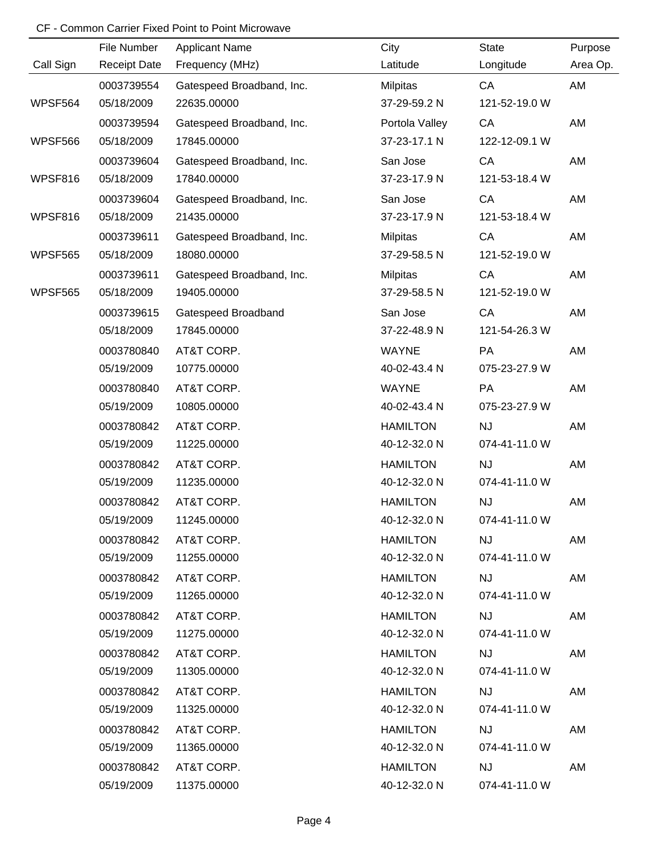|           | File Number         | <b>Applicant Name</b>     | City            | <b>State</b>  | Purpose  |
|-----------|---------------------|---------------------------|-----------------|---------------|----------|
| Call Sign | <b>Receipt Date</b> | Frequency (MHz)           | Latitude        | Longitude     | Area Op. |
|           | 0003739554          | Gatespeed Broadband, Inc. | <b>Milpitas</b> | CA            | AM       |
| WPSF564   | 05/18/2009          | 22635.00000               | 37-29-59.2 N    | 121-52-19.0 W |          |
|           | 0003739594          | Gatespeed Broadband, Inc. | Portola Valley  | CA            | AM       |
| WPSF566   | 05/18/2009          | 17845.00000               | 37-23-17.1 N    | 122-12-09.1 W |          |
|           | 0003739604          | Gatespeed Broadband, Inc. | San Jose        | CA            | AM       |
| WPSF816   | 05/18/2009          | 17840.00000               | 37-23-17.9 N    | 121-53-18.4 W |          |
|           | 0003739604          | Gatespeed Broadband, Inc. | San Jose        | CA            | AM       |
| WPSF816   | 05/18/2009          | 21435.00000               | 37-23-17.9 N    | 121-53-18.4 W |          |
|           | 0003739611          | Gatespeed Broadband, Inc. | <b>Milpitas</b> | CA            | AM       |
| WPSF565   | 05/18/2009          | 18080.00000               | 37-29-58.5 N    | 121-52-19.0 W |          |
|           | 0003739611          | Gatespeed Broadband, Inc. | <b>Milpitas</b> | CA            | AM       |
| WPSF565   | 05/18/2009          | 19405.00000               | 37-29-58.5 N    | 121-52-19.0 W |          |
|           | 0003739615          | Gatespeed Broadband       | San Jose        | CA            | AM       |
|           | 05/18/2009          | 17845.00000               | 37-22-48.9 N    | 121-54-26.3 W |          |
|           | 0003780840          | AT&T CORP.                | <b>WAYNE</b>    | PA            | AM       |
|           | 05/19/2009          | 10775.00000               | 40-02-43.4 N    | 075-23-27.9 W |          |
|           | 0003780840          | AT&T CORP.                | <b>WAYNE</b>    | PA            | AM       |
|           | 05/19/2009          | 10805.00000               | 40-02-43.4 N    | 075-23-27.9 W |          |
|           | 0003780842          | AT&T CORP.                | <b>HAMILTON</b> | NJ            | AM       |
|           | 05/19/2009          | 11225.00000               | 40-12-32.0 N    | 074-41-11.0 W |          |
|           | 0003780842          | AT&T CORP.                | <b>HAMILTON</b> | <b>NJ</b>     | AM       |
|           | 05/19/2009          | 11235.00000               | 40-12-32.0 N    | 074-41-11.0 W |          |
|           | 0003780842          | AT&T CORP.                | <b>HAMILTON</b> | <b>NJ</b>     | AM       |
|           | 05/19/2009          | 11245.00000               | 40-12-32.0 N    | 074-41-11.0 W |          |
|           | 0003780842          | AT&T CORP.                | <b>HAMILTON</b> | <b>NJ</b>     | AM       |
|           | 05/19/2009          | 11255.00000               | 40-12-32.0 N    | 074-41-11.0 W |          |
|           | 0003780842          | AT&T CORP.                | <b>HAMILTON</b> | <b>NJ</b>     | AM       |
|           | 05/19/2009          | 11265.00000               | 40-12-32.0 N    | 074-41-11.0 W |          |
|           | 0003780842          | AT&T CORP.                | <b>HAMILTON</b> | <b>NJ</b>     | AM       |
|           | 05/19/2009          | 11275.00000               | 40-12-32.0 N    | 074-41-11.0 W |          |
|           | 0003780842          | AT&T CORP.                | <b>HAMILTON</b> | <b>NJ</b>     | AM       |
|           | 05/19/2009          | 11305.00000               | 40-12-32.0 N    | 074-41-11.0 W |          |
|           | 0003780842          | AT&T CORP.                | <b>HAMILTON</b> | <b>NJ</b>     | AM       |
|           | 05/19/2009          | 11325.00000               | 40-12-32.0 N    | 074-41-11.0 W |          |
|           | 0003780842          | AT&T CORP.                | <b>HAMILTON</b> | <b>NJ</b>     | AM       |
|           | 05/19/2009          | 11365.00000               | 40-12-32.0 N    | 074-41-11.0 W |          |
|           | 0003780842          | AT&T CORP.                | <b>HAMILTON</b> | <b>NJ</b>     | AM       |
|           | 05/19/2009          | 11375.00000               | 40-12-32.0 N    | 074-41-11.0 W |          |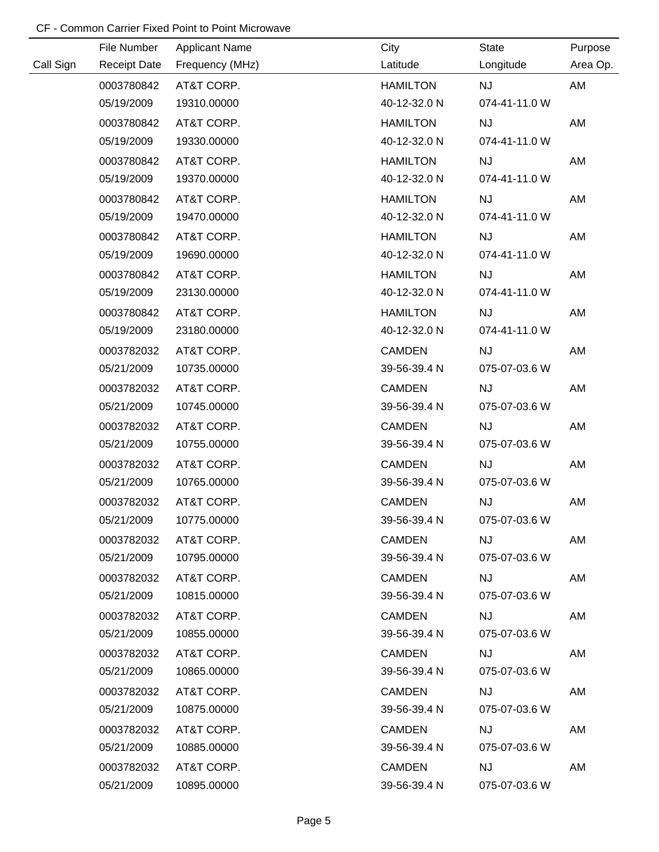|           | File Number         | <b>Applicant Name</b> | City            | State         | Purpose  |
|-----------|---------------------|-----------------------|-----------------|---------------|----------|
| Call Sign | <b>Receipt Date</b> | Frequency (MHz)       | Latitude        | Longitude     | Area Op. |
|           | 0003780842          | AT&T CORP.            | <b>HAMILTON</b> | <b>NJ</b>     | AM       |
|           | 05/19/2009          | 19310.00000           | 40-12-32.0 N    | 074-41-11.0 W |          |
|           | 0003780842          | AT&T CORP.            | <b>HAMILTON</b> | <b>NJ</b>     | AM       |
|           | 05/19/2009          | 19330.00000           | 40-12-32.0 N    | 074-41-11.0 W |          |
|           | 0003780842          | AT&T CORP.            | <b>HAMILTON</b> | <b>NJ</b>     | AM       |
|           | 05/19/2009          | 19370.00000           | 40-12-32.0 N    | 074-41-11.0 W |          |
|           | 0003780842          | AT&T CORP.            | <b>HAMILTON</b> | <b>NJ</b>     | AM       |
|           | 05/19/2009          | 19470.00000           | 40-12-32.0 N    | 074-41-11.0 W |          |
|           | 0003780842          | AT&T CORP.            | <b>HAMILTON</b> | <b>NJ</b>     | AM       |
|           | 05/19/2009          | 19690.00000           | 40-12-32.0 N    | 074-41-11.0 W |          |
|           | 0003780842          | AT&T CORP.            | <b>HAMILTON</b> | <b>NJ</b>     | AM       |
|           | 05/19/2009          | 23130.00000           | 40-12-32.0 N    | 074-41-11.0 W |          |
|           | 0003780842          | AT&T CORP.            | <b>HAMILTON</b> | <b>NJ</b>     | AM       |
|           | 05/19/2009          | 23180.00000           | 40-12-32.0 N    | 074-41-11.0 W |          |
|           | 0003782032          | AT&T CORP.            | <b>CAMDEN</b>   | <b>NJ</b>     | AM       |
|           | 05/21/2009          | 10735.00000           | 39-56-39.4 N    | 075-07-03.6 W |          |
|           | 0003782032          | AT&T CORP.            | <b>CAMDEN</b>   | <b>NJ</b>     | AM       |
|           | 05/21/2009          | 10745.00000           | 39-56-39.4 N    | 075-07-03.6 W |          |
|           | 0003782032          | AT&T CORP.            | <b>CAMDEN</b>   | NJ            | AM       |
|           | 05/21/2009          | 10755.00000           | 39-56-39.4 N    | 075-07-03.6 W |          |
|           | 0003782032          | AT&T CORP.            | <b>CAMDEN</b>   | NJ            | AM       |
|           | 05/21/2009          | 10765.00000           | 39-56-39.4 N    | 075-07-03.6 W |          |
|           | 0003782032          | AT&T CORP.            | <b>CAMDEN</b>   | NJ            | AM       |
|           | 05/21/2009          | 10775.00000           | 39-56-39.4 N    | 075-07-03.6 W |          |
|           | 0003782032          | AT&T CORP.            | <b>CAMDEN</b>   | <b>NJ</b>     | AM       |
|           | 05/21/2009          | 10795.00000           | 39-56-39.4 N    | 075-07-03.6 W |          |
|           | 0003782032          | AT&T CORP.            | <b>CAMDEN</b>   | <b>NJ</b>     | AM       |
|           | 05/21/2009          | 10815.00000           | 39-56-39.4 N    | 075-07-03.6 W |          |
|           | 0003782032          | AT&T CORP.            | <b>CAMDEN</b>   | <b>NJ</b>     | AM       |
|           | 05/21/2009          | 10855.00000           | 39-56-39.4 N    | 075-07-03.6 W |          |
|           | 0003782032          | AT&T CORP.            | <b>CAMDEN</b>   | <b>NJ</b>     | AM       |
|           | 05/21/2009          | 10865.00000           | 39-56-39.4 N    | 075-07-03.6 W |          |
|           | 0003782032          | AT&T CORP.            | <b>CAMDEN</b>   | <b>NJ</b>     | AM       |
|           | 05/21/2009          | 10875.00000           | 39-56-39.4 N    | 075-07-03.6 W |          |
|           | 0003782032          | AT&T CORP.            | <b>CAMDEN</b>   | <b>NJ</b>     | AM       |
|           | 05/21/2009          | 10885.00000           | 39-56-39.4 N    | 075-07-03.6 W |          |
|           | 0003782032          | AT&T CORP.            | <b>CAMDEN</b>   | <b>NJ</b>     | AM       |
|           | 05/21/2009          | 10895.00000           | 39-56-39.4 N    | 075-07-03.6 W |          |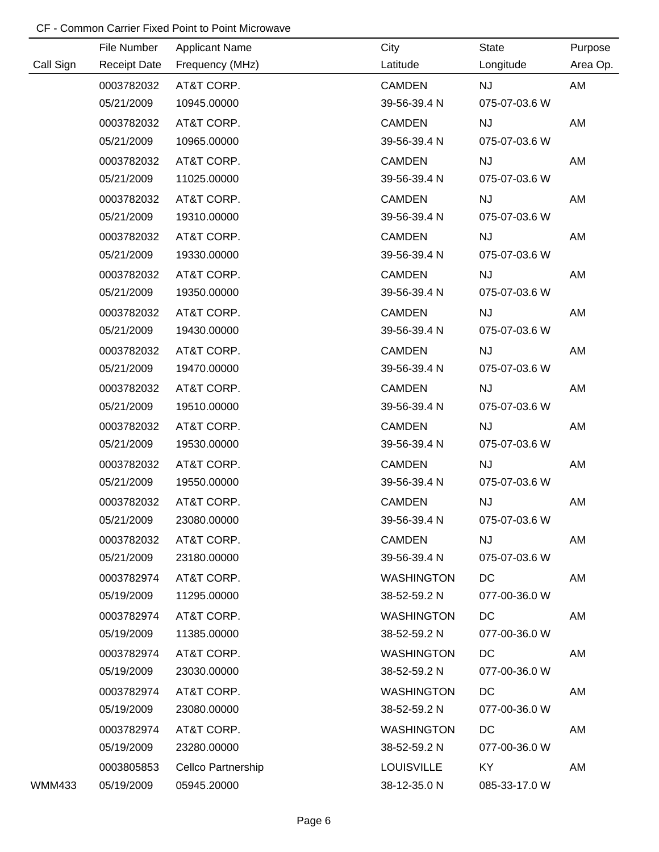|           | File Number         | <b>Applicant Name</b> | City              | State         | Purpose  |
|-----------|---------------------|-----------------------|-------------------|---------------|----------|
| Call Sign | <b>Receipt Date</b> | Frequency (MHz)       | Latitude          | Longitude     | Area Op. |
|           | 0003782032          | AT&T CORP.            | <b>CAMDEN</b>     | <b>NJ</b>     | AM       |
|           | 05/21/2009          | 10945.00000           | 39-56-39.4 N      | 075-07-03.6 W |          |
|           | 0003782032          | AT&T CORP.            | <b>CAMDEN</b>     | <b>NJ</b>     | AM       |
|           | 05/21/2009          | 10965.00000           | 39-56-39.4 N      | 075-07-03.6 W |          |
|           | 0003782032          | AT&T CORP.            | <b>CAMDEN</b>     | <b>NJ</b>     | AM       |
|           | 05/21/2009          | 11025.00000           | 39-56-39.4 N      | 075-07-03.6 W |          |
|           | 0003782032          | AT&T CORP.            | <b>CAMDEN</b>     | <b>NJ</b>     | AM       |
|           | 05/21/2009          | 19310.00000           | 39-56-39.4 N      | 075-07-03.6 W |          |
|           | 0003782032          | AT&T CORP.            | <b>CAMDEN</b>     | <b>NJ</b>     | AM       |
|           | 05/21/2009          | 19330.00000           | 39-56-39.4 N      | 075-07-03.6 W |          |
|           | 0003782032          | AT&T CORP.            | <b>CAMDEN</b>     | <b>NJ</b>     | AM       |
|           | 05/21/2009          | 19350.00000           | 39-56-39.4 N      | 075-07-03.6 W |          |
|           | 0003782032          | AT&T CORP.            | <b>CAMDEN</b>     | <b>NJ</b>     | AM       |
|           | 05/21/2009          | 19430.00000           | 39-56-39.4 N      | 075-07-03.6 W |          |
|           | 0003782032          | AT&T CORP.            | <b>CAMDEN</b>     | <b>NJ</b>     | AM       |
|           | 05/21/2009          | 19470.00000           | 39-56-39.4 N      | 075-07-03.6 W |          |
|           | 0003782032          | AT&T CORP.            | <b>CAMDEN</b>     | <b>NJ</b>     | AM       |
|           | 05/21/2009          | 19510.00000           | 39-56-39.4 N      | 075-07-03.6 W |          |
|           | 0003782032          | AT&T CORP.            | <b>CAMDEN</b>     | <b>NJ</b>     | AM       |
|           | 05/21/2009          | 19530.00000           | 39-56-39.4 N      | 075-07-03.6 W |          |
|           | 0003782032          | AT&T CORP.            | <b>CAMDEN</b>     | <b>NJ</b>     | AM       |
|           | 05/21/2009          | 19550.00000           | 39-56-39.4 N      | 075-07-03.6 W |          |
|           | 0003782032          | AT&T CORP.            | <b>CAMDEN</b>     | <b>NJ</b>     | AM       |
|           | 05/21/2009          | 23080.00000           | 39-56-39.4 N      | 075-07-03.6 W |          |
|           | 0003782032          | AT&T CORP.            | <b>CAMDEN</b>     | <b>NJ</b>     | AM       |
|           | 05/21/2009          | 23180.00000           | 39-56-39.4 N      | 075-07-03.6 W |          |
|           | 0003782974          | AT&T CORP.            | <b>WASHINGTON</b> | DC            | AM       |
|           | 05/19/2009          | 11295.00000           | 38-52-59.2 N      | 077-00-36.0 W |          |
|           | 0003782974          | AT&T CORP.            | <b>WASHINGTON</b> | DC            | AM       |
|           | 05/19/2009          | 11385.00000           | 38-52-59.2 N      | 077-00-36.0 W |          |
|           | 0003782974          | AT&T CORP.            | <b>WASHINGTON</b> | DC            | AM       |
|           | 05/19/2009          | 23030.00000           | 38-52-59.2 N      | 077-00-36.0 W |          |
|           | 0003782974          | AT&T CORP.            | <b>WASHINGTON</b> | DC            | AM       |
|           | 05/19/2009          | 23080.00000           | 38-52-59.2 N      | 077-00-36.0 W |          |
|           | 0003782974          | AT&T CORP.            | <b>WASHINGTON</b> | DC            | AM       |
|           | 05/19/2009          | 23280.00000           | 38-52-59.2 N      | 077-00-36.0 W |          |
|           | 0003805853          | Cellco Partnership    | <b>LOUISVILLE</b> | KY            | AM       |
| WMM433    | 05/19/2009          | 05945.20000           | 38-12-35.0 N      | 085-33-17.0 W |          |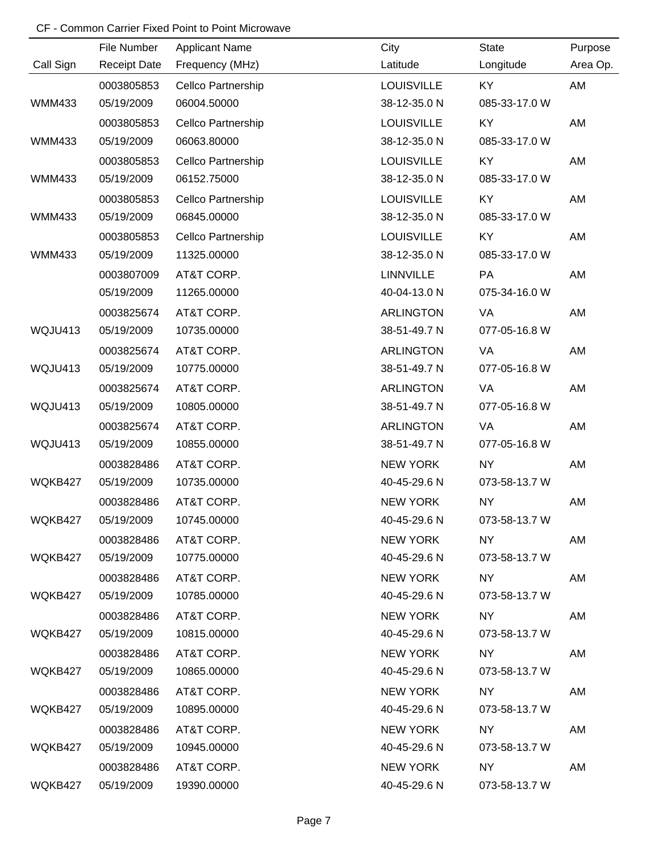|               | File Number         | <b>Applicant Name</b> | City              | State         | Purpose  |
|---------------|---------------------|-----------------------|-------------------|---------------|----------|
| Call Sign     | <b>Receipt Date</b> | Frequency (MHz)       | Latitude          | Longitude     | Area Op. |
|               | 0003805853          | Cellco Partnership    | <b>LOUISVILLE</b> | KY            | AM       |
| <b>WMM433</b> | 05/19/2009          | 06004.50000           | 38-12-35.0 N      | 085-33-17.0 W |          |
|               | 0003805853          | Cellco Partnership    | <b>LOUISVILLE</b> | KY            | AM       |
| <b>WMM433</b> | 05/19/2009          | 06063.80000           | 38-12-35.0 N      | 085-33-17.0 W |          |
|               | 0003805853          | Cellco Partnership    | <b>LOUISVILLE</b> | KY            | AM       |
| <b>WMM433</b> | 05/19/2009          | 06152.75000           | 38-12-35.0 N      | 085-33-17.0 W |          |
|               | 0003805853          | Cellco Partnership    | <b>LOUISVILLE</b> | KY            | AM       |
| <b>WMM433</b> | 05/19/2009          | 06845.00000           | 38-12-35.0 N      | 085-33-17.0 W |          |
|               | 0003805853          | Cellco Partnership    | <b>LOUISVILLE</b> | KY            | AM       |
| <b>WMM433</b> | 05/19/2009          | 11325.00000           | 38-12-35.0 N      | 085-33-17.0 W |          |
|               | 0003807009          | AT&T CORP.            | LINNVILLE         | PA            | AM       |
|               | 05/19/2009          | 11265.00000           | 40-04-13.0 N      | 075-34-16.0 W |          |
|               | 0003825674          | AT&T CORP.            | <b>ARLINGTON</b>  | VA            | AM       |
| WQJU413       | 05/19/2009          | 10735.00000           | 38-51-49.7 N      | 077-05-16.8 W |          |
|               | 0003825674          | AT&T CORP.            | <b>ARLINGTON</b>  | VA            | AM       |
| WQJU413       | 05/19/2009          | 10775.00000           | 38-51-49.7 N      | 077-05-16.8 W |          |
|               | 0003825674          | AT&T CORP.            | <b>ARLINGTON</b>  | <b>VA</b>     | AM       |
| WQJU413       | 05/19/2009          | 10805.00000           | 38-51-49.7 N      | 077-05-16.8 W |          |
|               | 0003825674          | AT&T CORP.            | <b>ARLINGTON</b>  | <b>VA</b>     | AM       |
| WQJU413       | 05/19/2009          | 10855.00000           | 38-51-49.7 N      | 077-05-16.8 W |          |
|               | 0003828486          | AT&T CORP.            | <b>NEW YORK</b>   | <b>NY</b>     | AM       |
| WQKB427       | 05/19/2009          | 10735.00000           | 40-45-29.6 N      | 073-58-13.7 W |          |
|               | 0003828486          | AT&T CORP.            | <b>NEW YORK</b>   | <b>NY</b>     | AM       |
| WQKB427       | 05/19/2009          | 10745.00000           | 40-45-29.6 N      | 073-58-13.7 W |          |
|               | 0003828486          | AT&T CORP.            | NEW YORK          | NY 1          | AM       |
| WQKB427       | 05/19/2009          | 10775.00000           | 40-45-29.6 N      | 073-58-13.7 W |          |
|               | 0003828486          | AT&T CORP.            | NEW YORK          | NY NY         | AM       |
| WQKB427       | 05/19/2009          | 10785.00000           | 40-45-29.6 N      | 073-58-13.7 W |          |
|               | 0003828486          | AT&T CORP.            | NEW YORK          | NY L          | AM       |
| WQKB427       | 05/19/2009          | 10815.00000           | 40-45-29.6 N      | 073-58-13.7 W |          |
|               | 0003828486          | AT&T CORP.            | NEW YORK          | NY 1          | AM       |
| WQKB427       | 05/19/2009          | 10865.00000           | 40-45-29.6 N      | 073-58-13.7 W |          |
|               | 0003828486          | AT&T CORP.            | NEW YORK          | NY .          | AM       |
| WQKB427       | 05/19/2009          | 10895.00000           | 40-45-29.6 N      | 073-58-13.7 W |          |
|               | 0003828486          | AT&T CORP.            | NEW YORK          | <b>NY</b>     | AM       |
| WQKB427       | 05/19/2009          | 10945.00000           | 40-45-29.6 N      | 073-58-13.7 W |          |
|               | 0003828486          | AT&T CORP.            | NEW YORK          | NY .          | AM       |
| WQKB427       | 05/19/2009          | 19390.00000           | 40-45-29.6 N      | 073-58-13.7 W |          |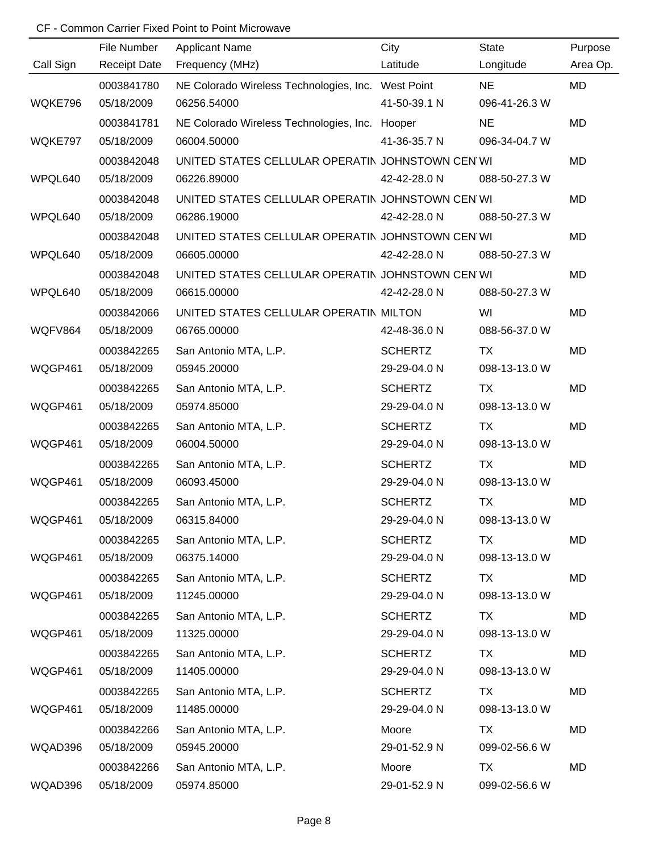| Call Sign<br>Area Op.<br><b>Receipt Date</b><br>Frequency (MHz)<br>Latitude<br>Longitude<br>NE<br>MD<br>0003841780<br>NE Colorado Wireless Technologies, Inc. West Point<br>WQKE796<br>05/18/2009<br>06256.54000<br>41-50-39.1 N<br>096-41-26.3 W<br><b>MD</b><br>0003841781<br>NE Colorado Wireless Technologies, Inc. Hooper<br><b>NE</b><br>41-36-35.7 N<br>096-34-04.7 W<br>WQKE797<br>05/18/2009<br>06004.50000<br>UNITED STATES CELLULAR OPERATIN JOHNSTOWN CEN WI<br>MD<br>0003842048<br>WPQL640<br>05/18/2009<br>06226.89000<br>42-42-28.0 N<br>088-50-27.3 W<br>0003842048<br>UNITED STATES CELLULAR OPERATIN JOHNSTOWN CEN WI<br>MD<br>WPQL640<br>05/18/2009<br>06286.19000<br>42-42-28.0 N<br>088-50-27.3 W<br>UNITED STATES CELLULAR OPERATIN JOHNSTOWN CEN WI<br>MD<br>0003842048<br>05/18/2009<br>42-42-28.0 N<br>WPQL640<br>06605.00000<br>088-50-27.3 W<br>0003842048<br>UNITED STATES CELLULAR OPERATIN JOHNSTOWN CEN WI<br><b>MD</b><br>WPQL640<br>05/18/2009<br>42-42-28.0 N<br>06615.00000<br>088-50-27.3 W<br>UNITED STATES CELLULAR OPERATIN MILTON<br>WI<br>MD<br>0003842066<br>WQFV864<br>05/18/2009<br>06765.00000<br>42-48-36.0 N<br>088-56-37.0 W<br>0003842265<br><b>SCHERTZ</b><br>MD<br>San Antonio MTA, L.P.<br>TX<br>29-29-04.0 N<br>WQGP461<br>05/18/2009<br>05945.20000<br>098-13-13.0 W<br><b>SCHERTZ</b><br><b>TX</b><br>MD<br>0003842265<br>San Antonio MTA, L.P.<br>29-29-04.0 N<br>WQGP461<br>05/18/2009<br>05974.85000<br>098-13-13.0 W<br>0003842265<br><b>SCHERTZ</b><br><b>TX</b><br>MD<br>San Antonio MTA, L.P.<br>WQGP461<br>05/18/2009<br>06004.50000<br>29-29-04.0 N<br>098-13-13.0 W<br>San Antonio MTA, L.P.<br><b>SCHERTZ</b><br><b>TX</b><br>MD<br>0003842265<br>WQGP461<br>05/18/2009<br>06093.45000<br>29-29-04.0 N<br>098-13-13.0 W<br>San Antonio MTA, L.P.<br><b>SCHERTZ</b><br><b>TX</b><br>0003842265<br>MD<br>WQGP461<br>05/18/2009<br>06315.84000<br>29-29-04.0 N<br>098-13-13.0 W<br>0003842265<br><b>SCHERTZ</b><br>MD<br>San Antonio MTA, L.P.<br>TX<br>WQGP461<br>05/18/2009<br>06375.14000<br>29-29-04.0 N<br>098-13-13.0 W<br><b>SCHERTZ</b><br>0003842265<br>San Antonio MTA, L.P.<br><b>TX</b><br>MD<br>WQGP461<br>05/18/2009<br>29-29-04.0 N<br>11245.00000<br>098-13-13.0 W |             |                       |                |              |         |
|---------------------------------------------------------------------------------------------------------------------------------------------------------------------------------------------------------------------------------------------------------------------------------------------------------------------------------------------------------------------------------------------------------------------------------------------------------------------------------------------------------------------------------------------------------------------------------------------------------------------------------------------------------------------------------------------------------------------------------------------------------------------------------------------------------------------------------------------------------------------------------------------------------------------------------------------------------------------------------------------------------------------------------------------------------------------------------------------------------------------------------------------------------------------------------------------------------------------------------------------------------------------------------------------------------------------------------------------------------------------------------------------------------------------------------------------------------------------------------------------------------------------------------------------------------------------------------------------------------------------------------------------------------------------------------------------------------------------------------------------------------------------------------------------------------------------------------------------------------------------------------------------------------------------------------------------------------------------------------------------------------------------------------------------------------------------------------------------------------------------------------------------------------------------------------------------------------------------------------------------------|-------------|-----------------------|----------------|--------------|---------|
|                                                                                                                                                                                                                                                                                                                                                                                                                                                                                                                                                                                                                                                                                                                                                                                                                                                                                                                                                                                                                                                                                                                                                                                                                                                                                                                                                                                                                                                                                                                                                                                                                                                                                                                                                                                                                                                                                                                                                                                                                                                                                                                                                                                                                                                   | File Number | <b>Applicant Name</b> | City           | <b>State</b> | Purpose |
|                                                                                                                                                                                                                                                                                                                                                                                                                                                                                                                                                                                                                                                                                                                                                                                                                                                                                                                                                                                                                                                                                                                                                                                                                                                                                                                                                                                                                                                                                                                                                                                                                                                                                                                                                                                                                                                                                                                                                                                                                                                                                                                                                                                                                                                   |             |                       |                |              |         |
|                                                                                                                                                                                                                                                                                                                                                                                                                                                                                                                                                                                                                                                                                                                                                                                                                                                                                                                                                                                                                                                                                                                                                                                                                                                                                                                                                                                                                                                                                                                                                                                                                                                                                                                                                                                                                                                                                                                                                                                                                                                                                                                                                                                                                                                   |             |                       |                |              |         |
|                                                                                                                                                                                                                                                                                                                                                                                                                                                                                                                                                                                                                                                                                                                                                                                                                                                                                                                                                                                                                                                                                                                                                                                                                                                                                                                                                                                                                                                                                                                                                                                                                                                                                                                                                                                                                                                                                                                                                                                                                                                                                                                                                                                                                                                   |             |                       |                |              |         |
|                                                                                                                                                                                                                                                                                                                                                                                                                                                                                                                                                                                                                                                                                                                                                                                                                                                                                                                                                                                                                                                                                                                                                                                                                                                                                                                                                                                                                                                                                                                                                                                                                                                                                                                                                                                                                                                                                                                                                                                                                                                                                                                                                                                                                                                   |             |                       |                |              |         |
|                                                                                                                                                                                                                                                                                                                                                                                                                                                                                                                                                                                                                                                                                                                                                                                                                                                                                                                                                                                                                                                                                                                                                                                                                                                                                                                                                                                                                                                                                                                                                                                                                                                                                                                                                                                                                                                                                                                                                                                                                                                                                                                                                                                                                                                   |             |                       |                |              |         |
|                                                                                                                                                                                                                                                                                                                                                                                                                                                                                                                                                                                                                                                                                                                                                                                                                                                                                                                                                                                                                                                                                                                                                                                                                                                                                                                                                                                                                                                                                                                                                                                                                                                                                                                                                                                                                                                                                                                                                                                                                                                                                                                                                                                                                                                   |             |                       |                |              |         |
|                                                                                                                                                                                                                                                                                                                                                                                                                                                                                                                                                                                                                                                                                                                                                                                                                                                                                                                                                                                                                                                                                                                                                                                                                                                                                                                                                                                                                                                                                                                                                                                                                                                                                                                                                                                                                                                                                                                                                                                                                                                                                                                                                                                                                                                   |             |                       |                |              |         |
|                                                                                                                                                                                                                                                                                                                                                                                                                                                                                                                                                                                                                                                                                                                                                                                                                                                                                                                                                                                                                                                                                                                                                                                                                                                                                                                                                                                                                                                                                                                                                                                                                                                                                                                                                                                                                                                                                                                                                                                                                                                                                                                                                                                                                                                   |             |                       |                |              |         |
|                                                                                                                                                                                                                                                                                                                                                                                                                                                                                                                                                                                                                                                                                                                                                                                                                                                                                                                                                                                                                                                                                                                                                                                                                                                                                                                                                                                                                                                                                                                                                                                                                                                                                                                                                                                                                                                                                                                                                                                                                                                                                                                                                                                                                                                   |             |                       |                |              |         |
|                                                                                                                                                                                                                                                                                                                                                                                                                                                                                                                                                                                                                                                                                                                                                                                                                                                                                                                                                                                                                                                                                                                                                                                                                                                                                                                                                                                                                                                                                                                                                                                                                                                                                                                                                                                                                                                                                                                                                                                                                                                                                                                                                                                                                                                   |             |                       |                |              |         |
|                                                                                                                                                                                                                                                                                                                                                                                                                                                                                                                                                                                                                                                                                                                                                                                                                                                                                                                                                                                                                                                                                                                                                                                                                                                                                                                                                                                                                                                                                                                                                                                                                                                                                                                                                                                                                                                                                                                                                                                                                                                                                                                                                                                                                                                   |             |                       |                |              |         |
|                                                                                                                                                                                                                                                                                                                                                                                                                                                                                                                                                                                                                                                                                                                                                                                                                                                                                                                                                                                                                                                                                                                                                                                                                                                                                                                                                                                                                                                                                                                                                                                                                                                                                                                                                                                                                                                                                                                                                                                                                                                                                                                                                                                                                                                   |             |                       |                |              |         |
|                                                                                                                                                                                                                                                                                                                                                                                                                                                                                                                                                                                                                                                                                                                                                                                                                                                                                                                                                                                                                                                                                                                                                                                                                                                                                                                                                                                                                                                                                                                                                                                                                                                                                                                                                                                                                                                                                                                                                                                                                                                                                                                                                                                                                                                   |             |                       |                |              |         |
|                                                                                                                                                                                                                                                                                                                                                                                                                                                                                                                                                                                                                                                                                                                                                                                                                                                                                                                                                                                                                                                                                                                                                                                                                                                                                                                                                                                                                                                                                                                                                                                                                                                                                                                                                                                                                                                                                                                                                                                                                                                                                                                                                                                                                                                   |             |                       |                |              |         |
|                                                                                                                                                                                                                                                                                                                                                                                                                                                                                                                                                                                                                                                                                                                                                                                                                                                                                                                                                                                                                                                                                                                                                                                                                                                                                                                                                                                                                                                                                                                                                                                                                                                                                                                                                                                                                                                                                                                                                                                                                                                                                                                                                                                                                                                   |             |                       |                |              |         |
|                                                                                                                                                                                                                                                                                                                                                                                                                                                                                                                                                                                                                                                                                                                                                                                                                                                                                                                                                                                                                                                                                                                                                                                                                                                                                                                                                                                                                                                                                                                                                                                                                                                                                                                                                                                                                                                                                                                                                                                                                                                                                                                                                                                                                                                   |             |                       |                |              |         |
|                                                                                                                                                                                                                                                                                                                                                                                                                                                                                                                                                                                                                                                                                                                                                                                                                                                                                                                                                                                                                                                                                                                                                                                                                                                                                                                                                                                                                                                                                                                                                                                                                                                                                                                                                                                                                                                                                                                                                                                                                                                                                                                                                                                                                                                   |             |                       |                |              |         |
|                                                                                                                                                                                                                                                                                                                                                                                                                                                                                                                                                                                                                                                                                                                                                                                                                                                                                                                                                                                                                                                                                                                                                                                                                                                                                                                                                                                                                                                                                                                                                                                                                                                                                                                                                                                                                                                                                                                                                                                                                                                                                                                                                                                                                                                   |             |                       |                |              |         |
|                                                                                                                                                                                                                                                                                                                                                                                                                                                                                                                                                                                                                                                                                                                                                                                                                                                                                                                                                                                                                                                                                                                                                                                                                                                                                                                                                                                                                                                                                                                                                                                                                                                                                                                                                                                                                                                                                                                                                                                                                                                                                                                                                                                                                                                   |             |                       |                |              |         |
|                                                                                                                                                                                                                                                                                                                                                                                                                                                                                                                                                                                                                                                                                                                                                                                                                                                                                                                                                                                                                                                                                                                                                                                                                                                                                                                                                                                                                                                                                                                                                                                                                                                                                                                                                                                                                                                                                                                                                                                                                                                                                                                                                                                                                                                   |             |                       |                |              |         |
|                                                                                                                                                                                                                                                                                                                                                                                                                                                                                                                                                                                                                                                                                                                                                                                                                                                                                                                                                                                                                                                                                                                                                                                                                                                                                                                                                                                                                                                                                                                                                                                                                                                                                                                                                                                                                                                                                                                                                                                                                                                                                                                                                                                                                                                   |             |                       |                |              |         |
|                                                                                                                                                                                                                                                                                                                                                                                                                                                                                                                                                                                                                                                                                                                                                                                                                                                                                                                                                                                                                                                                                                                                                                                                                                                                                                                                                                                                                                                                                                                                                                                                                                                                                                                                                                                                                                                                                                                                                                                                                                                                                                                                                                                                                                                   |             |                       |                |              |         |
|                                                                                                                                                                                                                                                                                                                                                                                                                                                                                                                                                                                                                                                                                                                                                                                                                                                                                                                                                                                                                                                                                                                                                                                                                                                                                                                                                                                                                                                                                                                                                                                                                                                                                                                                                                                                                                                                                                                                                                                                                                                                                                                                                                                                                                                   |             |                       |                |              |         |
|                                                                                                                                                                                                                                                                                                                                                                                                                                                                                                                                                                                                                                                                                                                                                                                                                                                                                                                                                                                                                                                                                                                                                                                                                                                                                                                                                                                                                                                                                                                                                                                                                                                                                                                                                                                                                                                                                                                                                                                                                                                                                                                                                                                                                                                   |             |                       |                |              |         |
|                                                                                                                                                                                                                                                                                                                                                                                                                                                                                                                                                                                                                                                                                                                                                                                                                                                                                                                                                                                                                                                                                                                                                                                                                                                                                                                                                                                                                                                                                                                                                                                                                                                                                                                                                                                                                                                                                                                                                                                                                                                                                                                                                                                                                                                   |             |                       |                |              |         |
|                                                                                                                                                                                                                                                                                                                                                                                                                                                                                                                                                                                                                                                                                                                                                                                                                                                                                                                                                                                                                                                                                                                                                                                                                                                                                                                                                                                                                                                                                                                                                                                                                                                                                                                                                                                                                                                                                                                                                                                                                                                                                                                                                                                                                                                   |             |                       |                |              |         |
|                                                                                                                                                                                                                                                                                                                                                                                                                                                                                                                                                                                                                                                                                                                                                                                                                                                                                                                                                                                                                                                                                                                                                                                                                                                                                                                                                                                                                                                                                                                                                                                                                                                                                                                                                                                                                                                                                                                                                                                                                                                                                                                                                                                                                                                   |             |                       |                |              |         |
|                                                                                                                                                                                                                                                                                                                                                                                                                                                                                                                                                                                                                                                                                                                                                                                                                                                                                                                                                                                                                                                                                                                                                                                                                                                                                                                                                                                                                                                                                                                                                                                                                                                                                                                                                                                                                                                                                                                                                                                                                                                                                                                                                                                                                                                   |             |                       |                |              |         |
|                                                                                                                                                                                                                                                                                                                                                                                                                                                                                                                                                                                                                                                                                                                                                                                                                                                                                                                                                                                                                                                                                                                                                                                                                                                                                                                                                                                                                                                                                                                                                                                                                                                                                                                                                                                                                                                                                                                                                                                                                                                                                                                                                                                                                                                   |             |                       |                |              |         |
|                                                                                                                                                                                                                                                                                                                                                                                                                                                                                                                                                                                                                                                                                                                                                                                                                                                                                                                                                                                                                                                                                                                                                                                                                                                                                                                                                                                                                                                                                                                                                                                                                                                                                                                                                                                                                                                                                                                                                                                                                                                                                                                                                                                                                                                   | 0003842265  | San Antonio MTA, L.P. | <b>SCHERTZ</b> | TX           | MD      |
| WQGP461<br>05/18/2009<br>11325.00000<br>29-29-04.0 N<br>098-13-13.0 W                                                                                                                                                                                                                                                                                                                                                                                                                                                                                                                                                                                                                                                                                                                                                                                                                                                                                                                                                                                                                                                                                                                                                                                                                                                                                                                                                                                                                                                                                                                                                                                                                                                                                                                                                                                                                                                                                                                                                                                                                                                                                                                                                                             |             |                       |                |              |         |
| San Antonio MTA, L.P.<br><b>SCHERTZ</b><br>0003842265<br>TX<br>MD                                                                                                                                                                                                                                                                                                                                                                                                                                                                                                                                                                                                                                                                                                                                                                                                                                                                                                                                                                                                                                                                                                                                                                                                                                                                                                                                                                                                                                                                                                                                                                                                                                                                                                                                                                                                                                                                                                                                                                                                                                                                                                                                                                                 |             |                       |                |              |         |
| WQGP461<br>11405.00000<br>29-29-04.0 N<br>05/18/2009<br>098-13-13.0 W                                                                                                                                                                                                                                                                                                                                                                                                                                                                                                                                                                                                                                                                                                                                                                                                                                                                                                                                                                                                                                                                                                                                                                                                                                                                                                                                                                                                                                                                                                                                                                                                                                                                                                                                                                                                                                                                                                                                                                                                                                                                                                                                                                             |             |                       |                |              |         |
| San Antonio MTA, L.P.<br><b>SCHERTZ</b><br>0003842265<br>TX<br>MD                                                                                                                                                                                                                                                                                                                                                                                                                                                                                                                                                                                                                                                                                                                                                                                                                                                                                                                                                                                                                                                                                                                                                                                                                                                                                                                                                                                                                                                                                                                                                                                                                                                                                                                                                                                                                                                                                                                                                                                                                                                                                                                                                                                 |             |                       |                |              |         |
| WQGP461<br>11485.00000<br>29-29-04.0 N<br>098-13-13.0 W<br>05/18/2009                                                                                                                                                                                                                                                                                                                                                                                                                                                                                                                                                                                                                                                                                                                                                                                                                                                                                                                                                                                                                                                                                                                                                                                                                                                                                                                                                                                                                                                                                                                                                                                                                                                                                                                                                                                                                                                                                                                                                                                                                                                                                                                                                                             |             |                       |                |              |         |
| San Antonio MTA, L.P.<br>Moore<br>0003842266<br><b>TX</b><br>MD                                                                                                                                                                                                                                                                                                                                                                                                                                                                                                                                                                                                                                                                                                                                                                                                                                                                                                                                                                                                                                                                                                                                                                                                                                                                                                                                                                                                                                                                                                                                                                                                                                                                                                                                                                                                                                                                                                                                                                                                                                                                                                                                                                                   |             |                       |                |              |         |
| WQAD396<br>05/18/2009<br>05945.20000<br>29-01-52.9 N<br>099-02-56.6 W                                                                                                                                                                                                                                                                                                                                                                                                                                                                                                                                                                                                                                                                                                                                                                                                                                                                                                                                                                                                                                                                                                                                                                                                                                                                                                                                                                                                                                                                                                                                                                                                                                                                                                                                                                                                                                                                                                                                                                                                                                                                                                                                                                             |             |                       |                |              |         |
| San Antonio MTA, L.P.<br>Moore<br>MD<br>0003842266<br>TX                                                                                                                                                                                                                                                                                                                                                                                                                                                                                                                                                                                                                                                                                                                                                                                                                                                                                                                                                                                                                                                                                                                                                                                                                                                                                                                                                                                                                                                                                                                                                                                                                                                                                                                                                                                                                                                                                                                                                                                                                                                                                                                                                                                          |             |                       |                |              |         |
| WQAD396<br>05/18/2009<br>05974.85000<br>29-01-52.9 N<br>099-02-56.6 W                                                                                                                                                                                                                                                                                                                                                                                                                                                                                                                                                                                                                                                                                                                                                                                                                                                                                                                                                                                                                                                                                                                                                                                                                                                                                                                                                                                                                                                                                                                                                                                                                                                                                                                                                                                                                                                                                                                                                                                                                                                                                                                                                                             |             |                       |                |              |         |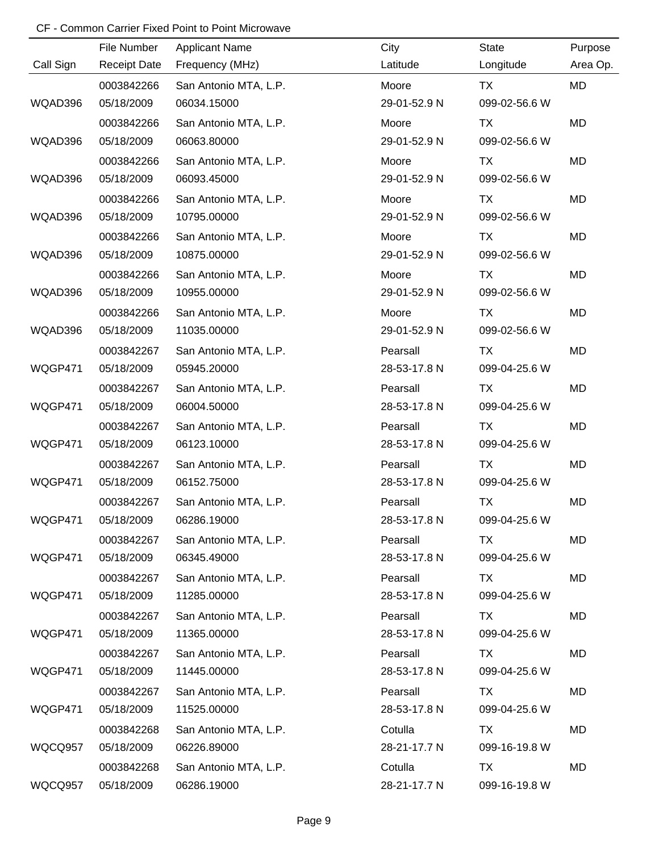|           | File Number         | <b>Applicant Name</b> | City         | <b>State</b>  | Purpose  |
|-----------|---------------------|-----------------------|--------------|---------------|----------|
| Call Sign | <b>Receipt Date</b> | Frequency (MHz)       | Latitude     | Longitude     | Area Op. |
|           | 0003842266          | San Antonio MTA, L.P. | Moore        | <b>TX</b>     | MD       |
| WQAD396   | 05/18/2009          | 06034.15000           | 29-01-52.9 N | 099-02-56.6 W |          |
|           | 0003842266          | San Antonio MTA, L.P. | Moore        | TX            | MD       |
| WQAD396   | 05/18/2009          | 06063.80000           | 29-01-52.9 N | 099-02-56.6 W |          |
|           | 0003842266          | San Antonio MTA, L.P. | Moore        | TX            | MD       |
| WQAD396   | 05/18/2009          | 06093.45000           | 29-01-52.9 N | 099-02-56.6 W |          |
|           | 0003842266          | San Antonio MTA, L.P. | Moore        | TX            | MD       |
| WQAD396   | 05/18/2009          | 10795.00000           | 29-01-52.9 N | 099-02-56.6 W |          |
|           | 0003842266          | San Antonio MTA, L.P. | Moore        | <b>TX</b>     | MD       |
| WQAD396   | 05/18/2009          | 10875.00000           | 29-01-52.9 N | 099-02-56.6 W |          |
|           | 0003842266          | San Antonio MTA, L.P. | Moore        | TX            | MD       |
| WQAD396   | 05/18/2009          | 10955.00000           | 29-01-52.9 N | 099-02-56.6 W |          |
|           | 0003842266          | San Antonio MTA, L.P. | Moore        | <b>TX</b>     | MD       |
| WQAD396   | 05/18/2009          | 11035.00000           | 29-01-52.9 N | 099-02-56.6 W |          |
|           | 0003842267          | San Antonio MTA, L.P. | Pearsall     | TX            | MD       |
| WQGP471   | 05/18/2009          | 05945.20000           | 28-53-17.8 N | 099-04-25.6 W |          |
|           | 0003842267          | San Antonio MTA, L.P. | Pearsall     | TX            | MD       |
| WQGP471   | 05/18/2009          | 06004.50000           | 28-53-17.8 N | 099-04-25.6 W |          |
|           | 0003842267          | San Antonio MTA, L.P. | Pearsall     | <b>TX</b>     | MD       |
| WQGP471   | 05/18/2009          | 06123.10000           | 28-53-17.8 N | 099-04-25.6 W |          |
|           | 0003842267          | San Antonio MTA, L.P. | Pearsall     | <b>TX</b>     | MD       |
| WQGP471   | 05/18/2009          | 06152.75000           | 28-53-17.8 N | 099-04-25.6 W |          |
|           | 0003842267          | San Antonio MTA, L.P. | Pearsall     | <b>TX</b>     | MD       |
| WQGP471   | 05/18/2009          | 06286.19000           | 28-53-17.8 N | 099-04-25.6 W |          |
|           | 0003842267          | San Antonio MTA, L.P. | Pearsall     | TX            | MD       |
| WQGP471   | 05/18/2009          | 06345.49000           | 28-53-17.8 N | 099-04-25.6 W |          |
|           | 0003842267          | San Antonio MTA, L.P. | Pearsall     | TX            | MD       |
| WQGP471   | 05/18/2009          | 11285.00000           | 28-53-17.8 N | 099-04-25.6 W |          |
|           | 0003842267          | San Antonio MTA, L.P. | Pearsall     | TX            | MD       |
| WQGP471   | 05/18/2009          | 11365.00000           | 28-53-17.8 N | 099-04-25.6 W |          |
|           | 0003842267          | San Antonio MTA, L.P. | Pearsall     | TX            | MD       |
| WQGP471   | 05/18/2009          | 11445.00000           | 28-53-17.8 N | 099-04-25.6 W |          |
|           | 0003842267          | San Antonio MTA, L.P. | Pearsall     | TX            | MD       |
| WQGP471   | 05/18/2009          | 11525.00000           | 28-53-17.8 N | 099-04-25.6 W |          |
|           | 0003842268          | San Antonio MTA, L.P. | Cotulla      | <b>TX</b>     | MD       |
| WQCQ957   | 05/18/2009          | 06226.89000           | 28-21-17.7 N | 099-16-19.8 W |          |
|           | 0003842268          | San Antonio MTA, L.P. | Cotulla      | TX            | MD       |
| WQCQ957   | 05/18/2009          | 06286.19000           | 28-21-17.7 N | 099-16-19.8 W |          |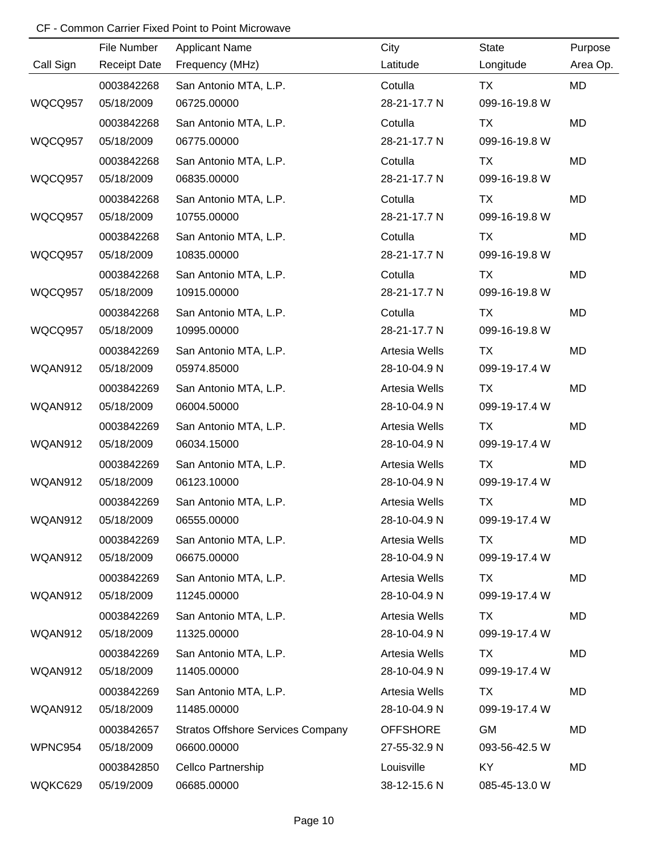|           | File Number         | <b>Applicant Name</b>                    | City            | State         | Purpose   |
|-----------|---------------------|------------------------------------------|-----------------|---------------|-----------|
| Call Sign | <b>Receipt Date</b> | Frequency (MHz)                          | Latitude        | Longitude     | Area Op.  |
|           | 0003842268          | San Antonio MTA, L.P.                    | Cotulla         | <b>TX</b>     | MD        |
| WQCQ957   | 05/18/2009          | 06725.00000                              | 28-21-17.7 N    | 099-16-19.8 W |           |
|           | 0003842268          | San Antonio MTA, L.P.                    | Cotulla         | <b>TX</b>     | <b>MD</b> |
| WQCQ957   | 05/18/2009          | 06775.00000                              | 28-21-17.7 N    | 099-16-19.8 W |           |
|           | 0003842268          | San Antonio MTA, L.P.                    | Cotulla         | <b>TX</b>     | MD        |
| WQCQ957   | 05/18/2009          | 06835.00000                              | 28-21-17.7 N    | 099-16-19.8 W |           |
|           | 0003842268          | San Antonio MTA, L.P.                    | Cotulla         | <b>TX</b>     | MD        |
| WQCQ957   | 05/18/2009          | 10755.00000                              | 28-21-17.7 N    | 099-16-19.8 W |           |
|           | 0003842268          | San Antonio MTA, L.P.                    | Cotulla         | <b>TX</b>     | MD        |
| WQCQ957   | 05/18/2009          | 10835.00000                              | 28-21-17.7 N    | 099-16-19.8 W |           |
|           | 0003842268          | San Antonio MTA, L.P.                    | Cotulla         | TX            | MD        |
| WQCQ957   | 05/18/2009          | 10915.00000                              | 28-21-17.7 N    | 099-16-19.8 W |           |
|           | 0003842268          | San Antonio MTA, L.P.                    | Cotulla         | <b>TX</b>     | MD        |
| WQCQ957   | 05/18/2009          | 10995.00000                              | 28-21-17.7 N    | 099-16-19.8 W |           |
|           | 0003842269          | San Antonio MTA, L.P.                    | Artesia Wells   | TX            | MD        |
| WQAN912   | 05/18/2009          | 05974.85000                              | 28-10-04.9 N    | 099-19-17.4 W |           |
|           | 0003842269          | San Antonio MTA, L.P.                    | Artesia Wells   | TX            | MD        |
| WQAN912   | 05/18/2009          | 06004.50000                              | 28-10-04.9 N    | 099-19-17.4 W |           |
|           | 0003842269          | San Antonio MTA, L.P.                    | Artesia Wells   | <b>TX</b>     | MD        |
| WQAN912   | 05/18/2009          | 06034.15000                              | 28-10-04.9 N    | 099-19-17.4 W |           |
|           | 0003842269          | San Antonio MTA, L.P.                    | Artesia Wells   | <b>TX</b>     | MD        |
| WQAN912   | 05/18/2009          | 06123.10000                              | 28-10-04.9 N    | 099-19-17.4 W |           |
|           | 0003842269          | San Antonio MTA, L.P.                    | Artesia Wells   | <b>TX</b>     | MD        |
| WQAN912   | 05/18/2009          | 06555.00000                              | 28-10-04.9 N    | 099-19-17.4 W |           |
|           | 0003842269          | San Antonio MTA, L.P.                    | Artesia Wells   | TX            | MD        |
| WQAN912   | 05/18/2009          | 06675.00000                              | 28-10-04.9 N    | 099-19-17.4 W |           |
|           | 0003842269          | San Antonio MTA, L.P.                    | Artesia Wells   | TX            | MD        |
| WQAN912   | 05/18/2009          | 11245.00000                              | 28-10-04.9 N    | 099-19-17.4 W |           |
|           | 0003842269          | San Antonio MTA, L.P.                    | Artesia Wells   | TX            | MD        |
| WQAN912   | 05/18/2009          | 11325.00000                              | 28-10-04.9 N    | 099-19-17.4 W |           |
|           | 0003842269          | San Antonio MTA, L.P.                    | Artesia Wells   | TX            | MD        |
| WQAN912   | 05/18/2009          | 11405.00000                              | 28-10-04.9 N    | 099-19-17.4 W |           |
|           | 0003842269          | San Antonio MTA, L.P.                    | Artesia Wells   | TX            | MD        |
| WQAN912   | 05/18/2009          | 11485.00000                              | 28-10-04.9 N    | 099-19-17.4 W |           |
|           | 0003842657          | <b>Stratos Offshore Services Company</b> | <b>OFFSHORE</b> | <b>GM</b>     | MD        |
| WPNC954   | 05/18/2009          | 06600.00000                              | 27-55-32.9 N    | 093-56-42.5 W |           |
|           | 0003842850          | <b>Cellco Partnership</b>                | Louisville      | KY            | MD        |
| WQKC629   | 05/19/2009          | 06685.00000                              | 38-12-15.6 N    | 085-45-13.0 W |           |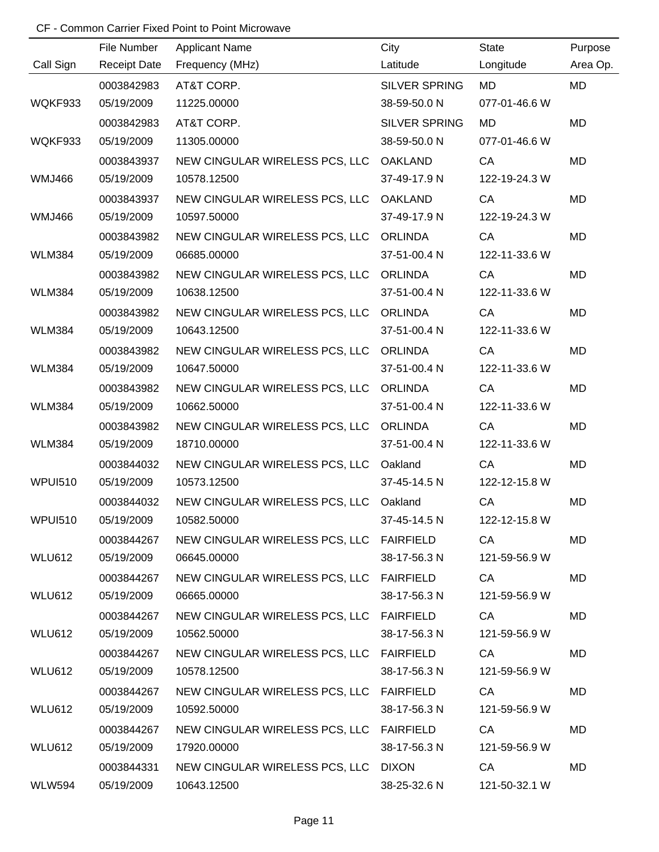|                | File Number         | <b>Applicant Name</b>                    | City                 | <b>State</b>  | Purpose   |
|----------------|---------------------|------------------------------------------|----------------------|---------------|-----------|
| Call Sign      | <b>Receipt Date</b> | Frequency (MHz)                          | Latitude             | Longitude     | Area Op.  |
|                | 0003842983          | AT&T CORP.                               | <b>SILVER SPRING</b> | MD            | <b>MD</b> |
| WQKF933        | 05/19/2009          | 11225.00000                              | 38-59-50.0 N         | 077-01-46.6 W |           |
|                | 0003842983          | AT&T CORP.                               | <b>SILVER SPRING</b> | <b>MD</b>     | <b>MD</b> |
| WQKF933        | 05/19/2009          | 11305.00000                              | 38-59-50.0 N         | 077-01-46.6 W |           |
|                | 0003843937          | NEW CINGULAR WIRELESS PCS, LLC           | <b>OAKLAND</b>       | CA            | <b>MD</b> |
| <b>WMJ466</b>  | 05/19/2009          | 10578.12500                              | 37-49-17.9 N         | 122-19-24.3 W |           |
|                | 0003843937          | NEW CINGULAR WIRELESS PCS, LLC OAKLAND   |                      | CA            | <b>MD</b> |
| <b>WMJ466</b>  | 05/19/2009          | 10597.50000                              | 37-49-17.9 N         | 122-19-24.3 W |           |
|                | 0003843982          | NEW CINGULAR WIRELESS PCS, LLC           | <b>ORLINDA</b>       | CA            | <b>MD</b> |
| <b>WLM384</b>  | 05/19/2009          | 06685.00000                              | 37-51-00.4 N         | 122-11-33.6 W |           |
|                | 0003843982          | NEW CINGULAR WIRELESS PCS, LLC           | <b>ORLINDA</b>       | CA            | <b>MD</b> |
| <b>WLM384</b>  | 05/19/2009          | 10638.12500                              | 37-51-00.4 N         | 122-11-33.6 W |           |
|                | 0003843982          | NEW CINGULAR WIRELESS PCS, LLC           | <b>ORLINDA</b>       | CA            | MD        |
| <b>WLM384</b>  | 05/19/2009          | 10643.12500                              | 37-51-00.4 N         | 122-11-33.6 W |           |
|                | 0003843982          | NEW CINGULAR WIRELESS PCS, LLC           | <b>ORLINDA</b>       | CA            | <b>MD</b> |
| <b>WLM384</b>  | 05/19/2009          | 10647.50000                              | 37-51-00.4 N         | 122-11-33.6 W |           |
|                | 0003843982          | NEW CINGULAR WIRELESS PCS, LLC           | <b>ORLINDA</b>       | CA            | <b>MD</b> |
| <b>WLM384</b>  | 05/19/2009          | 10662.50000                              | 37-51-00.4 N         | 122-11-33.6 W |           |
|                | 0003843982          | NEW CINGULAR WIRELESS PCS, LLC           | <b>ORLINDA</b>       | CA            | <b>MD</b> |
| <b>WLM384</b>  | 05/19/2009          | 18710.00000                              | 37-51-00.4 N         | 122-11-33.6 W |           |
|                | 0003844032          | NEW CINGULAR WIRELESS PCS, LLC           | Oakland              | CA            | MD        |
| <b>WPUI510</b> | 05/19/2009          | 10573.12500                              | 37-45-14.5 N         | 122-12-15.8 W |           |
|                | 0003844032          | NEW CINGULAR WIRELESS PCS, LLC           | Oakland              | CA            | <b>MD</b> |
| <b>WPUI510</b> | 05/19/2009          | 10582.50000                              | 37-45-14.5 N         | 122-12-15.8 W |           |
|                | 0003844267          | NEW CINGULAR WIRELESS PCS, LLC FAIRFIELD |                      | CA            | MD        |
| WLU612         | 05/19/2009          | 06645.00000                              | 38-17-56.3 N         | 121-59-56.9 W |           |
|                | 0003844267          | NEW CINGULAR WIRELESS PCS, LLC FAIRFIELD |                      | CA            | MD        |
| WLU612         | 05/19/2009          | 06665.00000                              | 38-17-56.3 N         | 121-59-56.9 W |           |
|                | 0003844267          | NEW CINGULAR WIRELESS PCS, LLC FAIRFIELD |                      | CA            | MD        |
| WLU612         | 05/19/2009          | 10562.50000                              | 38-17-56.3 N         | 121-59-56.9 W |           |
|                | 0003844267          | NEW CINGULAR WIRELESS PCS, LLC FAIRFIELD |                      | CA            | MD        |
| WLU612         | 05/19/2009          | 10578.12500                              | 38-17-56.3 N         | 121-59-56.9 W |           |
|                | 0003844267          | NEW CINGULAR WIRELESS PCS, LLC FAIRFIELD |                      | CA            | <b>MD</b> |
| WLU612         | 05/19/2009          | 10592.50000                              | 38-17-56.3 N         | 121-59-56.9 W |           |
|                | 0003844267          | NEW CINGULAR WIRELESS PCS, LLC FAIRFIELD |                      | CA            | MD        |
| WLU612         | 05/19/2009          | 17920.00000                              | 38-17-56.3 N         | 121-59-56.9 W |           |
|                | 0003844331          | NEW CINGULAR WIRELESS PCS, LLC DIXON     |                      | CA            | MD        |
| <b>WLW594</b>  | 05/19/2009          | 10643.12500                              | 38-25-32.6 N         | 121-50-32.1 W |           |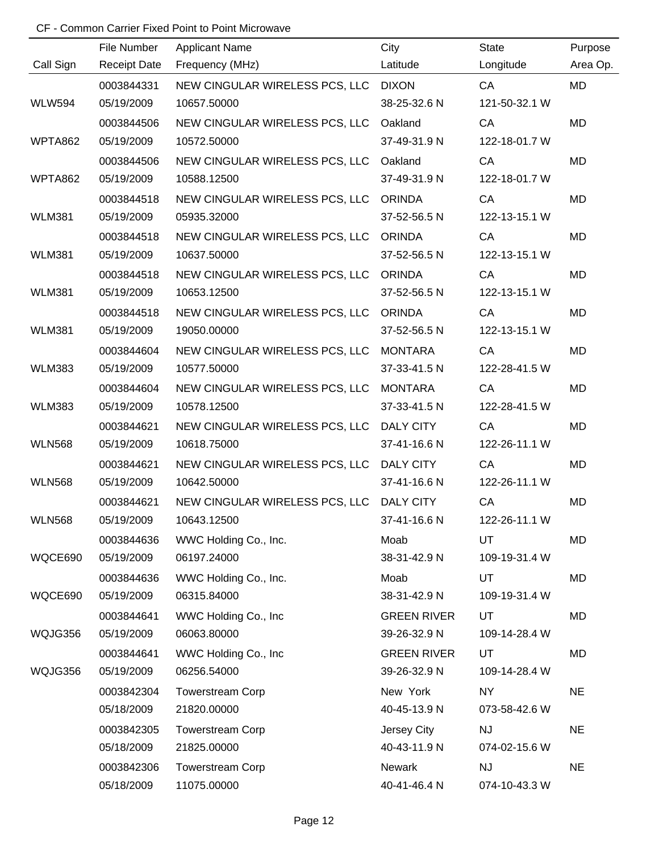|               | File Number         | <b>Applicant Name</b>          | City               | <b>State</b>  | Purpose   |
|---------------|---------------------|--------------------------------|--------------------|---------------|-----------|
| Call Sign     | <b>Receipt Date</b> | Frequency (MHz)                | Latitude           | Longitude     | Area Op.  |
|               | 0003844331          | NEW CINGULAR WIRELESS PCS, LLC | <b>DIXON</b>       | CA            | <b>MD</b> |
| <b>WLW594</b> | 05/19/2009          | 10657.50000                    | 38-25-32.6 N       | 121-50-32.1 W |           |
|               | 0003844506          | NEW CINGULAR WIRELESS PCS, LLC | Oakland            | CA            | <b>MD</b> |
| WPTA862       | 05/19/2009          | 10572.50000                    | 37-49-31.9 N       | 122-18-01.7 W |           |
|               | 0003844506          | NEW CINGULAR WIRELESS PCS, LLC | Oakland            | CA            | <b>MD</b> |
| WPTA862       | 05/19/2009          | 10588.12500                    | 37-49-31.9 N       | 122-18-01.7 W |           |
|               | 0003844518          | NEW CINGULAR WIRELESS PCS, LLC | <b>ORINDA</b>      | CA            | <b>MD</b> |
| <b>WLM381</b> | 05/19/2009          | 05935.32000                    | 37-52-56.5 N       | 122-13-15.1 W |           |
|               | 0003844518          | NEW CINGULAR WIRELESS PCS, LLC | <b>ORINDA</b>      | CA            | MD        |
| <b>WLM381</b> | 05/19/2009          | 10637.50000                    | 37-52-56.5 N       | 122-13-15.1 W |           |
|               | 0003844518          | NEW CINGULAR WIRELESS PCS, LLC | <b>ORINDA</b>      | CA            | <b>MD</b> |
| <b>WLM381</b> | 05/19/2009          | 10653.12500                    | 37-52-56.5 N       | 122-13-15.1 W |           |
|               | 0003844518          | NEW CINGULAR WIRELESS PCS, LLC | <b>ORINDA</b>      | CA            | MD        |
| <b>WLM381</b> | 05/19/2009          | 19050.00000                    | 37-52-56.5 N       | 122-13-15.1 W |           |
|               | 0003844604          | NEW CINGULAR WIRELESS PCS, LLC | <b>MONTARA</b>     | CA            | MD        |
| <b>WLM383</b> | 05/19/2009          | 10577.50000                    | 37-33-41.5 N       | 122-28-41.5 W |           |
|               | 0003844604          | NEW CINGULAR WIRELESS PCS, LLC | <b>MONTARA</b>     | CA            | MD        |
| <b>WLM383</b> | 05/19/2009          | 10578.12500                    | 37-33-41.5 N       | 122-28-41.5 W |           |
|               | 0003844621          | NEW CINGULAR WIRELESS PCS, LLC | <b>DALY CITY</b>   | CA            | <b>MD</b> |
| <b>WLN568</b> | 05/19/2009          | 10618.75000                    | 37-41-16.6 N       | 122-26-11.1 W |           |
|               | 0003844621          | NEW CINGULAR WIRELESS PCS, LLC | <b>DALY CITY</b>   | CA            | MD        |
| <b>WLN568</b> | 05/19/2009          | 10642.50000                    | 37-41-16.6 N       | 122-26-11.1 W |           |
|               | 0003844621          | NEW CINGULAR WIRELESS PCS, LLC | <b>DALY CITY</b>   | CA            | MD        |
| <b>WLN568</b> | 05/19/2009          | 10643.12500                    | 37-41-16.6 N       | 122-26-11.1 W |           |
|               | 0003844636          | WWC Holding Co., Inc.          | Moab               | <b>UT</b>     | MD        |
| WQCE690       | 05/19/2009          | 06197.24000                    | 38-31-42.9 N       | 109-19-31.4 W |           |
|               | 0003844636          | WWC Holding Co., Inc.          | Moab               | UT            | MD        |
| WQCE690       | 05/19/2009          | 06315.84000                    | 38-31-42.9 N       | 109-19-31.4 W |           |
|               | 0003844641          | WWC Holding Co., Inc           | <b>GREEN RIVER</b> | UT            | MD        |
| WQJG356       | 05/19/2009          | 06063.80000                    | 39-26-32.9 N       | 109-14-28.4 W |           |
|               | 0003844641          | WWC Holding Co., Inc.          | <b>GREEN RIVER</b> | UT            | MD        |
| WQJG356       | 05/19/2009          | 06256.54000                    | 39-26-32.9 N       | 109-14-28.4 W |           |
|               | 0003842304          | <b>Towerstream Corp</b>        | New York           | <b>NY</b>     | <b>NE</b> |
|               | 05/18/2009          | 21820.00000                    | 40-45-13.9 N       | 073-58-42.6 W |           |
|               | 0003842305          | <b>Towerstream Corp</b>        | Jersey City        | <b>NJ</b>     | <b>NE</b> |
|               | 05/18/2009          | 21825.00000                    | 40-43-11.9 N       | 074-02-15.6 W |           |
|               | 0003842306          | <b>Towerstream Corp</b>        | Newark             | NJ            | <b>NE</b> |
|               | 05/18/2009          | 11075.00000                    | 40-41-46.4 N       | 074-10-43.3 W |           |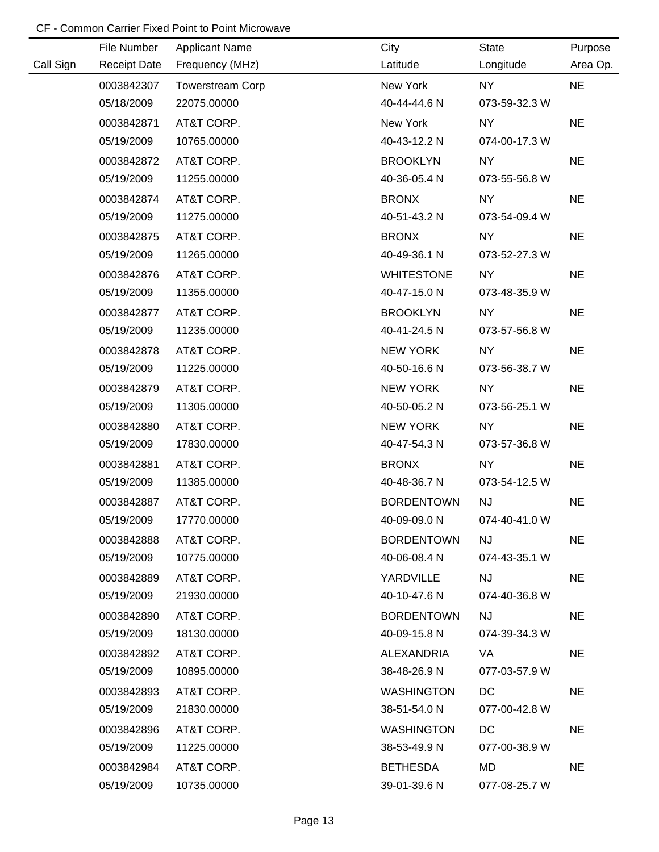|           | File Number         | <b>Applicant Name</b>   | City              | State         | Purpose   |
|-----------|---------------------|-------------------------|-------------------|---------------|-----------|
| Call Sign | <b>Receipt Date</b> | Frequency (MHz)         | Latitude          | Longitude     | Area Op.  |
|           | 0003842307          | <b>Towerstream Corp</b> | New York          | <b>NY</b>     | <b>NE</b> |
|           | 05/18/2009          | 22075.00000             | 40-44-44.6 N      | 073-59-32.3 W |           |
|           | 0003842871          | AT&T CORP.              | New York          | NY            | <b>NE</b> |
|           | 05/19/2009          | 10765.00000             | 40-43-12.2 N      | 074-00-17.3 W |           |
|           | 0003842872          | AT&T CORP.              | <b>BROOKLYN</b>   | NY            | <b>NE</b> |
|           | 05/19/2009          | 11255.00000             | 40-36-05.4 N      | 073-55-56.8 W |           |
|           | 0003842874          | AT&T CORP.              | <b>BRONX</b>      | NY            | <b>NE</b> |
|           | 05/19/2009          | 11275.00000             | 40-51-43.2 N      | 073-54-09.4 W |           |
|           | 0003842875          | AT&T CORP.              | <b>BRONX</b>      | NY            | <b>NE</b> |
|           | 05/19/2009          | 11265.00000             | 40-49-36.1 N      | 073-52-27.3 W |           |
|           | 0003842876          | AT&T CORP.              | <b>WHITESTONE</b> | NY            | <b>NE</b> |
|           | 05/19/2009          | 11355.00000             | 40-47-15.0 N      | 073-48-35.9 W |           |
|           | 0003842877          | AT&T CORP.              | <b>BROOKLYN</b>   | NY            | <b>NE</b> |
|           | 05/19/2009          | 11235.00000             | 40-41-24.5 N      | 073-57-56.8 W |           |
|           | 0003842878          | AT&T CORP.              | <b>NEW YORK</b>   | NY            | <b>NE</b> |
|           | 05/19/2009          | 11225.00000             | 40-50-16.6 N      | 073-56-38.7 W |           |
|           | 0003842879          | AT&T CORP.              | <b>NEW YORK</b>   | NY            | <b>NE</b> |
|           | 05/19/2009          | 11305.00000             | 40-50-05.2 N      | 073-56-25.1 W |           |
|           | 0003842880          | AT&T CORP.              | <b>NEW YORK</b>   | <b>NY</b>     | <b>NE</b> |
|           | 05/19/2009          | 17830.00000             | 40-47-54.3 N      | 073-57-36.8 W |           |
|           | 0003842881          | AT&T CORP.              | <b>BRONX</b>      | <b>NY</b>     | <b>NE</b> |
|           | 05/19/2009          | 11385.00000             | 40-48-36.7 N      | 073-54-12.5 W |           |
|           | 0003842887          | AT&T CORP.              | <b>BORDENTOWN</b> | NJ            | <b>NE</b> |
|           | 05/19/2009          | 17770.00000             | 40-09-09.0 N      | 074-40-41.0 W |           |
|           | 0003842888          | AT&T CORP.              | <b>BORDENTOWN</b> | <b>NJ</b>     | <b>NE</b> |
|           | 05/19/2009          | 10775.00000             | 40-06-08.4 N      | 074-43-35.1 W |           |
|           | 0003842889          | AT&T CORP.              | YARDVILLE         | <b>NJ</b>     | <b>NE</b> |
|           | 05/19/2009          | 21930.00000             | 40-10-47.6 N      | 074-40-36.8 W |           |
|           | 0003842890          | AT&T CORP.              | <b>BORDENTOWN</b> | <b>NJ</b>     | <b>NE</b> |
|           | 05/19/2009          | 18130.00000             | 40-09-15.8 N      | 074-39-34.3 W |           |
|           | 0003842892          | AT&T CORP.              | ALEXANDRIA        | VA            | <b>NE</b> |
|           | 05/19/2009          | 10895.00000             | 38-48-26.9 N      | 077-03-57.9 W |           |
|           | 0003842893          | AT&T CORP.              | <b>WASHINGTON</b> | DC            | <b>NE</b> |
|           | 05/19/2009          | 21830.00000             | 38-51-54.0 N      | 077-00-42.8 W |           |
|           | 0003842896          | AT&T CORP.              | <b>WASHINGTON</b> | DC            | <b>NE</b> |
|           | 05/19/2009          | 11225.00000             | 38-53-49.9 N      | 077-00-38.9 W |           |
|           | 0003842984          | AT&T CORP.              | <b>BETHESDA</b>   | MD            | <b>NE</b> |
|           | 05/19/2009          | 10735.00000             | 39-01-39.6 N      | 077-08-25.7 W |           |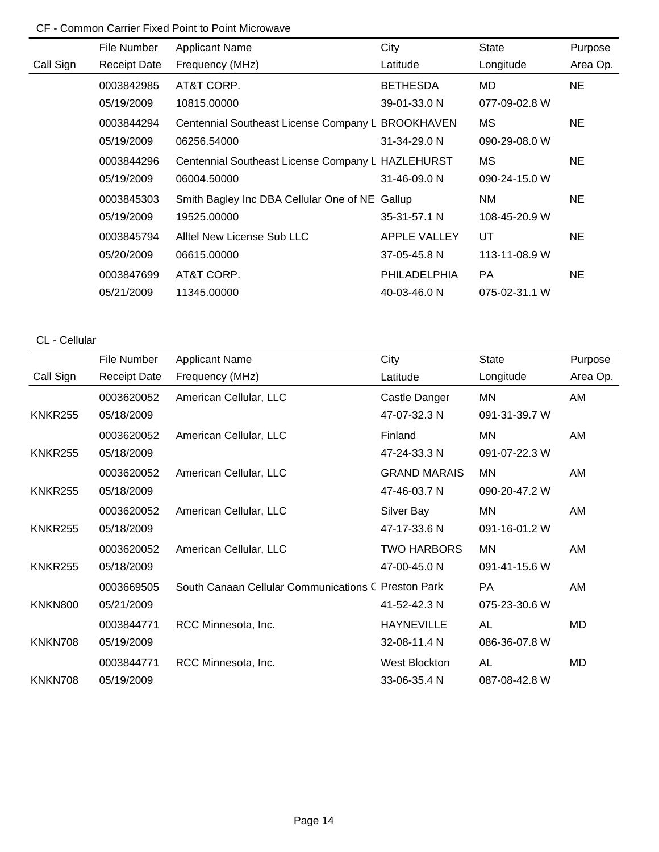|           | File Number         | <b>Applicant Name</b>                             | City            | State         | Purpose   |
|-----------|---------------------|---------------------------------------------------|-----------------|---------------|-----------|
| Call Sign | <b>Receipt Date</b> | Frequency (MHz)                                   | Latitude        | Longitude     | Area Op.  |
|           | 0003842985          | AT&T CORP.                                        | <b>BETHESDA</b> | MD            | <b>NE</b> |
|           | 05/19/2009          | 10815.00000                                       | 39-01-33.0 N    | 077-09-02.8 W |           |
|           | 0003844294          | Centennial Southeast License Company L BROOKHAVEN |                 | МS            | <b>NE</b> |
|           | 05/19/2009          | 06256.54000                                       | 31-34-29.0 N    | 090-29-08.0 W |           |
|           | 0003844296          | Centennial Southeast License Company L HAZLEHURST |                 | МS            | <b>NE</b> |
|           | 05/19/2009          | 06004.50000                                       | 31-46-09.0 N    | 090-24-15.0 W |           |
|           | 0003845303          | Smith Bagley Inc DBA Cellular One of NE           | Gallup          | NM.           | <b>NE</b> |
|           | 05/19/2009          | 19525.00000                                       | 35-31-57.1 N    | 108-45-20.9 W |           |
|           | 0003845794          | Alltel New License Sub LLC                        | APPLE VALLEY    | UT            | <b>NE</b> |
|           | 05/20/2009          | 06615,00000                                       | 37-05-45.8 N    | 113-11-08.9 W |           |
|           | 0003847699          | AT&T CORP.                                        | PHILADELPHIA    | <b>PA</b>     | NE.       |
|           | 05/21/2009          | 11345.00000                                       | 40-03-46.0 N    | 075-02-31.1 W |           |

## CL - Cellular

|                | File Number         | <b>Applicant Name</b>                               | City                | <b>State</b>  | Purpose  |
|----------------|---------------------|-----------------------------------------------------|---------------------|---------------|----------|
| Call Sign      | <b>Receipt Date</b> | Frequency (MHz)                                     | Latitude            | Longitude     | Area Op. |
|                | 0003620052          | American Cellular, LLC                              | Castle Danger       | MN            | AM       |
| <b>KNKR255</b> | 05/18/2009          |                                                     | 47-07-32.3 N        | 091-31-39.7 W |          |
|                | 0003620052          | American Cellular, LLC                              | Finland             | MN            | AM       |
| <b>KNKR255</b> | 05/18/2009          |                                                     | 47-24-33.3 N        | 091-07-22.3 W |          |
|                | 0003620052          | American Cellular, LLC                              | <b>GRAND MARAIS</b> | MN            | AM       |
| <b>KNKR255</b> | 05/18/2009          |                                                     | 47-46-03.7 N        | 090-20-47.2 W |          |
|                | 0003620052          | American Cellular, LLC                              | Silver Bay          | MN            | AM       |
| <b>KNKR255</b> | 05/18/2009          |                                                     | 47-17-33.6 N        | 091-16-01.2 W |          |
|                | 0003620052          | American Cellular, LLC                              | <b>TWO HARBORS</b>  | MN            | AM       |
| <b>KNKR255</b> | 05/18/2009          |                                                     | 47-00-45.0 N        | 091-41-15.6 W |          |
|                | 0003669505          | South Canaan Cellular Communications C Preston Park |                     | <b>PA</b>     | AM       |
| <b>KNKN800</b> | 05/21/2009          |                                                     | 41-52-42.3 N        | 075-23-30.6 W |          |
|                | 0003844771          | RCC Minnesota, Inc.                                 | <b>HAYNEVILLE</b>   | AL            | MD       |
| KNKN708        | 05/19/2009          |                                                     | 32-08-11.4 N        | 086-36-07.8 W |          |
|                | 0003844771          | RCC Minnesota, Inc.                                 | West Blockton       | AL            | MD       |
| KNKN708        | 05/19/2009          |                                                     | 33-06-35.4 N        | 087-08-42.8 W |          |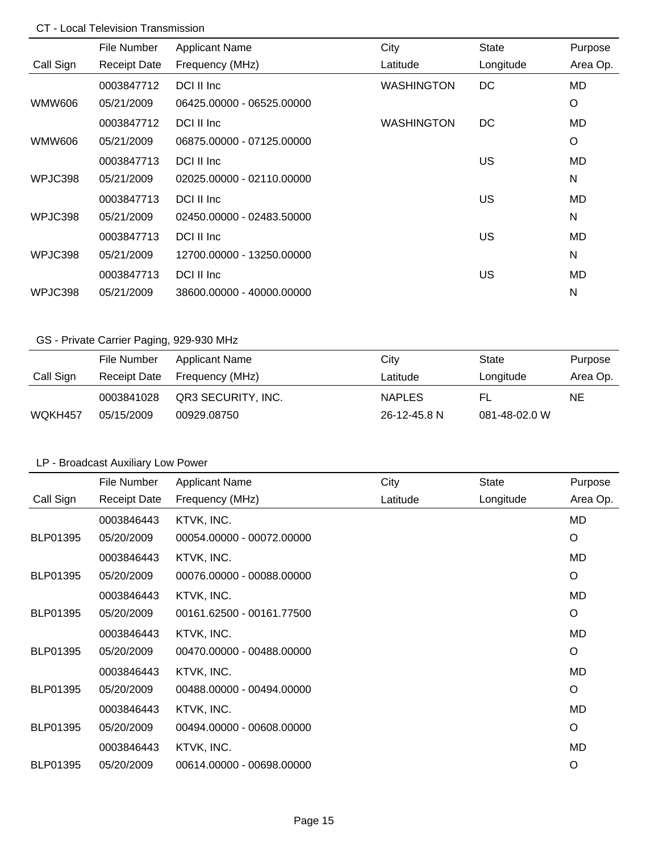## CT - Local Television Transmission

|           | File Number         | <b>Applicant Name</b>     | City              | <b>State</b> | Purpose  |
|-----------|---------------------|---------------------------|-------------------|--------------|----------|
| Call Sign | <b>Receipt Date</b> | Frequency (MHz)           | Latitude          | Longitude    | Area Op. |
|           | 0003847712          | DCI II Inc                | <b>WASHINGTON</b> | DC           | MD       |
| WMW606    | 05/21/2009          | 06425.00000 - 06525.00000 |                   |              | O        |
|           | 0003847712          | DCI II Inc                | <b>WASHINGTON</b> | DC           | MD       |
| WMW606    | 05/21/2009          | 06875.00000 - 07125.00000 |                   |              | O        |
|           | 0003847713          | DCI II Inc                |                   | US           | MD       |
| WPJC398   | 05/21/2009          | 02025.00000 - 02110.00000 |                   |              | N        |
|           | 0003847713          | DCI II Inc                |                   | US           | MD       |
| WPJC398   | 05/21/2009          | 02450.00000 - 02483.50000 |                   |              | N        |
|           | 0003847713          | DCI II Inc                |                   | US           | MD       |
| WPJC398   | 05/21/2009          | 12700.00000 - 13250.00000 |                   |              | N        |
|           | 0003847713          | DCI II Inc                |                   | US           | MD       |
| WPJC398   | 05/21/2009          | 38600.00000 - 40000.00000 |                   |              | N        |

## GS - Private Carrier Paging, 929-930 MHz

|           | File Number  | Applicant Name     | City          | State         | Purpose  |
|-----------|--------------|--------------------|---------------|---------------|----------|
| Call Sign | Receipt Date | Frequency (MHz)    | Latitude      | Longitude     | Area Op. |
|           | 0003841028   | QR3 SECURITY, INC. | <b>NAPLES</b> | FL.           | NE       |
| WQKH457   | 05/15/2009   | 00929.08750        | 26-12-45.8 N  | 081-48-02.0 W |          |

## LP - Broadcast Auxiliary Low Power

|                 | File Number         | <b>Applicant Name</b>     | City     | <b>State</b> | Purpose   |
|-----------------|---------------------|---------------------------|----------|--------------|-----------|
| Call Sign       | <b>Receipt Date</b> | Frequency (MHz)           | Latitude | Longitude    | Area Op.  |
|                 | 0003846443          | KTVK, INC.                |          |              | <b>MD</b> |
| BLP01395        | 05/20/2009          | 00054.00000 - 00072.00000 |          |              | O         |
|                 | 0003846443          | KTVK, INC.                |          |              | <b>MD</b> |
| BLP01395        | 05/20/2009          | 00076.00000 - 00088.00000 |          |              | O         |
|                 | 0003846443          | KTVK, INC.                |          |              | MD        |
| BLP01395        | 05/20/2009          | 00161.62500 - 00161.77500 |          |              | $\circ$   |
|                 | 0003846443          | KTVK, INC.                |          |              | <b>MD</b> |
| BLP01395        | 05/20/2009          | 00470.00000 - 00488.00000 |          |              | O         |
|                 | 0003846443          | KTVK, INC.                |          |              | MD        |
| <b>BLP01395</b> | 05/20/2009          | 00488.00000 - 00494.00000 |          |              | O         |
|                 | 0003846443          | KTVK, INC.                |          |              | MD        |
| BLP01395        | 05/20/2009          | 00494.00000 - 00608.00000 |          |              | O         |
|                 | 0003846443          | KTVK, INC.                |          |              | MD        |
| BLP01395        | 05/20/2009          | 00614.00000 - 00698.00000 |          |              | O         |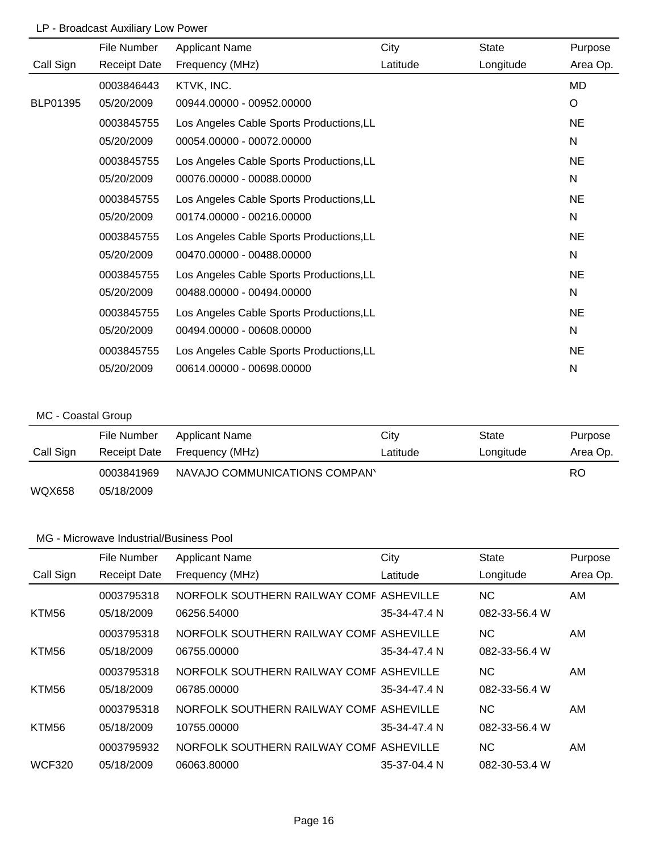## LP - Broadcast Auxiliary Low Power

|           | File Number         | <b>Applicant Name</b>                    | City     | <b>State</b> | Purpose   |
|-----------|---------------------|------------------------------------------|----------|--------------|-----------|
| Call Sign | <b>Receipt Date</b> | Frequency (MHz)                          | Latitude | Longitude    | Area Op.  |
|           | 0003846443          | KTVK, INC.                               |          |              | MD        |
| BLP01395  | 05/20/2009          | 00944.00000 - 00952.00000                |          |              | O         |
|           | 0003845755          | Los Angeles Cable Sports Productions, LL |          |              | <b>NE</b> |
|           | 05/20/2009          | 00054.00000 - 00072.00000                |          |              | N         |
|           | 0003845755          | Los Angeles Cable Sports Productions, LL |          |              | <b>NE</b> |
|           | 05/20/2009          | 00076.00000 - 00088.00000                |          |              | N         |
|           | 0003845755          | Los Angeles Cable Sports Productions, LL |          |              | <b>NE</b> |
|           | 05/20/2009          | 00174.00000 - 00216.00000                |          |              | N         |
|           | 0003845755          | Los Angeles Cable Sports Productions, LL |          |              | <b>NE</b> |
|           | 05/20/2009          | 00470.00000 - 00488.00000                |          |              | N         |
|           | 0003845755          | Los Angeles Cable Sports Productions, LL |          |              | <b>NE</b> |
|           | 05/20/2009          | 00488.00000 - 00494.00000                |          |              | N         |
|           | 0003845755          | Los Angeles Cable Sports Productions, LL |          |              | <b>NE</b> |
|           | 05/20/2009          | 00494.00000 - 00608.00000                |          |              | N         |
|           | 0003845755          | Los Angeles Cable Sports Productions, LL |          |              | <b>NE</b> |
|           | 05/20/2009          | 00614.00000 - 00698.00000                |          |              | N         |
|           |                     |                                          |          |              |           |

## MC - Coastal Group

|           | File Number  | Applicant Name                | City     | State     | Purpose  |
|-----------|--------------|-------------------------------|----------|-----------|----------|
| Call Sign | Receipt Date | Frequency (MHz)               | Latitude | Longitude | Area Op. |
|           | 0003841969   | NAVAJO COMMUNICATIONS COMPANY |          |           | RO       |
| WQX658    | 05/18/2009   |                               |          |           |          |

|               | File Number         | <b>Applicant Name</b>                   | City         | State         | Purpose  |
|---------------|---------------------|-----------------------------------------|--------------|---------------|----------|
| Call Sign     | <b>Receipt Date</b> | Frequency (MHz)                         | Latitude     | Longitude     | Area Op. |
|               | 0003795318          | NORFOLK SOUTHERN RAILWAY COMF ASHEVILLE |              | NC.           | AM.      |
| KTM56         | 05/18/2009          | 06256.54000                             | 35-34-47.4 N | 082-33-56.4 W |          |
|               | 0003795318          | NORFOLK SOUTHERN RAILWAY COMF ASHEVILLE |              | NC.           | AM       |
| KTM56         | 05/18/2009          | 06755.00000                             | 35-34-47.4 N | 082-33-56.4 W |          |
|               | 0003795318          | NORFOLK SOUTHERN RAILWAY COMF ASHEVILLE |              | NC.           | AM.      |
| KTM56         | 05/18/2009          | 06785.00000                             | 35-34-47.4 N | 082-33-56.4 W |          |
|               | 0003795318          | NORFOLK SOUTHERN RAILWAY COMF ASHEVILLE |              | NC.           | AM.      |
| KTM56         | 05/18/2009          | 10755.00000                             | 35-34-47.4 N | 082-33-56.4 W |          |
|               | 0003795932          | NORFOLK SOUTHERN RAILWAY COMF ASHEVILLE |              | NC.           | AM       |
| <b>WCF320</b> | 05/18/2009          | 06063.80000                             | 35-37-04.4 N | 082-30-53.4 W |          |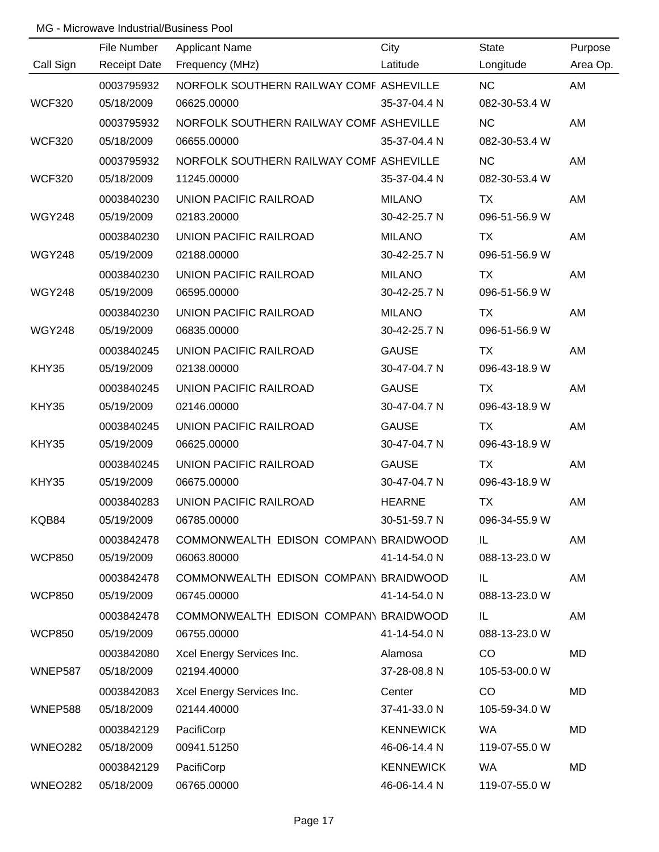|               | File Number         | <b>Applicant Name</b>                   | City             | <b>State</b>  | Purpose   |
|---------------|---------------------|-----------------------------------------|------------------|---------------|-----------|
| Call Sign     | <b>Receipt Date</b> | Frequency (MHz)                         | Latitude         | Longitude     | Area Op.  |
|               | 0003795932          | NORFOLK SOUTHERN RAILWAY COMF ASHEVILLE |                  | <b>NC</b>     | AM        |
| <b>WCF320</b> | 05/18/2009          | 06625.00000                             | 35-37-04.4 N     | 082-30-53.4 W |           |
|               | 0003795932          | NORFOLK SOUTHERN RAILWAY COMF ASHEVILLE |                  | <b>NC</b>     | AM        |
| <b>WCF320</b> | 05/18/2009          | 06655.00000                             | 35-37-04.4 N     | 082-30-53.4 W |           |
|               | 0003795932          | NORFOLK SOUTHERN RAILWAY COMF ASHEVILLE |                  | <b>NC</b>     | AM        |
| <b>WCF320</b> | 05/18/2009          | 11245.00000                             | 35-37-04.4 N     | 082-30-53.4 W |           |
|               | 0003840230          | UNION PACIFIC RAILROAD                  | <b>MILANO</b>    | <b>TX</b>     | AM        |
| <b>WGY248</b> | 05/19/2009          | 02183.20000                             | 30-42-25.7 N     | 096-51-56.9 W |           |
|               | 0003840230          | UNION PACIFIC RAILROAD                  | <b>MILANO</b>    | TX            | AM        |
| <b>WGY248</b> | 05/19/2009          | 02188.00000                             | 30-42-25.7 N     | 096-51-56.9 W |           |
|               | 0003840230          | UNION PACIFIC RAILROAD                  | <b>MILANO</b>    | <b>TX</b>     | AM        |
| <b>WGY248</b> | 05/19/2009          | 06595.00000                             | 30-42-25.7 N     | 096-51-56.9 W |           |
|               | 0003840230          | UNION PACIFIC RAILROAD                  | <b>MILANO</b>    | TX            | AM        |
| <b>WGY248</b> | 05/19/2009          | 06835.00000                             | 30-42-25.7 N     | 096-51-56.9 W |           |
|               | 0003840245          | UNION PACIFIC RAILROAD                  | <b>GAUSE</b>     | TX            | AM        |
| KHY35         | 05/19/2009          | 02138.00000                             | 30-47-04.7 N     | 096-43-18.9 W |           |
|               | 0003840245          | UNION PACIFIC RAILROAD                  | <b>GAUSE</b>     | TX            | AM        |
| KHY35         | 05/19/2009          | 02146.00000                             | 30-47-04.7 N     | 096-43-18.9 W |           |
|               | 0003840245          | UNION PACIFIC RAILROAD                  | <b>GAUSE</b>     | TX            | AM        |
| KHY35         | 05/19/2009          | 06625.00000                             | 30-47-04.7 N     | 096-43-18.9 W |           |
|               | 0003840245          | UNION PACIFIC RAILROAD                  | <b>GAUSE</b>     | <b>TX</b>     | AM        |
| KHY35         | 05/19/2009          | 06675.00000                             | 30-47-04.7 N     | 096-43-18.9 W |           |
|               | 0003840283          | <b>UNION PACIFIC RAILROAD</b>           | <b>HEARNE</b>    | <b>TX</b>     | AM        |
| KQB84         | 05/19/2009          | 06785.00000                             | 30-51-59.7 N     | 096-34-55.9 W |           |
|               | 0003842478          | COMMONWEALTH EDISON COMPANY BRAIDWOOD   |                  | IL.           | AM        |
| <b>WCP850</b> | 05/19/2009          | 06063.80000                             | 41-14-54.0 N     | 088-13-23.0 W |           |
|               | 0003842478          | COMMONWEALTH EDISON COMPANY BRAIDWOOD   |                  | IL.           | AM        |
| <b>WCP850</b> | 05/19/2009          | 06745.00000                             | 41-14-54.0 N     | 088-13-23.0 W |           |
|               | 0003842478          | COMMONWEALTH EDISON COMPANY BRAIDWOOD   |                  | IL.           | AM        |
| <b>WCP850</b> | 05/19/2009          | 06755.00000                             | 41-14-54.0 N     | 088-13-23.0 W |           |
|               | 0003842080          | Xcel Energy Services Inc.               | Alamosa          | CO            | MD        |
| WNEP587       | 05/18/2009          | 02194.40000                             | 37-28-08.8 N     | 105-53-00.0 W |           |
|               | 0003842083          | Xcel Energy Services Inc.               | Center           | CO            | MD        |
| WNEP588       | 05/18/2009          | 02144.40000                             | 37-41-33.0 N     | 105-59-34.0 W |           |
|               | 0003842129          | PacifiCorp                              | <b>KENNEWICK</b> | WA            | <b>MD</b> |
| WNEO282       | 05/18/2009          | 00941.51250                             | 46-06-14.4 N     | 119-07-55.0 W |           |
|               | 0003842129          | PacifiCorp                              | <b>KENNEWICK</b> | <b>WA</b>     | MD        |
| WNEO282       | 05/18/2009          | 06765.00000                             | 46-06-14.4 N     | 119-07-55.0 W |           |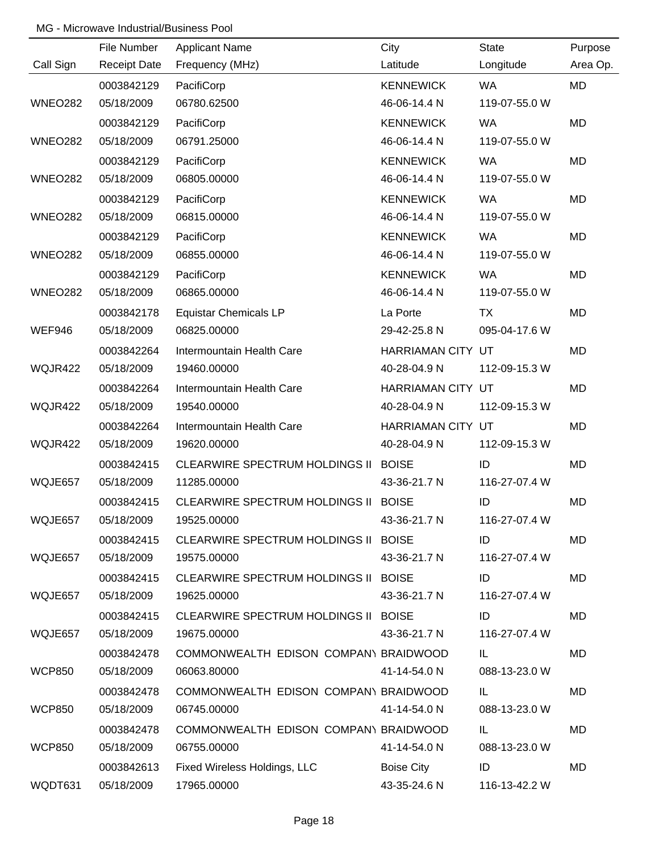|                | File Number         | <b>Applicant Name</b>                 | City              | <b>State</b>  | Purpose   |
|----------------|---------------------|---------------------------------------|-------------------|---------------|-----------|
| Call Sign      | <b>Receipt Date</b> | Frequency (MHz)                       | Latitude          | Longitude     | Area Op.  |
|                | 0003842129          | PacifiCorp                            | <b>KENNEWICK</b>  | <b>WA</b>     | MD        |
| <b>WNEO282</b> | 05/18/2009          | 06780.62500                           | 46-06-14.4 N      | 119-07-55.0 W |           |
|                | 0003842129          | PacifiCorp                            | <b>KENNEWICK</b>  | <b>WA</b>     | <b>MD</b> |
| <b>WNEO282</b> | 05/18/2009          | 06791.25000                           | 46-06-14.4 N      | 119-07-55.0 W |           |
|                | 0003842129          | PacifiCorp                            | <b>KENNEWICK</b>  | <b>WA</b>     | MD        |
| <b>WNEO282</b> | 05/18/2009          | 06805.00000                           | 46-06-14.4 N      | 119-07-55.0 W |           |
|                | 0003842129          | PacifiCorp                            | <b>KENNEWICK</b>  | <b>WA</b>     | MD        |
| <b>WNEO282</b> | 05/18/2009          | 06815.00000                           | 46-06-14.4 N      | 119-07-55.0 W |           |
|                | 0003842129          | PacifiCorp                            | <b>KENNEWICK</b>  | <b>WA</b>     | MD        |
| <b>WNEO282</b> | 05/18/2009          | 06855.00000                           | 46-06-14.4 N      | 119-07-55.0 W |           |
|                | 0003842129          | PacifiCorp                            | <b>KENNEWICK</b>  | <b>WA</b>     | <b>MD</b> |
| <b>WNEO282</b> | 05/18/2009          | 06865.00000                           | 46-06-14.4 N      | 119-07-55.0 W |           |
|                | 0003842178          | <b>Equistar Chemicals LP</b>          | La Porte          | TX            | MD        |
| WEF946         | 05/18/2009          | 06825.00000                           | 29-42-25.8 N      | 095-04-17.6 W |           |
|                | 0003842264          | Intermountain Health Care             | HARRIAMAN CITY UT |               | MD        |
| WQJR422        | 05/18/2009          | 19460.00000                           | 40-28-04.9 N      | 112-09-15.3 W |           |
|                | 0003842264          | Intermountain Health Care             | HARRIAMAN CITY UT |               | MD        |
| WQJR422        | 05/18/2009          | 19540.00000                           | 40-28-04.9 N      | 112-09-15.3 W |           |
|                | 0003842264          | Intermountain Health Care             | HARRIAMAN CITY UT |               | MD        |
| WQJR422        | 05/18/2009          | 19620.00000                           | 40-28-04.9 N      | 112-09-15.3 W |           |
|                | 0003842415          | <b>CLEARWIRE SPECTRUM HOLDINGS II</b> | <b>BOISE</b>      | ID            | MD        |
| WQJE657        | 05/18/2009          | 11285.00000                           | 43-36-21.7 N      | 116-27-07.4 W |           |
|                | 0003842415          | CLEARWIRE SPECTRUM HOLDINGS II BOISE  |                   | ID            | MD        |
| WQJE657        | 05/18/2009          | 19525.00000                           | 43-36-21.7 N      | 116-27-07.4 W |           |
|                | 0003842415          | CLEARWIRE SPECTRUM HOLDINGS II BOISE  |                   | ID            | MD        |
| WQJE657        | 05/18/2009          | 19575.00000                           | 43-36-21.7 N      | 116-27-07.4 W |           |
|                | 0003842415          | CLEARWIRE SPECTRUM HOLDINGS II BOISE  |                   | ID            | MD        |
| WQJE657        | 05/18/2009          | 19625.00000                           | 43-36-21.7 N      | 116-27-07.4 W |           |
|                | 0003842415          | CLEARWIRE SPECTRUM HOLDINGS II BOISE  |                   | ID            | MD        |
| WQJE657        | 05/18/2009          | 19675.00000                           | 43-36-21.7 N      | 116-27-07.4 W |           |
|                | 0003842478          | COMMONWEALTH EDISON COMPANY BRAIDWOOD |                   | IL.           | MD        |
| <b>WCP850</b>  | 05/18/2009          | 06063.80000                           | 41-14-54.0 N      | 088-13-23.0 W |           |
|                | 0003842478          | COMMONWEALTH EDISON COMPANY BRAIDWOOD |                   | IL            | MD        |
| <b>WCP850</b>  | 05/18/2009          | 06745.00000                           | 41-14-54.0 N      | 088-13-23.0 W |           |
|                | 0003842478          | COMMONWEALTH EDISON COMPANY BRAIDWOOD |                   | IL.           | MD        |
| <b>WCP850</b>  | 05/18/2009          | 06755.00000                           | 41-14-54.0 N      | 088-13-23.0 W |           |
|                | 0003842613          | Fixed Wireless Holdings, LLC          | <b>Boise City</b> | ID            | MD        |
| WQDT631        | 05/18/2009          | 17965.00000                           | 43-35-24.6 N      | 116-13-42.2 W |           |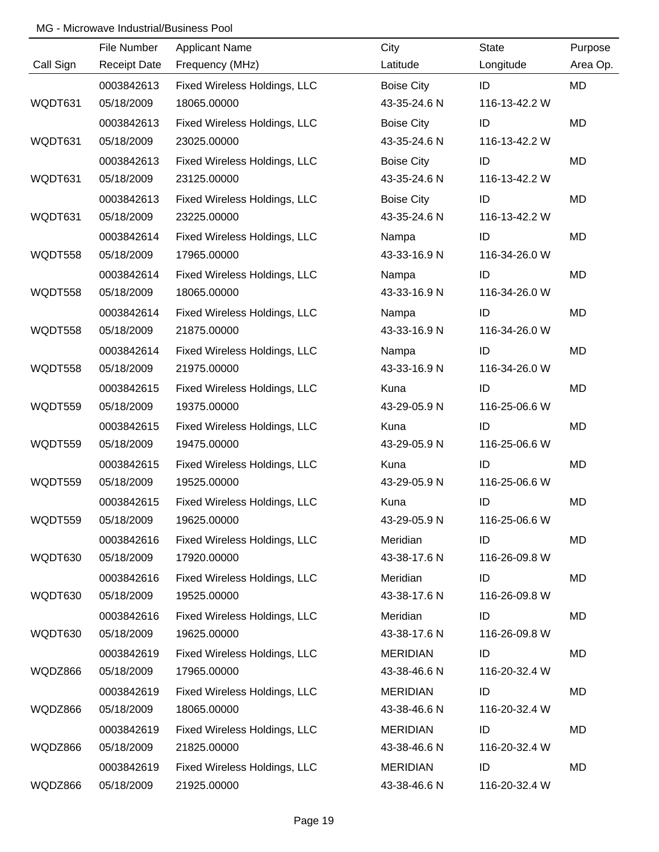|           | File Number         | <b>Applicant Name</b>        | City              | <b>State</b>  | Purpose   |
|-----------|---------------------|------------------------------|-------------------|---------------|-----------|
| Call Sign | <b>Receipt Date</b> | Frequency (MHz)              | Latitude          | Longitude     | Area Op.  |
|           | 0003842613          | Fixed Wireless Holdings, LLC | <b>Boise City</b> | ID            | MD        |
| WQDT631   | 05/18/2009          | 18065.00000                  | 43-35-24.6 N      | 116-13-42.2 W |           |
|           | 0003842613          | Fixed Wireless Holdings, LLC | <b>Boise City</b> | ID            | <b>MD</b> |
| WQDT631   | 05/18/2009          | 23025.00000                  | 43-35-24.6 N      | 116-13-42.2 W |           |
|           | 0003842613          | Fixed Wireless Holdings, LLC | <b>Boise City</b> | ID            | <b>MD</b> |
| WQDT631   | 05/18/2009          | 23125.00000                  | 43-35-24.6 N      | 116-13-42.2 W |           |
|           | 0003842613          | Fixed Wireless Holdings, LLC | <b>Boise City</b> | ID            | MD        |
| WQDT631   | 05/18/2009          | 23225.00000                  | 43-35-24.6 N      | 116-13-42.2 W |           |
|           | 0003842614          | Fixed Wireless Holdings, LLC | Nampa             | ID            | MD        |
| WQDT558   | 05/18/2009          | 17965.00000                  | 43-33-16.9 N      | 116-34-26.0 W |           |
|           | 0003842614          | Fixed Wireless Holdings, LLC | Nampa             | ID            | MD        |
| WQDT558   | 05/18/2009          | 18065.00000                  | 43-33-16.9 N      | 116-34-26.0 W |           |
|           | 0003842614          | Fixed Wireless Holdings, LLC | Nampa             | ID            | MD        |
| WQDT558   | 05/18/2009          | 21875.00000                  | 43-33-16.9 N      | 116-34-26.0 W |           |
|           | 0003842614          | Fixed Wireless Holdings, LLC | Nampa             | ID            | MD        |
| WQDT558   | 05/18/2009          | 21975.00000                  | 43-33-16.9 N      | 116-34-26.0 W |           |
|           | 0003842615          | Fixed Wireless Holdings, LLC | Kuna              | ID            | <b>MD</b> |
| WQDT559   | 05/18/2009          | 19375.00000                  | 43-29-05.9 N      | 116-25-06.6 W |           |
|           | 0003842615          | Fixed Wireless Holdings, LLC | Kuna              | ID            | MD        |
| WQDT559   | 05/18/2009          | 19475.00000                  | 43-29-05.9 N      | 116-25-06.6 W |           |
|           | 0003842615          | Fixed Wireless Holdings, LLC | Kuna              | ID            | MD        |
| WQDT559   | 05/18/2009          | 19525.00000                  | 43-29-05.9 N      | 116-25-06.6 W |           |
|           | 0003842615          | Fixed Wireless Holdings, LLC | Kuna              | ID            | MD        |
| WQDT559   | 05/18/2009          | 19625.00000                  | 43-29-05.9 N      | 116-25-06.6 W |           |
|           | 0003842616          | Fixed Wireless Holdings, LLC | Meridian          | ID            | MD        |
| WQDT630   | 05/18/2009          | 17920.00000                  | 43-38-17.6 N      | 116-26-09.8 W |           |
|           | 0003842616          | Fixed Wireless Holdings, LLC | Meridian          | ID            | MD        |
| WQDT630   | 05/18/2009          | 19525.00000                  | 43-38-17.6 N      | 116-26-09.8 W |           |
|           | 0003842616          | Fixed Wireless Holdings, LLC | Meridian          | ID            | MD        |
| WQDT630   | 05/18/2009          | 19625.00000                  | 43-38-17.6 N      | 116-26-09.8 W |           |
|           | 0003842619          | Fixed Wireless Holdings, LLC | <b>MERIDIAN</b>   | ID            | MD        |
| WQDZ866   | 05/18/2009          | 17965.00000                  | 43-38-46.6 N      | 116-20-32.4 W |           |
|           | 0003842619          | Fixed Wireless Holdings, LLC | <b>MERIDIAN</b>   | ID            | MD        |
| WQDZ866   | 05/18/2009          | 18065.00000                  | 43-38-46.6 N      | 116-20-32.4 W |           |
|           | 0003842619          | Fixed Wireless Holdings, LLC | <b>MERIDIAN</b>   | ID            | MD        |
| WQDZ866   | 05/18/2009          | 21825.00000                  | 43-38-46.6 N      | 116-20-32.4 W |           |
|           | 0003842619          | Fixed Wireless Holdings, LLC | <b>MERIDIAN</b>   | ID            | MD        |
| WQDZ866   | 05/18/2009          | 21925.00000                  | 43-38-46.6 N      | 116-20-32.4 W |           |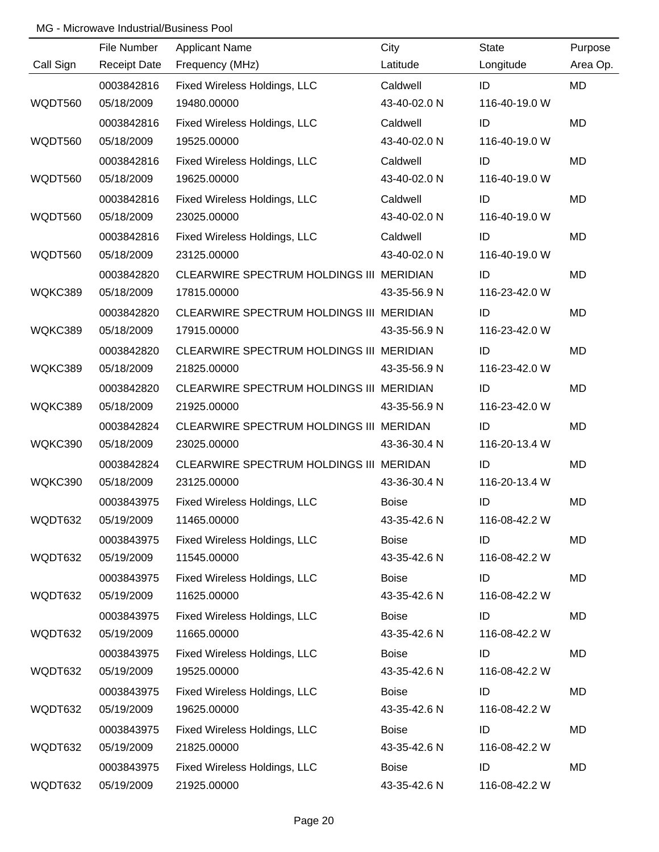|           | File Number         | Applicant Name                           | City         | <b>State</b>  | Purpose   |
|-----------|---------------------|------------------------------------------|--------------|---------------|-----------|
| Call Sign | <b>Receipt Date</b> | Frequency (MHz)                          | Latitude     | Longitude     | Area Op.  |
|           | 0003842816          | Fixed Wireless Holdings, LLC             | Caldwell     | ID            | MD        |
| WQDT560   | 05/18/2009          | 19480.00000                              | 43-40-02.0 N | 116-40-19.0 W |           |
|           | 0003842816          | Fixed Wireless Holdings, LLC             | Caldwell     | ID            | <b>MD</b> |
| WQDT560   | 05/18/2009          | 19525.00000                              | 43-40-02.0 N | 116-40-19.0 W |           |
|           | 0003842816          | Fixed Wireless Holdings, LLC             | Caldwell     | ID            | MD        |
| WQDT560   | 05/18/2009          | 19625.00000                              | 43-40-02.0 N | 116-40-19.0 W |           |
|           | 0003842816          | Fixed Wireless Holdings, LLC             | Caldwell     | ID            | MD        |
| WQDT560   | 05/18/2009          | 23025.00000                              | 43-40-02.0 N | 116-40-19.0 W |           |
|           | 0003842816          | Fixed Wireless Holdings, LLC             | Caldwell     | ID            | MD        |
| WQDT560   | 05/18/2009          | 23125.00000                              | 43-40-02.0 N | 116-40-19.0 W |           |
|           | 0003842820          | CLEARWIRE SPECTRUM HOLDINGS III MERIDIAN |              | ID            | <b>MD</b> |
| WQKC389   | 05/18/2009          | 17815.00000                              | 43-35-56.9 N | 116-23-42.0 W |           |
|           | 0003842820          | CLEARWIRE SPECTRUM HOLDINGS III MERIDIAN |              | ID            | MD        |
| WQKC389   | 05/18/2009          | 17915.00000                              | 43-35-56.9 N | 116-23-42.0 W |           |
|           | 0003842820          | CLEARWIRE SPECTRUM HOLDINGS III MERIDIAN |              | ID            | MD        |
| WQKC389   | 05/18/2009          | 21825.00000                              | 43-35-56.9 N | 116-23-42.0 W |           |
|           | 0003842820          | CLEARWIRE SPECTRUM HOLDINGS III MERIDIAN |              | ID            | MD        |
| WQKC389   | 05/18/2009          | 21925.00000                              | 43-35-56.9 N | 116-23-42.0 W |           |
|           | 0003842824          | CLEARWIRE SPECTRUM HOLDINGS III MERIDAN  |              | ID            | MD        |
| WQKC390   | 05/18/2009          | 23025.00000                              | 43-36-30.4 N | 116-20-13.4 W |           |
|           | 0003842824          | CLEARWIRE SPECTRUM HOLDINGS III MERIDAN  |              | ID            | MD        |
| WQKC390   | 05/18/2009          | 23125.00000                              | 43-36-30.4 N | 116-20-13.4 W |           |
|           | 0003843975          | Fixed Wireless Holdings, LLC             | <b>Boise</b> | ID            | MD        |
| WQDT632   | 05/19/2009          | 11465.00000                              | 43-35-42.6 N | 116-08-42.2 W |           |
|           | 0003843975          | Fixed Wireless Holdings, LLC             | <b>Boise</b> | ID            | MD        |
| WQDT632   | 05/19/2009          | 11545.00000                              | 43-35-42.6 N | 116-08-42.2 W |           |
|           | 0003843975          | Fixed Wireless Holdings, LLC             | <b>Boise</b> | ID            | MD        |
| WQDT632   | 05/19/2009          | 11625.00000                              | 43-35-42.6 N | 116-08-42.2 W |           |
|           | 0003843975          | Fixed Wireless Holdings, LLC             | <b>Boise</b> | ID            | MD        |
| WQDT632   | 05/19/2009          | 11665.00000                              | 43-35-42.6 N | 116-08-42.2 W |           |
|           | 0003843975          | Fixed Wireless Holdings, LLC             | <b>Boise</b> | ID            | MD        |
| WQDT632   | 05/19/2009          | 19525.00000                              | 43-35-42.6 N | 116-08-42.2 W |           |
|           | 0003843975          | Fixed Wireless Holdings, LLC             | <b>Boise</b> | ID            | MD        |
| WQDT632   | 05/19/2009          | 19625.00000                              | 43-35-42.6 N | 116-08-42.2 W |           |
|           | 0003843975          | Fixed Wireless Holdings, LLC             | <b>Boise</b> | ID            | MD        |
| WQDT632   | 05/19/2009          | 21825.00000                              | 43-35-42.6 N | 116-08-42.2 W |           |
|           | 0003843975          | Fixed Wireless Holdings, LLC             | <b>Boise</b> | ID            | MD        |
| WQDT632   | 05/19/2009          | 21925.00000                              | 43-35-42.6 N | 116-08-42.2 W |           |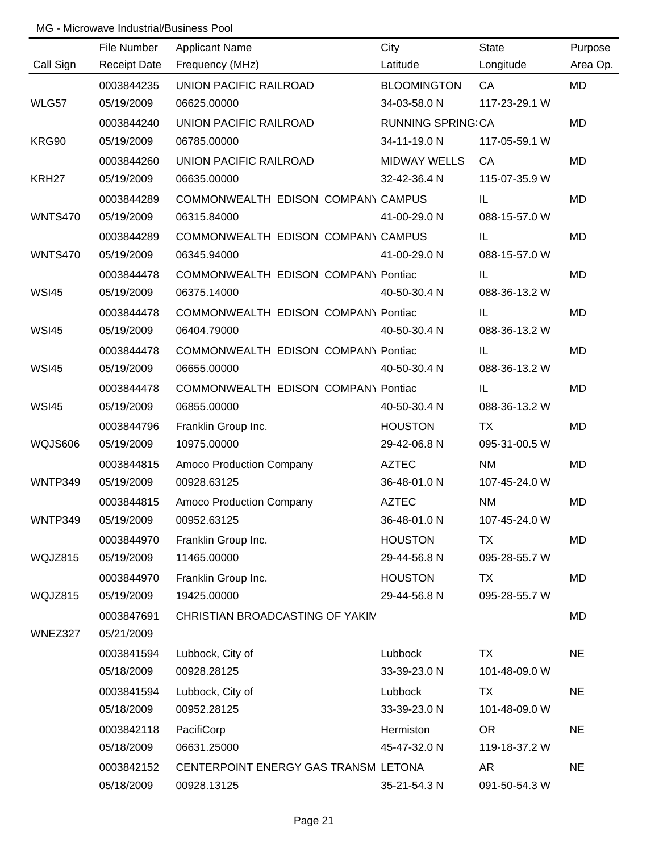|                   | File Number         | <b>Applicant Name</b>                | City                     | <b>State</b>  | Purpose   |
|-------------------|---------------------|--------------------------------------|--------------------------|---------------|-----------|
| Call Sign         | <b>Receipt Date</b> | Frequency (MHz)                      | Latitude                 | Longitude     | Area Op.  |
|                   | 0003844235          | UNION PACIFIC RAILROAD               | <b>BLOOMINGTON</b>       | CA            | <b>MD</b> |
| WLG57             | 05/19/2009          | 06625.00000                          | 34-03-58.0 N             | 117-23-29.1 W |           |
|                   | 0003844240          | UNION PACIFIC RAILROAD               | <b>RUNNING SPRING CA</b> |               | <b>MD</b> |
| KRG90             | 05/19/2009          | 06785.00000                          | 34-11-19.0 N             | 117-05-59.1 W |           |
|                   | 0003844260          | UNION PACIFIC RAILROAD               | <b>MIDWAY WELLS</b>      | CA            | MD        |
| KRH <sub>27</sub> | 05/19/2009          | 06635.00000                          | 32-42-36.4 N             | 115-07-35.9 W |           |
|                   | 0003844289          | COMMONWEALTH EDISON COMPANY CAMPUS   |                          | IL            | MD        |
| <b>WNTS470</b>    | 05/19/2009          | 06315.84000                          | 41-00-29.0 N             | 088-15-57.0 W |           |
|                   | 0003844289          | COMMONWEALTH EDISON COMPANY CAMPUS   |                          | IL.           | MD        |
| <b>WNTS470</b>    | 05/19/2009          | 06345.94000                          | 41-00-29.0 N             | 088-15-57.0 W |           |
|                   | 0003844478          | COMMONWEALTH EDISON COMPANY Pontiac  |                          | IL            | MD        |
| <b>WSI45</b>      | 05/19/2009          | 06375.14000                          | 40-50-30.4 N             | 088-36-13.2 W |           |
|                   | 0003844478          | COMMONWEALTH EDISON COMPANY Pontiac  |                          | IL            | MD        |
| <b>WSI45</b>      | 05/19/2009          | 06404.79000                          | 40-50-30.4 N             | 088-36-13.2 W |           |
|                   | 0003844478          | COMMONWEALTH EDISON COMPANY Pontiac  |                          | IL            | MD        |
| <b>WSI45</b>      | 05/19/2009          | 06655.00000                          | 40-50-30.4 N             | 088-36-13.2 W |           |
|                   | 0003844478          | COMMONWEALTH EDISON COMPANY Pontiac  |                          | IL            | MD        |
| <b>WSI45</b>      | 05/19/2009          | 06855.00000                          | 40-50-30.4 N             | 088-36-13.2 W |           |
|                   | 0003844796          | Franklin Group Inc.                  | <b>HOUSTON</b>           | <b>TX</b>     | MD        |
| WQJS606           | 05/19/2009          | 10975.00000                          | 29-42-06.8 N             | 095-31-00.5 W |           |
|                   | 0003844815          | Amoco Production Company             | <b>AZTEC</b>             | <b>NM</b>     | <b>MD</b> |
| <b>WNTP349</b>    | 05/19/2009          | 00928.63125                          | 36-48-01.0 N             | 107-45-24.0 W |           |
|                   | 0003844815          | Amoco Production Company             | <b>AZTEC</b>             | <b>NM</b>     | MD        |
| WNTP349           | 05/19/2009          | 00952.63125                          | 36-48-01.0 N             | 107-45-24.0 W |           |
|                   | 0003844970          | Franklin Group Inc.                  | <b>HOUSTON</b>           | <b>TX</b>     | MD        |
| WQJZ815           | 05/19/2009          | 11465.00000                          | 29-44-56.8 N             | 095-28-55.7 W |           |
|                   | 0003844970          | Franklin Group Inc.                  | <b>HOUSTON</b>           | TX            | MD        |
| WQJZ815           | 05/19/2009          | 19425.00000                          | 29-44-56.8 N             | 095-28-55.7 W |           |
|                   | 0003847691          | CHRISTIAN BROADCASTING OF YAKIN      |                          |               | MD        |
| WNEZ327           | 05/21/2009          |                                      |                          |               |           |
|                   | 0003841594          | Lubbock, City of                     | Lubbock                  | TX            | <b>NE</b> |
|                   | 05/18/2009          | 00928.28125                          | 33-39-23.0 N             | 101-48-09.0 W |           |
|                   | 0003841594          | Lubbock, City of                     | Lubbock                  | <b>TX</b>     | <b>NE</b> |
|                   | 05/18/2009          | 00952.28125                          | 33-39-23.0 N             | 101-48-09.0 W |           |
|                   | 0003842118          | PacifiCorp                           | Hermiston                | <b>OR</b>     | <b>NE</b> |
|                   | 05/18/2009          | 06631.25000                          | 45-47-32.0 N             | 119-18-37.2 W |           |
|                   | 0003842152          | CENTERPOINT ENERGY GAS TRANSM LETONA |                          | <b>AR</b>     | <b>NE</b> |
|                   | 05/18/2009          | 00928.13125                          | 35-21-54.3 N             | 091-50-54.3 W |           |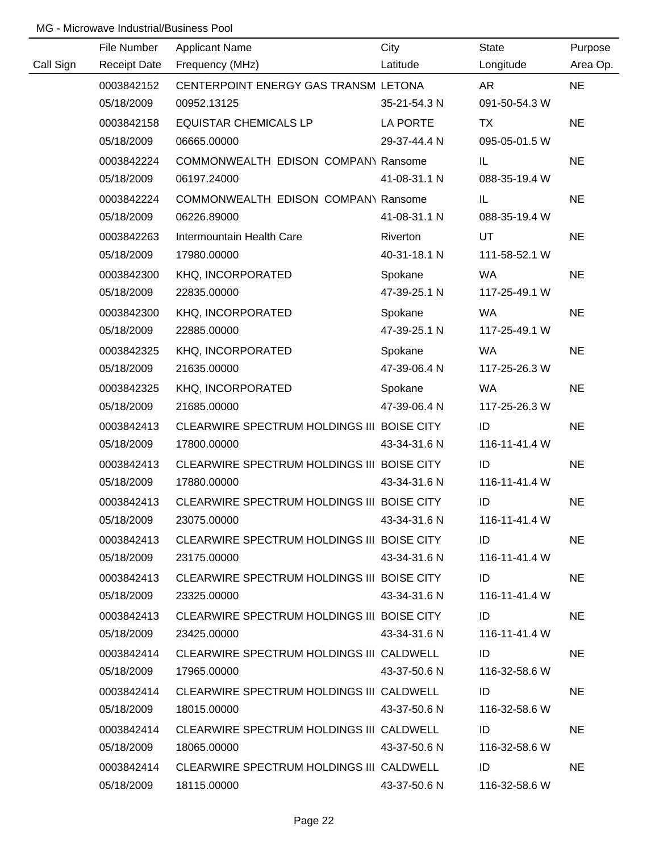|           | File Number | <b>Applicant Name</b>                      | City         | State         | Purpose   |
|-----------|-------------|--------------------------------------------|--------------|---------------|-----------|
| Call Sign |             | Receipt Date Frequency (MHz)               | Latitude     | Longitude     | Area Op.  |
|           | 0003842152  | CENTERPOINT ENERGY GAS TRANSM LETONA       |              | AR            | <b>NE</b> |
|           | 05/18/2009  | 00952.13125                                | 35-21-54.3 N | 091-50-54.3 W |           |
|           | 0003842158  | <b>EQUISTAR CHEMICALS LP</b>               | LA PORTE     | <b>TX</b>     | <b>NE</b> |
|           | 05/18/2009  | 06665.00000                                | 29-37-44.4 N | 095-05-01.5 W |           |
|           | 0003842224  | COMMONWEALTH EDISON COMPANY Ransome        |              | IL.           | <b>NE</b> |
|           | 05/18/2009  | 06197.24000                                | 41-08-31.1 N | 088-35-19.4 W |           |
|           | 0003842224  | COMMONWEALTH EDISON COMPANY Ransome        |              | IL.           | <b>NE</b> |
|           | 05/18/2009  | 06226.89000                                | 41-08-31.1 N | 088-35-19.4 W |           |
|           | 0003842263  | Intermountain Health Care                  | Riverton     | UT            | <b>NE</b> |
|           | 05/18/2009  | 17980.00000                                | 40-31-18.1 N | 111-58-52.1 W |           |
|           | 0003842300  | KHQ, INCORPORATED                          | Spokane      | <b>WA</b>     | <b>NE</b> |
|           | 05/18/2009  | 22835.00000                                | 47-39-25.1 N | 117-25-49.1 W |           |
|           | 0003842300  | KHQ, INCORPORATED                          | Spokane      | <b>WA</b>     | <b>NE</b> |
|           | 05/18/2009  | 22885.00000                                | 47-39-25.1 N | 117-25-49.1 W |           |
|           | 0003842325  | KHQ, INCORPORATED                          | Spokane      | <b>WA</b>     | <b>NE</b> |
|           | 05/18/2009  | 21635.00000                                | 47-39-06.4 N | 117-25-26.3 W |           |
|           | 0003842325  | KHQ, INCORPORATED                          | Spokane      | WA.           | <b>NE</b> |
|           | 05/18/2009  | 21685.00000                                | 47-39-06.4 N | 117-25-26.3 W |           |
|           | 0003842413  | CLEARWIRE SPECTRUM HOLDINGS III BOISE CITY |              | ID            | <b>NE</b> |
|           | 05/18/2009  | 17800.00000                                | 43-34-31.6 N | 116-11-41.4 W |           |
|           | 0003842413  | CLEARWIRE SPECTRUM HOLDINGS III BOISE CITY |              | ID            | <b>NE</b> |
|           | 05/18/2009  | 17880.00000                                | 43-34-31.6 N | 116-11-41.4 W |           |
|           | 0003842413  | CLEARWIRE SPECTRUM HOLDINGS III BOISE CITY |              | ID            | <b>NE</b> |
|           | 05/18/2009  | 23075.00000                                | 43-34-31.6 N | 116-11-41.4 W |           |
|           | 0003842413  | CLEARWIRE SPECTRUM HOLDINGS III BOISE CITY |              | ID            | <b>NE</b> |
|           | 05/18/2009  | 23175.00000                                | 43-34-31.6 N | 116-11-41.4 W |           |
|           | 0003842413  | CLEARWIRE SPECTRUM HOLDINGS III BOISE CITY |              | ID            | <b>NE</b> |
|           | 05/18/2009  | 23325.00000                                | 43-34-31.6 N | 116-11-41.4 W |           |
|           | 0003842413  | CLEARWIRE SPECTRUM HOLDINGS III BOISE CITY |              | ID            | <b>NE</b> |
|           | 05/18/2009  | 23425.00000                                | 43-34-31.6 N | 116-11-41.4 W |           |
|           | 0003842414  | CLEARWIRE SPECTRUM HOLDINGS III CALDWELL   |              | ID            | <b>NE</b> |
|           | 05/18/2009  | 17965.00000                                | 43-37-50.6 N | 116-32-58.6 W |           |
|           | 0003842414  | CLEARWIRE SPECTRUM HOLDINGS III CALDWELL   |              | ID            | <b>NE</b> |
|           | 05/18/2009  | 18015.00000                                | 43-37-50.6 N | 116-32-58.6 W |           |
|           | 0003842414  | CLEARWIRE SPECTRUM HOLDINGS III CALDWELL   |              | ID            | <b>NE</b> |
|           | 05/18/2009  | 18065.00000                                | 43-37-50.6 N | 116-32-58.6 W |           |
|           | 0003842414  | CLEARWIRE SPECTRUM HOLDINGS III CALDWELL   |              | ID            | <b>NE</b> |
|           | 05/18/2009  | 18115.00000                                | 43-37-50.6 N | 116-32-58.6 W |           |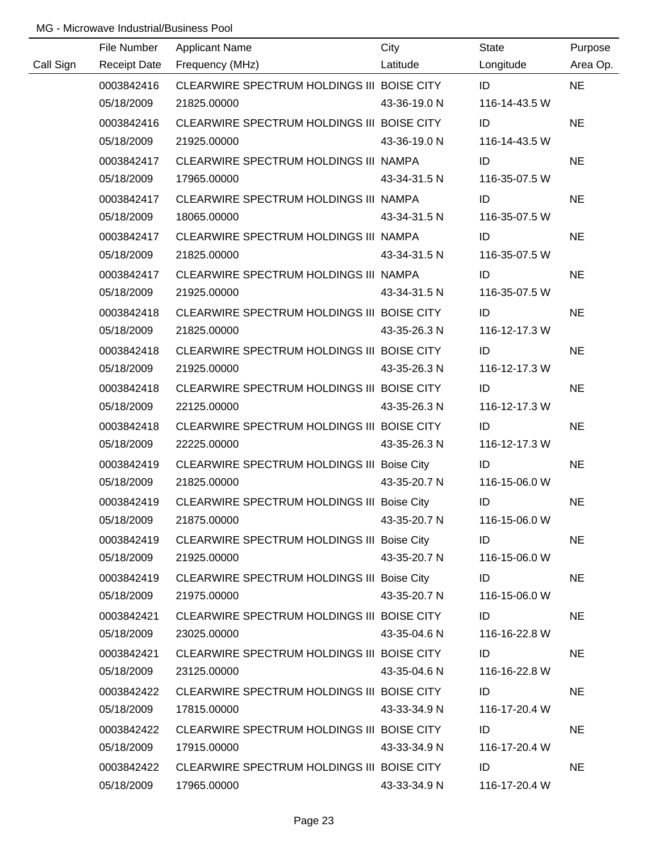|           | File Number         | <b>Applicant Name</b>                      | City         | State         | Purpose   |
|-----------|---------------------|--------------------------------------------|--------------|---------------|-----------|
| Call Sign | <b>Receipt Date</b> | Frequency (MHz)                            | Latitude     | Longitude     | Area Op.  |
|           | 0003842416          | CLEARWIRE SPECTRUM HOLDINGS III BOISE CITY |              | ID            | <b>NE</b> |
|           | 05/18/2009          | 21825.00000                                | 43-36-19.0 N | 116-14-43.5 W |           |
|           | 0003842416          | CLEARWIRE SPECTRUM HOLDINGS III BOISE CITY |              | ID            | <b>NE</b> |
|           | 05/18/2009          | 21925.00000                                | 43-36-19.0 N | 116-14-43.5 W |           |
|           | 0003842417          | CLEARWIRE SPECTRUM HOLDINGS III NAMPA      |              | ID            | <b>NE</b> |
|           | 05/18/2009          | 17965.00000                                | 43-34-31.5 N | 116-35-07.5 W |           |
|           | 0003842417          | CLEARWIRE SPECTRUM HOLDINGS III NAMPA      |              | ID            | <b>NE</b> |
|           | 05/18/2009          | 18065.00000                                | 43-34-31.5 N | 116-35-07.5 W |           |
|           | 0003842417          | CLEARWIRE SPECTRUM HOLDINGS III NAMPA      |              | ID            | <b>NE</b> |
|           | 05/18/2009          | 21825.00000                                | 43-34-31.5 N | 116-35-07.5 W |           |
|           | 0003842417          | CLEARWIRE SPECTRUM HOLDINGS III NAMPA      |              | ID            | <b>NE</b> |
|           | 05/18/2009          | 21925.00000                                | 43-34-31.5 N | 116-35-07.5 W |           |
|           | 0003842418          | CLEARWIRE SPECTRUM HOLDINGS III BOISE CITY |              | ID            | <b>NE</b> |
|           | 05/18/2009          | 21825.00000                                | 43-35-26.3 N | 116-12-17.3 W |           |
|           | 0003842418          | CLEARWIRE SPECTRUM HOLDINGS III BOISE CITY |              | ID            | <b>NE</b> |
|           | 05/18/2009          | 21925.00000                                | 43-35-26.3 N | 116-12-17.3 W |           |
|           | 0003842418          | CLEARWIRE SPECTRUM HOLDINGS III BOISE CITY |              | ID            | <b>NE</b> |
|           | 05/18/2009          | 22125.00000                                | 43-35-26.3 N | 116-12-17.3 W |           |
|           | 0003842418          | CLEARWIRE SPECTRUM HOLDINGS III BOISE CITY |              | ID            | <b>NE</b> |
|           | 05/18/2009          | 22225.00000                                | 43-35-26.3 N | 116-12-17.3 W |           |
|           | 0003842419          | CLEARWIRE SPECTRUM HOLDINGS III Boise City |              | ID            | <b>NE</b> |
|           | 05/18/2009          | 21825.00000                                | 43-35-20.7 N | 116-15-06.0 W |           |
|           | 0003842419          | CLEARWIRE SPECTRUM HOLDINGS III Boise City |              | ID            | <b>NE</b> |
|           | 05/18/2009          | 21875.00000                                | 43-35-20.7 N | 116-15-06.0 W |           |
|           | 0003842419          | CLEARWIRE SPECTRUM HOLDINGS III Boise City |              | ID            | <b>NE</b> |
|           | 05/18/2009          | 21925.00000                                | 43-35-20.7 N | 116-15-06.0 W |           |
|           | 0003842419          | CLEARWIRE SPECTRUM HOLDINGS III Boise City |              | ID            | <b>NE</b> |
|           | 05/18/2009          | 21975.00000                                | 43-35-20.7 N | 116-15-06.0 W |           |
|           | 0003842421          | CLEARWIRE SPECTRUM HOLDINGS III BOISE CITY |              | ID            | <b>NE</b> |
|           | 05/18/2009          | 23025.00000                                | 43-35-04.6 N | 116-16-22.8 W |           |
|           | 0003842421          | CLEARWIRE SPECTRUM HOLDINGS III BOISE CITY |              | ID            | <b>NE</b> |
|           | 05/18/2009          | 23125.00000                                | 43-35-04.6 N | 116-16-22.8 W |           |
|           | 0003842422          | CLEARWIRE SPECTRUM HOLDINGS III BOISE CITY |              | ID            | <b>NE</b> |
|           | 05/18/2009          | 17815.00000                                | 43-33-34.9 N | 116-17-20.4 W |           |
|           | 0003842422          | CLEARWIRE SPECTRUM HOLDINGS III BOISE CITY |              | ID            | <b>NE</b> |
|           | 05/18/2009          | 17915.00000                                | 43-33-34.9 N | 116-17-20.4 W |           |
|           | 0003842422          | CLEARWIRE SPECTRUM HOLDINGS III BOISE CITY |              | ID            | <b>NE</b> |
|           | 05/18/2009          | 17965.00000                                | 43-33-34.9 N | 116-17-20.4 W |           |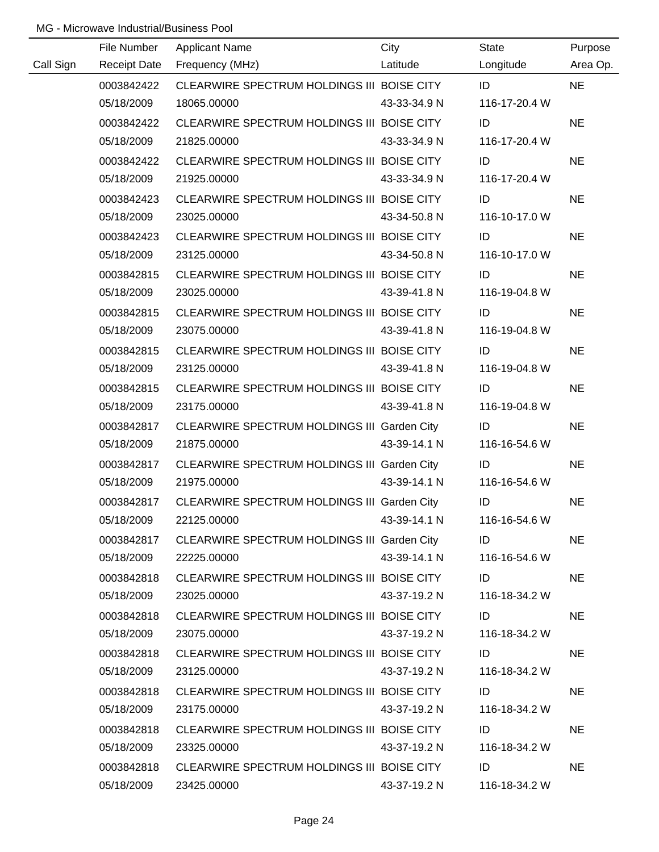|           | File Number         | <b>Applicant Name</b>                       | City         | State         | Purpose   |
|-----------|---------------------|---------------------------------------------|--------------|---------------|-----------|
| Call Sign | <b>Receipt Date</b> | Frequency (MHz)                             | Latitude     | Longitude     | Area Op.  |
|           | 0003842422          | CLEARWIRE SPECTRUM HOLDINGS III BOISE CITY  |              | ID            | <b>NE</b> |
|           | 05/18/2009          | 18065.00000                                 | 43-33-34.9 N | 116-17-20.4 W |           |
|           | 0003842422          | CLEARWIRE SPECTRUM HOLDINGS III BOISE CITY  |              | ID            | <b>NE</b> |
|           | 05/18/2009          | 21825.00000                                 | 43-33-34.9 N | 116-17-20.4 W |           |
|           | 0003842422          | CLEARWIRE SPECTRUM HOLDINGS III BOISE CITY  |              | ID            | <b>NE</b> |
|           | 05/18/2009          | 21925.00000                                 | 43-33-34.9 N | 116-17-20.4 W |           |
|           | 0003842423          | CLEARWIRE SPECTRUM HOLDINGS III BOISE CITY  |              | ID            | <b>NE</b> |
|           | 05/18/2009          | 23025.00000                                 | 43-34-50.8 N | 116-10-17.0 W |           |
|           | 0003842423          | CLEARWIRE SPECTRUM HOLDINGS III BOISE CITY  |              | ID            | <b>NE</b> |
|           | 05/18/2009          | 23125.00000                                 | 43-34-50.8 N | 116-10-17.0 W |           |
|           | 0003842815          | CLEARWIRE SPECTRUM HOLDINGS III BOISE CITY  |              | ID            | <b>NE</b> |
|           | 05/18/2009          | 23025.00000                                 | 43-39-41.8 N | 116-19-04.8 W |           |
|           | 0003842815          | CLEARWIRE SPECTRUM HOLDINGS III BOISE CITY  |              | ID            | <b>NE</b> |
|           | 05/18/2009          | 23075.00000                                 | 43-39-41.8 N | 116-19-04.8 W |           |
|           | 0003842815          | CLEARWIRE SPECTRUM HOLDINGS III BOISE CITY  |              | ID            | <b>NE</b> |
|           | 05/18/2009          | 23125.00000                                 | 43-39-41.8 N | 116-19-04.8 W |           |
|           | 0003842815          | CLEARWIRE SPECTRUM HOLDINGS III BOISE CITY  |              | ID            | <b>NE</b> |
|           | 05/18/2009          | 23175.00000                                 | 43-39-41.8 N | 116-19-04.8 W |           |
|           | 0003842817          | CLEARWIRE SPECTRUM HOLDINGS III Garden City |              | ID            | <b>NE</b> |
|           | 05/18/2009          | 21875.00000                                 | 43-39-14.1 N | 116-16-54.6 W |           |
|           | 0003842817          | CLEARWIRE SPECTRUM HOLDINGS III Garden City |              | ID            | <b>NE</b> |
|           | 05/18/2009          | 21975.00000                                 | 43-39-14.1 N | 116-16-54.6 W |           |
|           | 0003842817          | CLEARWIRE SPECTRUM HOLDINGS III Garden City |              | ID            | <b>NE</b> |
|           | 05/18/2009          | 22125.00000                                 | 43-39-14.1 N | 116-16-54.6 W |           |
|           | 0003842817          | CLEARWIRE SPECTRUM HOLDINGS III Garden City |              | ID            | <b>NE</b> |
|           | 05/18/2009          | 22225.00000                                 | 43-39-14.1 N | 116-16-54.6 W |           |
|           | 0003842818          | CLEARWIRE SPECTRUM HOLDINGS III BOISE CITY  |              | ID            | <b>NE</b> |
|           | 05/18/2009          | 23025.00000                                 | 43-37-19.2 N | 116-18-34.2 W |           |
|           | 0003842818          | CLEARWIRE SPECTRUM HOLDINGS III BOISE CITY  |              | ID            | <b>NE</b> |
|           | 05/18/2009          | 23075.00000                                 | 43-37-19.2 N | 116-18-34.2 W |           |
|           | 0003842818          | CLEARWIRE SPECTRUM HOLDINGS III BOISE CITY  |              | ID            | <b>NE</b> |
|           | 05/18/2009          | 23125.00000                                 | 43-37-19.2 N | 116-18-34.2 W |           |
|           | 0003842818          | CLEARWIRE SPECTRUM HOLDINGS III BOISE CITY  |              | ID            | <b>NE</b> |
|           | 05/18/2009          | 23175.00000                                 | 43-37-19.2 N | 116-18-34.2 W |           |
|           | 0003842818          | CLEARWIRE SPECTRUM HOLDINGS III BOISE CITY  |              | ID            | <b>NE</b> |
|           | 05/18/2009          | 23325.00000                                 | 43-37-19.2 N | 116-18-34.2 W |           |
|           | 0003842818          | CLEARWIRE SPECTRUM HOLDINGS III BOISE CITY  |              | ID            | <b>NE</b> |
|           | 05/18/2009          | 23425.00000                                 | 43-37-19.2 N | 116-18-34.2 W |           |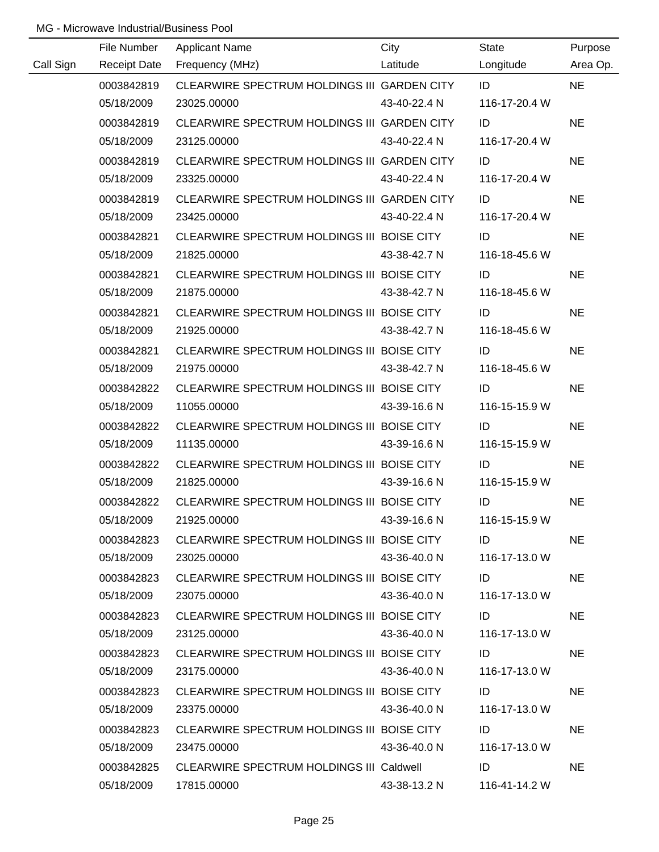|           | File Number         | <b>Applicant Name</b>                           | City         | State         | Purpose   |
|-----------|---------------------|-------------------------------------------------|--------------|---------------|-----------|
| Call Sign | <b>Receipt Date</b> | Frequency (MHz)                                 | Latitude     | Longitude     | Area Op.  |
|           | 0003842819          | CLEARWIRE SPECTRUM HOLDINGS III GARDEN CITY     |              | ID            | <b>NE</b> |
|           | 05/18/2009          | 23025.00000                                     | 43-40-22.4 N | 116-17-20.4 W |           |
|           | 0003842819          | CLEARWIRE SPECTRUM HOLDINGS III GARDEN CITY     |              | ID            | <b>NE</b> |
|           | 05/18/2009          | 23125.00000                                     | 43-40-22.4 N | 116-17-20.4 W |           |
|           | 0003842819          | CLEARWIRE SPECTRUM HOLDINGS III GARDEN CITY     |              | ID            | <b>NE</b> |
|           | 05/18/2009          | 23325.00000                                     | 43-40-22.4 N | 116-17-20.4 W |           |
|           | 0003842819          | CLEARWIRE SPECTRUM HOLDINGS III GARDEN CITY     |              | ID            | <b>NE</b> |
|           | 05/18/2009          | 23425.00000                                     | 43-40-22.4 N | 116-17-20.4 W |           |
|           | 0003842821          | CLEARWIRE SPECTRUM HOLDINGS III BOISE CITY      |              | ID            | <b>NE</b> |
|           | 05/18/2009          | 21825.00000                                     | 43-38-42.7 N | 116-18-45.6 W |           |
|           | 0003842821          | CLEARWIRE SPECTRUM HOLDINGS III BOISE CITY      |              | ID            | <b>NE</b> |
|           | 05/18/2009          | 21875.00000                                     | 43-38-42.7 N | 116-18-45.6 W |           |
|           | 0003842821          | CLEARWIRE SPECTRUM HOLDINGS III BOISE CITY      |              | ID            | <b>NE</b> |
|           | 05/18/2009          | 21925.00000                                     | 43-38-42.7 N | 116-18-45.6 W |           |
|           | 0003842821          | CLEARWIRE SPECTRUM HOLDINGS III BOISE CITY      |              | ID            | <b>NE</b> |
|           | 05/18/2009          | 21975.00000                                     | 43-38-42.7 N | 116-18-45.6 W |           |
|           | 0003842822          | CLEARWIRE SPECTRUM HOLDINGS III BOISE CITY      |              | ID            | <b>NE</b> |
|           | 05/18/2009          | 11055.00000                                     | 43-39-16.6 N | 116-15-15.9 W |           |
|           | 0003842822          | CLEARWIRE SPECTRUM HOLDINGS III BOISE CITY      |              | ID            | <b>NE</b> |
|           | 05/18/2009          | 11135.00000                                     | 43-39-16.6 N | 116-15-15.9 W |           |
|           | 0003842822          | CLEARWIRE SPECTRUM HOLDINGS III BOISE CITY      |              | ID            | <b>NE</b> |
|           | 05/18/2009          | 21825.00000                                     | 43-39-16.6 N | 116-15-15.9 W |           |
|           | 0003842822          | CLEARWIRE SPECTRUM HOLDINGS III BOISE CITY      |              | ID            | <b>NE</b> |
|           | 05/18/2009          | 21925.00000                                     | 43-39-16.6 N | 116-15-15.9 W |           |
|           | 0003842823          | CLEARWIRE SPECTRUM HOLDINGS III BOISE CITY      |              | ID            | <b>NE</b> |
|           | 05/18/2009          | 23025.00000                                     | 43-36-40.0 N | 116-17-13.0 W |           |
|           | 0003842823          | CLEARWIRE SPECTRUM HOLDINGS III BOISE CITY      |              | ID            | <b>NE</b> |
|           | 05/18/2009          | 23075.00000                                     | 43-36-40.0 N | 116-17-13.0 W |           |
|           | 0003842823          | CLEARWIRE SPECTRUM HOLDINGS III BOISE CITY      |              | ID            | <b>NE</b> |
|           | 05/18/2009          | 23125.00000                                     | 43-36-40.0 N | 116-17-13.0 W |           |
|           | 0003842823          | CLEARWIRE SPECTRUM HOLDINGS III BOISE CITY      |              | ID            | <b>NE</b> |
|           | 05/18/2009          | 23175.00000                                     | 43-36-40.0 N | 116-17-13.0 W |           |
|           | 0003842823          | CLEARWIRE SPECTRUM HOLDINGS III BOISE CITY      |              | ID            | <b>NE</b> |
|           | 05/18/2009          | 23375.00000                                     | 43-36-40.0 N | 116-17-13.0 W |           |
|           | 0003842823          | CLEARWIRE SPECTRUM HOLDINGS III BOISE CITY      |              | ID            | <b>NE</b> |
|           | 05/18/2009          | 23475.00000                                     | 43-36-40.0 N | 116-17-13.0 W |           |
|           | 0003842825          | <b>CLEARWIRE SPECTRUM HOLDINGS III Caldwell</b> |              | ID            | <b>NE</b> |
|           | 05/18/2009          | 17815.00000                                     | 43-38-13.2 N | 116-41-14.2 W |           |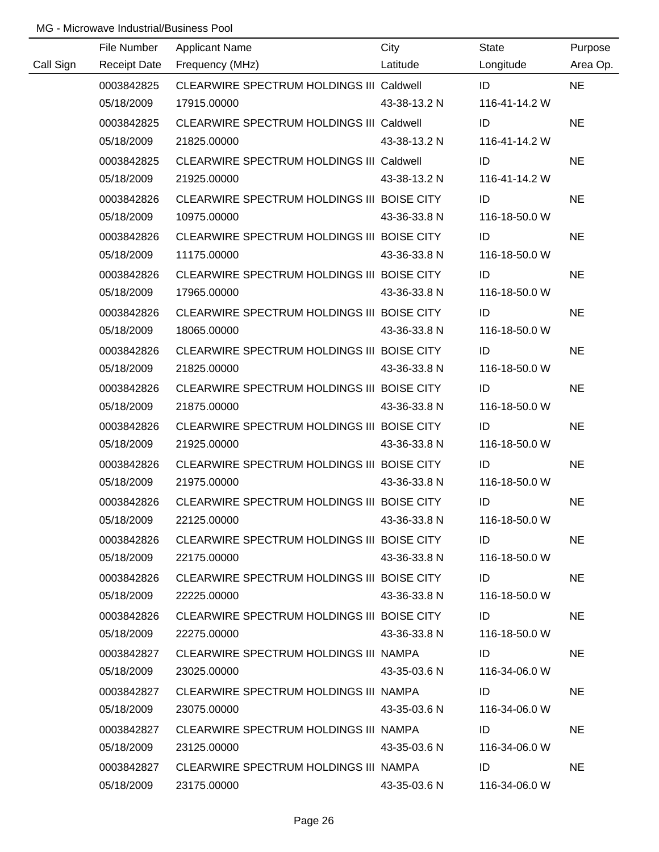|           | File Number         | <b>Applicant Name</b>                      | City         | State         | Purpose   |
|-----------|---------------------|--------------------------------------------|--------------|---------------|-----------|
| Call Sign | <b>Receipt Date</b> | Frequency (MHz)                            | Latitude     | Longitude     | Area Op.  |
|           | 0003842825          | CLEARWIRE SPECTRUM HOLDINGS III Caldwell   |              | ID            | <b>NE</b> |
|           | 05/18/2009          | 17915.00000                                | 43-38-13.2 N | 116-41-14.2 W |           |
|           | 0003842825          | CLEARWIRE SPECTRUM HOLDINGS III Caldwell   |              | ID            | <b>NE</b> |
|           | 05/18/2009          | 21825.00000                                | 43-38-13.2 N | 116-41-14.2 W |           |
|           | 0003842825          | CLEARWIRE SPECTRUM HOLDINGS III Caldwell   |              | ID            | <b>NE</b> |
|           | 05/18/2009          | 21925.00000                                | 43-38-13.2 N | 116-41-14.2 W |           |
|           | 0003842826          | CLEARWIRE SPECTRUM HOLDINGS III BOISE CITY |              | ID            | <b>NE</b> |
|           | 05/18/2009          | 10975.00000                                | 43-36-33.8 N | 116-18-50.0 W |           |
|           | 0003842826          | CLEARWIRE SPECTRUM HOLDINGS III BOISE CITY |              | ID            | <b>NE</b> |
|           | 05/18/2009          | 11175.00000                                | 43-36-33.8 N | 116-18-50.0 W |           |
|           | 0003842826          | CLEARWIRE SPECTRUM HOLDINGS III BOISE CITY |              | ID            | <b>NE</b> |
|           | 05/18/2009          | 17965.00000                                | 43-36-33.8 N | 116-18-50.0 W |           |
|           | 0003842826          | CLEARWIRE SPECTRUM HOLDINGS III BOISE CITY |              | ID            | <b>NE</b> |
|           | 05/18/2009          | 18065.00000                                | 43-36-33.8 N | 116-18-50.0 W |           |
|           | 0003842826          | CLEARWIRE SPECTRUM HOLDINGS III BOISE CITY |              | ID            | <b>NE</b> |
|           | 05/18/2009          | 21825.00000                                | 43-36-33.8 N | 116-18-50.0 W |           |
|           | 0003842826          | CLEARWIRE SPECTRUM HOLDINGS III BOISE CITY |              | ID            | <b>NE</b> |
|           | 05/18/2009          | 21875.00000                                | 43-36-33.8 N | 116-18-50.0 W |           |
|           | 0003842826          | CLEARWIRE SPECTRUM HOLDINGS III BOISE CITY |              | ID            | <b>NE</b> |
|           | 05/18/2009          | 21925.00000                                | 43-36-33.8 N | 116-18-50.0 W |           |
|           | 0003842826          | CLEARWIRE SPECTRUM HOLDINGS III BOISE CITY |              | ID            | <b>NE</b> |
|           | 05/18/2009          | 21975.00000                                | 43-36-33.8 N | 116-18-50.0 W |           |
|           | 0003842826          | CLEARWIRE SPECTRUM HOLDINGS III BOISE CITY |              | ID            | <b>NE</b> |
|           | 05/18/2009          | 22125.00000                                | 43-36-33.8 N | 116-18-50.0 W |           |
|           | 0003842826          | CLEARWIRE SPECTRUM HOLDINGS III BOISE CITY |              | ID            | <b>NE</b> |
|           | 05/18/2009          | 22175.00000                                | 43-36-33.8 N | 116-18-50.0 W |           |
|           | 0003842826          | CLEARWIRE SPECTRUM HOLDINGS III BOISE CITY |              | ID            | <b>NE</b> |
|           | 05/18/2009          | 22225.00000                                | 43-36-33.8 N | 116-18-50.0 W |           |
|           | 0003842826          | CLEARWIRE SPECTRUM HOLDINGS III BOISE CITY |              | ID            | <b>NE</b> |
|           | 05/18/2009          | 22275.00000                                | 43-36-33.8 N | 116-18-50.0 W |           |
|           | 0003842827          | CLEARWIRE SPECTRUM HOLDINGS III NAMPA      |              | ID            | <b>NE</b> |
|           | 05/18/2009          | 23025.00000                                | 43-35-03.6 N | 116-34-06.0 W |           |
|           | 0003842827          | CLEARWIRE SPECTRUM HOLDINGS III NAMPA      |              | ID            | <b>NE</b> |
|           | 05/18/2009          | 23075.00000                                | 43-35-03.6 N | 116-34-06.0 W |           |
|           | 0003842827          | CLEARWIRE SPECTRUM HOLDINGS III NAMPA      |              | ID            | <b>NE</b> |
|           | 05/18/2009          | 23125.00000                                | 43-35-03.6 N | 116-34-06.0 W |           |
|           | 0003842827          | CLEARWIRE SPECTRUM HOLDINGS III NAMPA      |              | ID            | <b>NE</b> |
|           | 05/18/2009          | 23175.00000                                | 43-35-03.6 N | 116-34-06.0 W |           |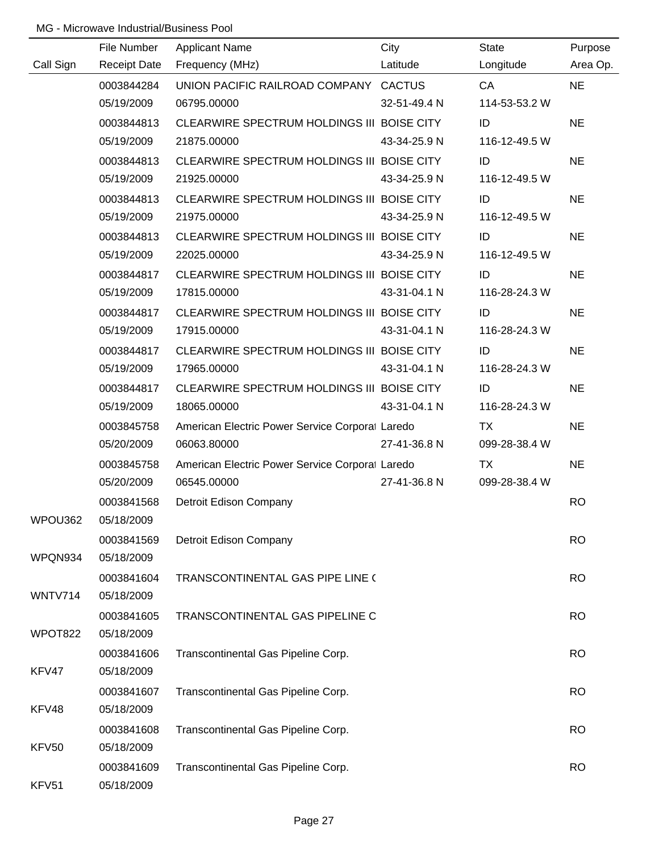|           | File Number         | <b>Applicant Name</b>                           | City         | <b>State</b>  | Purpose   |
|-----------|---------------------|-------------------------------------------------|--------------|---------------|-----------|
| Call Sign | <b>Receipt Date</b> | Frequency (MHz)                                 | Latitude     | Longitude     | Area Op.  |
|           | 0003844284          | UNION PACIFIC RAILROAD COMPANY CACTUS           |              | CA            | <b>NE</b> |
|           | 05/19/2009          | 06795.00000                                     | 32-51-49.4 N | 114-53-53.2 W |           |
|           | 0003844813          | CLEARWIRE SPECTRUM HOLDINGS III BOISE CITY      |              | ID            | <b>NE</b> |
|           | 05/19/2009          | 21875.00000                                     | 43-34-25.9 N | 116-12-49.5 W |           |
|           | 0003844813          | CLEARWIRE SPECTRUM HOLDINGS III BOISE CITY      |              | ID            | <b>NE</b> |
|           | 05/19/2009          | 21925.00000                                     | 43-34-25.9 N | 116-12-49.5 W |           |
|           | 0003844813          | CLEARWIRE SPECTRUM HOLDINGS III BOISE CITY      |              | ID            | <b>NE</b> |
|           | 05/19/2009          | 21975.00000                                     | 43-34-25.9 N | 116-12-49.5 W |           |
|           | 0003844813          | CLEARWIRE SPECTRUM HOLDINGS III BOISE CITY      |              | ID            | <b>NE</b> |
|           | 05/19/2009          | 22025.00000                                     | 43-34-25.9 N | 116-12-49.5 W |           |
|           | 0003844817          | CLEARWIRE SPECTRUM HOLDINGS III BOISE CITY      |              | ID            | <b>NE</b> |
|           | 05/19/2009          | 17815.00000                                     | 43-31-04.1 N | 116-28-24.3 W |           |
|           | 0003844817          | CLEARWIRE SPECTRUM HOLDINGS III BOISE CITY      |              | ID            | <b>NE</b> |
|           | 05/19/2009          | 17915.00000                                     | 43-31-04.1 N | 116-28-24.3 W |           |
|           | 0003844817          | CLEARWIRE SPECTRUM HOLDINGS III BOISE CITY      |              | ID            | <b>NE</b> |
|           | 05/19/2009          | 17965.00000                                     | 43-31-04.1 N | 116-28-24.3 W |           |
|           | 0003844817          | CLEARWIRE SPECTRUM HOLDINGS III BOISE CITY      |              | ID            | <b>NE</b> |
|           | 05/19/2009          | 18065.00000                                     | 43-31-04.1 N | 116-28-24.3 W |           |
|           | 0003845758          | American Electric Power Service Corporal Laredo |              | TX            | <b>NE</b> |
|           | 05/20/2009          | 06063.80000                                     | 27-41-36.8 N | 099-28-38.4 W |           |
|           | 0003845758          | American Electric Power Service Corporal Laredo |              | <b>TX</b>     | <b>NE</b> |
|           | 05/20/2009          | 06545.00000                                     | 27-41-36.8 N | 099-28-38.4 W |           |
|           | 0003841568          | Detroit Edison Company                          |              |               | <b>RO</b> |
| WPOU362   | 05/18/2009          |                                                 |              |               |           |
|           | 0003841569          | Detroit Edison Company                          |              |               | <b>RO</b> |
| WPQN934   | 05/18/2009          |                                                 |              |               |           |
|           | 0003841604          | TRANSCONTINENTAL GAS PIPE LINE (                |              |               | <b>RO</b> |
| WNTV714   | 05/18/2009          |                                                 |              |               |           |
|           | 0003841605          | TRANSCONTINENTAL GAS PIPELINE C                 |              |               | <b>RO</b> |
| WPOT822   | 05/18/2009          |                                                 |              |               |           |
|           | 0003841606          | Transcontinental Gas Pipeline Corp.             |              |               | <b>RO</b> |
| KFV47     | 05/18/2009          |                                                 |              |               |           |
|           | 0003841607          | Transcontinental Gas Pipeline Corp.             |              |               | <b>RO</b> |
| KFV48     | 05/18/2009          |                                                 |              |               |           |
|           | 0003841608          | Transcontinental Gas Pipeline Corp.             |              |               | <b>RO</b> |
| KFV50     | 05/18/2009          |                                                 |              |               |           |
|           | 0003841609          | Transcontinental Gas Pipeline Corp.             |              |               | <b>RO</b> |
| KFV51     | 05/18/2009          |                                                 |              |               |           |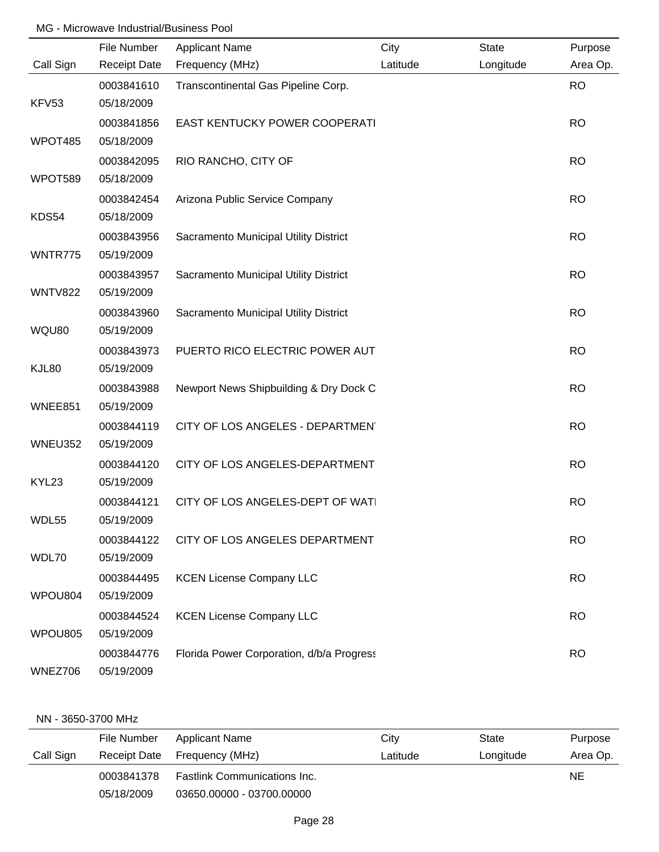|                | File Number              | <b>Applicant Name</b>                     | City     | <b>State</b> | Purpose   |
|----------------|--------------------------|-------------------------------------------|----------|--------------|-----------|
| Call Sign      | <b>Receipt Date</b>      | Frequency (MHz)                           | Latitude | Longitude    | Area Op.  |
|                | 0003841610               | Transcontinental Gas Pipeline Corp.       |          |              | <b>RO</b> |
| KFV53          | 05/18/2009               |                                           |          |              |           |
|                | 0003841856               | EAST KENTUCKY POWER COOPERATI             |          |              | <b>RO</b> |
| WPOT485        | 05/18/2009               |                                           |          |              |           |
|                | 0003842095               | RIO RANCHO, CITY OF                       |          |              | <b>RO</b> |
| WPOT589        | 05/18/2009               |                                           |          |              |           |
|                | 0003842454               | Arizona Public Service Company            |          |              | <b>RO</b> |
| KDS54          | 05/18/2009               |                                           |          |              |           |
|                | 0003843956               | Sacramento Municipal Utility District     |          |              | <b>RO</b> |
| WNTR775        | 05/19/2009               |                                           |          |              |           |
|                | 0003843957               | Sacramento Municipal Utility District     |          |              | <b>RO</b> |
| <b>WNTV822</b> | 05/19/2009               |                                           |          |              |           |
|                | 0003843960               | Sacramento Municipal Utility District     |          |              | <b>RO</b> |
| WQU80          | 05/19/2009               |                                           |          |              |           |
|                | 0003843973               | PUERTO RICO ELECTRIC POWER AUT            |          |              | <b>RO</b> |
| KJL80          | 05/19/2009               |                                           |          |              |           |
|                | 0003843988               | Newport News Shipbuilding & Dry Dock C    |          |              | <b>RO</b> |
| WNEE851        | 05/19/2009               |                                           |          |              |           |
|                | 0003844119               | CITY OF LOS ANGELES - DEPARTMENT          |          |              | <b>RO</b> |
| WNEU352        | 05/19/2009               |                                           |          |              |           |
|                | 0003844120               | CITY OF LOS ANGELES-DEPARTMENT            |          |              | <b>RO</b> |
| KYL23          | 05/19/2009               |                                           |          |              |           |
|                | 0003844121               | CITY OF LOS ANGELES-DEPT OF WAT           |          |              | <b>RO</b> |
| WDL55          | 05/19/2009               |                                           |          |              |           |
|                | 0003844122               | CITY OF LOS ANGELES DEPARTMENT            |          |              | <b>RO</b> |
| WDL70          | 05/19/2009               |                                           |          |              |           |
|                | 0003844495<br>05/19/2009 | <b>KCEN License Company LLC</b>           |          |              | <b>RO</b> |
| WPOU804        |                          |                                           |          |              |           |
| WPOU805        | 0003844524               | <b>KCEN License Company LLC</b>           |          |              | <b>RO</b> |
|                | 05/19/2009               |                                           |          |              |           |
| WNEZ706        | 0003844776<br>05/19/2009 | Florida Power Corporation, d/b/a Progress |          |              | <b>RO</b> |

### NN - 3650-3700 MHz

|           | File Number         | <b>Applicant Name</b>               | City     | State     | Purpose  |
|-----------|---------------------|-------------------------------------|----------|-----------|----------|
| Call Sign | <b>Receipt Date</b> | Frequency (MHz)                     | Latitude | Longitude | Area Op. |
|           | 0003841378          | <b>Fastlink Communications Inc.</b> |          |           | NE.      |
|           | 05/18/2009          | 03650.00000 - 03700.00000           |          |           |          |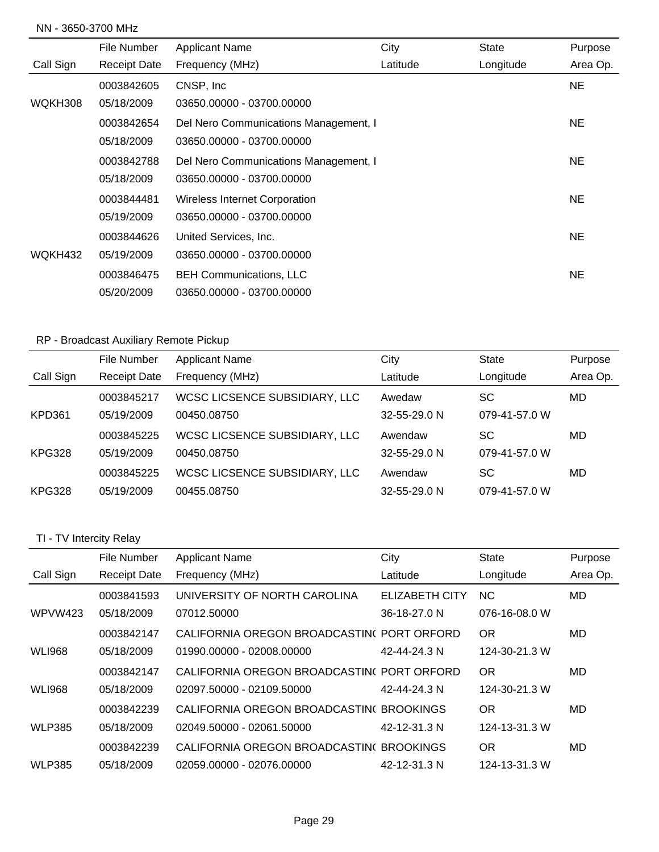### NN - 3650-3700 MHz

|           | File Number         | <b>Applicant Name</b>                 | City     | <b>State</b> | Purpose   |
|-----------|---------------------|---------------------------------------|----------|--------------|-----------|
| Call Sign | <b>Receipt Date</b> | Frequency (MHz)                       | Latitude | Longitude    | Area Op.  |
|           | 0003842605          | CNSP, Inc.                            |          |              | <b>NE</b> |
| WQKH308   | 05/18/2009          | 03650.00000 - 03700.00000             |          |              |           |
|           | 0003842654          | Del Nero Communications Management, I |          |              | <b>NE</b> |
|           | 05/18/2009          | 03650.00000 - 03700.00000             |          |              |           |
|           | 0003842788          | Del Nero Communications Management, I |          |              | <b>NE</b> |
|           | 05/18/2009          | 03650.00000 - 03700.00000             |          |              |           |
|           | 0003844481          | <b>Wireless Internet Corporation</b>  |          |              | <b>NE</b> |
|           | 05/19/2009          | 03650.00000 - 03700.00000             |          |              |           |
|           | 0003844626          | United Services, Inc.                 |          |              | <b>NE</b> |
| WQKH432   | 05/19/2009          | 03650.00000 - 03700.00000             |          |              |           |
|           | 0003846475          | <b>BEH Communications, LLC</b>        |          |              | <b>NE</b> |
|           | 05/20/2009          | 03650.00000 - 03700.00000             |          |              |           |

# RP - Broadcast Auxiliary Remote Pickup

|               | File Number         | <b>Applicant Name</b>         | City         | <b>State</b>  | Purpose  |
|---------------|---------------------|-------------------------------|--------------|---------------|----------|
| Call Sign     | <b>Receipt Date</b> | Frequency (MHz)               | Latitude     | Longitude     | Area Op. |
|               | 0003845217          | WCSC LICSENCE SUBSIDIARY, LLC | Awedaw       | SC            | MD       |
| KPD361        | 05/19/2009          | 00450.08750                   | 32-55-29.0 N | 079-41-57.0 W |          |
|               | 0003845225          | WCSC LICSENCE SUBSIDIARY, LLC | Awendaw      | SC            | MD       |
| <b>KPG328</b> | 05/19/2009          | 00450.08750                   | 32-55-29.0 N | 079-41-57.0 W |          |
|               | 0003845225          | WCSC LICSENCE SUBSIDIARY, LLC | Awendaw      | SC            | MD       |
| <b>KPG328</b> | 05/19/2009          | 00455.08750                   | 32-55-29.0 N | 079-41-57.0 W |          |

## TI - TV Intercity Relay

|               | File Number         | <b>Applicant Name</b>                     | City                  | <b>State</b>   | Purpose  |
|---------------|---------------------|-------------------------------------------|-----------------------|----------------|----------|
| Call Sign     | <b>Receipt Date</b> | Frequency (MHz)                           | Latitude              | Longitude      | Area Op. |
|               | 0003841593          | UNIVERSITY OF NORTH CAROLINA              | <b>ELIZABETH CITY</b> | N <sub>C</sub> | MD       |
| WPVW423       | 05/18/2009          | 07012.50000                               | 36-18-27.0 N          | 076-16-08.0 W  |          |
|               | 0003842147          | CALIFORNIA OREGON BROADCASTIN(PORT ORFORD |                       | <b>OR</b>      | MD       |
| <b>WLI968</b> | 05/18/2009          | 01990.00000 - 02008.00000                 | 42-44-24.3 N          | 124-30-21.3 W  |          |
|               | 0003842147          | CALIFORNIA OREGON BROADCASTIN(PORT ORFORD |                       | <b>OR</b>      | MD       |
| <b>WLI968</b> | 05/18/2009          | 02097.50000 - 02109.50000                 | 42-44-24.3 N          | 124-30-21.3 W  |          |
|               | 0003842239          | CALIFORNIA OREGON BROADCASTIN( BROOKINGS  |                       | <b>OR</b>      | MD       |
| <b>WLP385</b> | 05/18/2009          | 02049.50000 - 02061.50000                 | 42-12-31.3 N          | 124-13-31.3 W  |          |
|               | 0003842239          | CALIFORNIA OREGON BROADCASTIN( BROOKINGS  |                       | <b>OR</b>      | MD       |
| <b>WLP385</b> | 05/18/2009          | 02059.00000 - 02076.00000                 | 42-12-31.3 N          | 124-13-31.3 W  |          |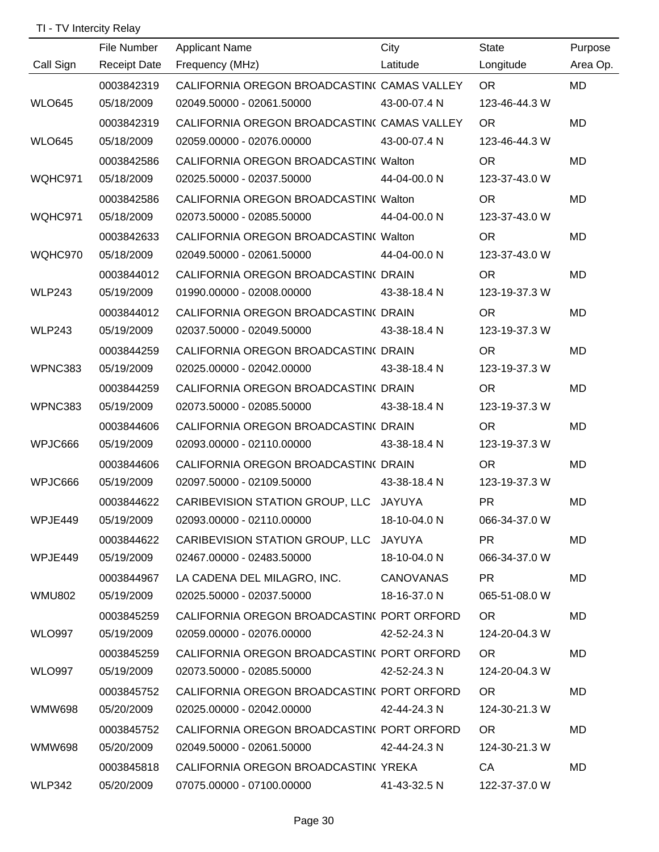## TI - TV Intercity Relay

|               | File Number         | <b>Applicant Name</b>                       | City         | State                                                                                                                                                                                                                          | Purpose   |
|---------------|---------------------|---------------------------------------------|--------------|--------------------------------------------------------------------------------------------------------------------------------------------------------------------------------------------------------------------------------|-----------|
| Call Sign     | <b>Receipt Date</b> | Frequency (MHz)                             | Latitude     | Longitude                                                                                                                                                                                                                      | Area Op.  |
|               | 0003842319          | CALIFORNIA OREGON BROADCASTIN( CAMAS VALLEY |              | OR.                                                                                                                                                                                                                            | <b>MD</b> |
| <b>WLO645</b> | 05/18/2009          | 02049.50000 - 02061.50000 43-00-07.4 N      |              | 123-46-44.3 W                                                                                                                                                                                                                  |           |
|               | 0003842319          | CALIFORNIA OREGON BROADCASTIN( CAMAS VALLEY |              | OR.                                                                                                                                                                                                                            | MD        |
| <b>WLO645</b> | 05/18/2009          | 02059.00000 - 02076.00000 43-00-07.4 N      |              | 123-46-44.3 W                                                                                                                                                                                                                  |           |
|               | 0003842586          | CALIFORNIA OREGON BROADCASTIN(Walton        |              | <b>OR</b>                                                                                                                                                                                                                      | MD        |
| WQHC971       | 05/18/2009          | 02025.50000 - 02037.50000 44-04-00.0 N      |              | 123-37-43.0 W                                                                                                                                                                                                                  |           |
|               | 0003842586          | CALIFORNIA OREGON BROADCASTIN(Walton        |              | OR.                                                                                                                                                                                                                            | MD        |
| WQHC971       | 05/18/2009          | 02073.50000 - 02085.50000 44-04-00.0 N      |              | 123-37-43.0 W                                                                                                                                                                                                                  |           |
|               | 0003842633          | CALIFORNIA OREGON BROADCASTIN( Walton       |              | <b>OR</b>                                                                                                                                                                                                                      | MD        |
| WQHC970       | 05/18/2009          | 02049.50000 - 02061.50000 44-04-00.0 N      |              | 123-37-43.0 W                                                                                                                                                                                                                  |           |
|               | 0003844012          | CALIFORNIA OREGON BROADCASTIN( DRAIN)       |              | <b>OR</b>                                                                                                                                                                                                                      | MD        |
| <b>WLP243</b> | 05/19/2009          | 01990.00000 - 02008.00000 43-38-18.4 N      |              | 123-19-37.3 W                                                                                                                                                                                                                  |           |
|               | 0003844012          | CALIFORNIA OREGON BROADCASTIN( DRAIN        |              | <b>OR</b>                                                                                                                                                                                                                      | MD        |
| <b>WLP243</b> | 05/19/2009          | 02037.50000 - 02049.50000 43-38-18.4 N      |              | 123-19-37.3 W                                                                                                                                                                                                                  |           |
|               | 0003844259          | CALIFORNIA OREGON BROADCASTIN( DRAIN        |              | <b>OR</b>                                                                                                                                                                                                                      | MD        |
| WPNC383       | 05/19/2009          | 02025.00000 - 02042.00000                   | 43-38-18.4 N | 123-19-37.3 W                                                                                                                                                                                                                  |           |
|               | 0003844259          | CALIFORNIA OREGON BROADCASTIN( DRAIN        |              | <b>OR</b>                                                                                                                                                                                                                      | MD        |
| WPNC383       | 05/19/2009          | 02073.50000 - 02085.50000                   | 43-38-18.4 N | 123-19-37.3 W                                                                                                                                                                                                                  |           |
|               | 0003844606          | CALIFORNIA OREGON BROADCASTIN( DRAIN        |              | <b>OR</b>                                                                                                                                                                                                                      | <b>MD</b> |
| WPJC666       | 05/19/2009          | 02093.00000 - 02110.00000 43-38-18.4 N      |              | 123-19-37.3 W                                                                                                                                                                                                                  |           |
|               | 0003844606          | CALIFORNIA OREGON BROADCASTIN( DRAIN        |              | <b>OR</b>                                                                                                                                                                                                                      | MD        |
| WPJC666       | 05/19/2009          | 02097.50000 - 02109.50000 43-38-18.4 N      |              | 123-19-37.3 W                                                                                                                                                                                                                  |           |
|               | 0003844622          | CARIBEVISION STATION GROUP, LLC JAYUYA      |              | <b>PR</b>                                                                                                                                                                                                                      | MD        |
| WPJE449       | 05/19/2009          | 02093.00000 - 02110.00000                   | 18-10-04.0 N | 066-34-37.0 W                                                                                                                                                                                                                  |           |
|               | 0003844622          | CARIBEVISION STATION GROUP, LLC JAYUYA      |              | PR <sub>2</sub>                                                                                                                                                                                                                | MD        |
| WPJE449       | 05/19/2009          | 02467.00000 - 02483.50000 18-10-04.0 N      |              | 066-34-37.0 W                                                                                                                                                                                                                  |           |
|               | 0003844967          | LA CADENA DEL MILAGRO, INC. CANOVANAS       |              | PR <sub>2</sub>                                                                                                                                                                                                                | MD        |
| <b>WMU802</b> | 05/19/2009          | 02025.50000 - 02037.50000 18-16-37.0 N      |              | 065-51-08.0 W                                                                                                                                                                                                                  |           |
|               | 0003845259          | CALIFORNIA OREGON BROADCASTIN(PORT ORFORD   |              | OR and the contract of the contract of the contract of the contract of the contract of the contract of the contract of the contract of the contract of the contract of the contract of the contract of the contract of the con | MD        |
| <b>WLO997</b> | 05/19/2009          | 02059.00000 - 02076.00000 42-52-24.3 N      |              | 124-20-04.3 W                                                                                                                                                                                                                  |           |
|               | 0003845259          | CALIFORNIA OREGON BROADCASTIN(PORT ORFORD   |              | OR and the control of the control of the control of the control of the control of the control of the control of the control of the control of the control of the control of the control of the control of the control of the c | MD        |
| <b>WLO997</b> | 05/19/2009          | 02073.50000 - 02085.50000 42-52-24.3 N      |              | 124-20-04.3 W                                                                                                                                                                                                                  |           |
|               | 0003845752          | CALIFORNIA OREGON BROADCASTIN(PORT ORFORD   |              | OR.                                                                                                                                                                                                                            | MD        |
| WMW698        | 05/20/2009          | 02025.00000 - 02042.00000  42-44-24.3 N     |              | 124-30-21.3 W                                                                                                                                                                                                                  |           |
|               | 0003845752          | CALIFORNIA OREGON BROADCASTIN(PORT ORFORD   |              | OR.                                                                                                                                                                                                                            | MD        |
| WMW698        | 05/20/2009          | 02049.50000 - 02061.50000  42-44-24.3 N     |              | 124-30-21.3 W                                                                                                                                                                                                                  |           |
|               | 0003845818          | CALIFORNIA OREGON BROADCASTIN(YREKA         |              | CA                                                                                                                                                                                                                             | MD        |
| <b>WLP342</b> | 05/20/2009          | 07075.00000 - 07100.00000 41-43-32.5 N      |              | 122-37-37.0 W                                                                                                                                                                                                                  |           |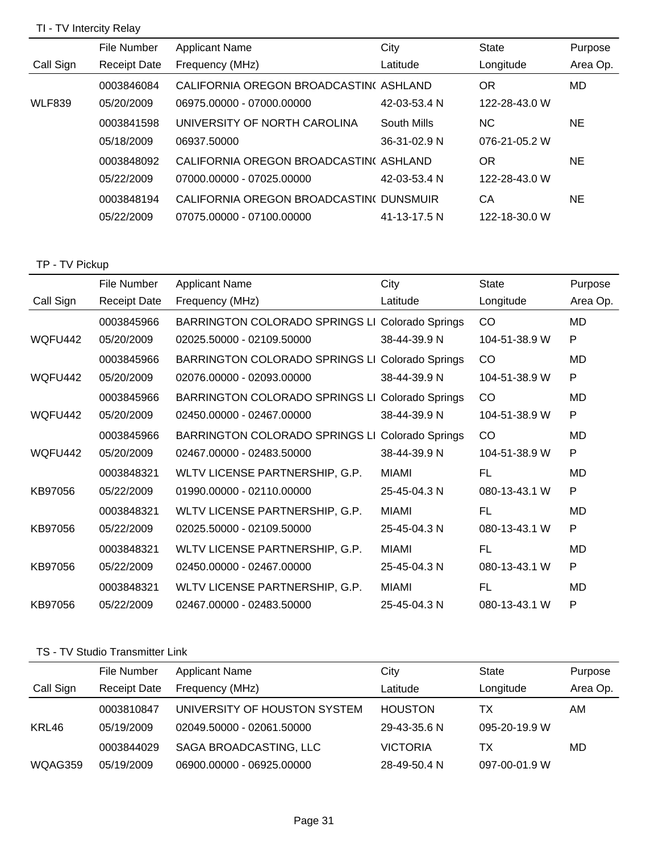## TI - TV Intercity Relay

|               | File Number         | <b>Applicant Name</b>                   | City         | State         | Purpose   |
|---------------|---------------------|-----------------------------------------|--------------|---------------|-----------|
| Call Sign     | <b>Receipt Date</b> | Frequency (MHz)                         | Latitude     | Longitude     | Area Op.  |
|               | 0003846084          | CALIFORNIA OREGON BROADCASTIN(ASHLAND   |              | <b>OR</b>     | MD        |
| <b>WLF839</b> | 05/20/2009          | 06975.00000 - 07000.00000               | 42-03-53.4 N | 122-28-43.0 W |           |
|               | 0003841598          | UNIVERSITY OF NORTH CAROLINA            | South Mills  | <b>NC</b>     | NE.       |
|               | 05/18/2009          | 06937.50000                             | 36-31-02.9 N | 076-21-05.2 W |           |
|               | 0003848092          | CALIFORNIA OREGON BROADCASTIN(ASHLAND   |              | <b>OR</b>     | <b>NE</b> |
|               | 05/22/2009          | 07000.00000 - 07025.00000               | 42-03-53.4 N | 122-28-43.0 W |           |
|               | 0003848194          | CALIFORNIA OREGON BROADCASTIN( DUNSMUIR |              | CA            | NE.       |
|               | 05/22/2009          | 07075.00000 - 07100.00000               | 41-13-17.5 N | 122-18-30.0 W |           |

## TP - TV Pickup

|           | File Number         | <b>Applicant Name</b>          | City             | <b>State</b>  | Purpose   |
|-----------|---------------------|--------------------------------|------------------|---------------|-----------|
| Call Sign | <b>Receipt Date</b> | Frequency (MHz)                | Latitude         | Longitude     | Area Op.  |
|           | 0003845966          | BARRINGTON COLORADO SPRINGS LI | Colorado Springs | CO            | MD        |
| WQFU442   | 05/20/2009          | 02025.50000 - 02109.50000      | 38-44-39.9 N     | 104-51-38.9 W | P         |
|           | 0003845966          | BARRINGTON COLORADO SPRINGS LI | Colorado Springs | CO            | MD        |
| WQFU442   | 05/20/2009          | 02076.00000 - 02093.00000      | 38-44-39.9 N     | 104-51-38.9 W | P         |
|           | 0003845966          | BARRINGTON COLORADO SPRINGS LI | Colorado Springs | CO            | MD        |
| WQFU442   | 05/20/2009          | 02450.00000 - 02467.00000      | 38-44-39.9 N     | 104-51-38.9 W | P         |
|           | 0003845966          | BARRINGTON COLORADO SPRINGS LI | Colorado Springs | CO            | MD        |
| WQFU442   | 05/20/2009          | 02467.00000 - 02483.50000      | 38-44-39.9 N     | 104-51-38.9 W | P         |
|           | 0003848321          | WLTV LICENSE PARTNERSHIP, G.P. | <b>MIAMI</b>     | FL            | MD        |
| KB97056   | 05/22/2009          | 01990.00000 - 02110.00000      | 25-45-04.3 N     | 080-13-43.1 W | P         |
|           | 0003848321          | WLTV LICENSE PARTNERSHIP, G.P. | <b>MIAMI</b>     | FL            | MD        |
| KB97056   | 05/22/2009          | 02025.50000 - 02109.50000      | 25-45-04.3 N     | 080-13-43.1 W | P         |
|           | 0003848321          | WLTV LICENSE PARTNERSHIP, G.P. | <b>MIAMI</b>     | FL            | <b>MD</b> |
| KB97056   | 05/22/2009          | 02450.00000 - 02467.00000      | 25-45-04.3 N     | 080-13-43.1 W | P         |
|           | 0003848321          | WLTV LICENSE PARTNERSHIP, G.P. | MIAMI            | FL            | MD        |
| KB97056   | 05/22/2009          | 02467.00000 - 02483.50000      | 25-45-04.3 N     | 080-13-43.1 W | P         |

### TS - TV Studio Transmitter Link

|           | File Number         | <b>Applicant Name</b>        | City            | State         |          |
|-----------|---------------------|------------------------------|-----------------|---------------|----------|
|           |                     |                              |                 |               | Purpose  |
| Call Sign | <b>Receipt Date</b> | Frequency (MHz)              | Latitude        | Longitude     | Area Op. |
|           | 0003810847          | UNIVERSITY OF HOUSTON SYSTEM | <b>HOUSTON</b>  | ТX            | AM       |
| KRL46     | 05/19/2009          | 02049.50000 - 02061.50000    | 29-43-35.6 N    | 095-20-19.9 W |          |
|           | 0003844029          | SAGA BROADCASTING, LLC       | <b>VICTORIA</b> | ТX            | MD       |
| WQAG359   | 05/19/2009          | 06900.00000 - 06925.00000    | 28-49-50.4 N    | 097-00-01.9 W |          |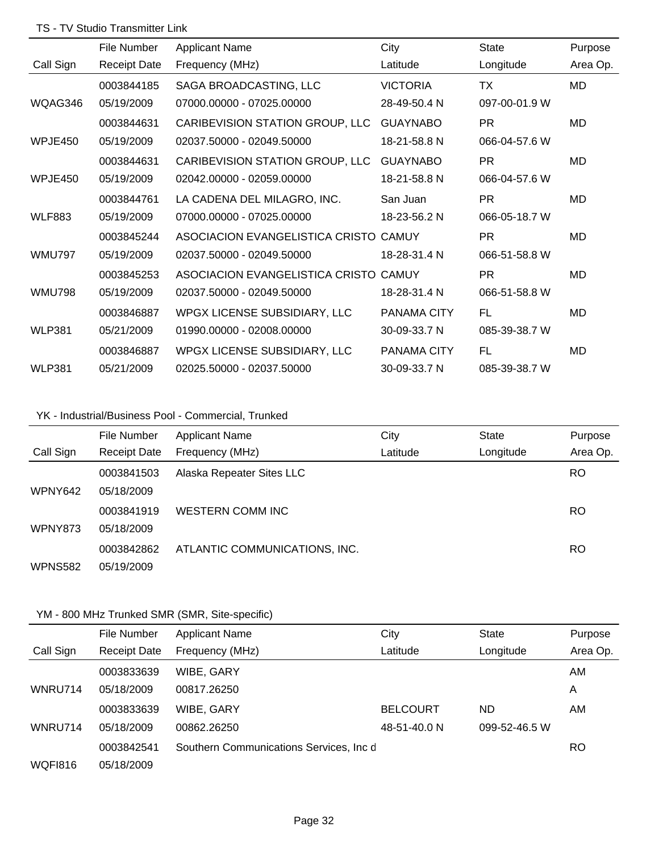### TS - TV Studio Transmitter Link

|               | File Number         | <b>Applicant Name</b>                 | City               | <b>State</b>  | Purpose   |
|---------------|---------------------|---------------------------------------|--------------------|---------------|-----------|
| Call Sign     | <b>Receipt Date</b> | Frequency (MHz)                       | Latitude           | Longitude     | Area Op.  |
|               | 0003844185          | SAGA BROADCASTING, LLC                | <b>VICTORIA</b>    | ТX            | <b>MD</b> |
| WQAG346       | 05/19/2009          | 07000.00000 - 07025.00000             | 28-49-50.4 N       | 097-00-01.9 W |           |
|               | 0003844631          | CARIBEVISION STATION GROUP, LLC       | <b>GUAYNABO</b>    | PR.           | MD        |
| WPJE450       | 05/19/2009          | 02037.50000 - 02049.50000             | 18-21-58.8 N       | 066-04-57.6 W |           |
|               | 0003844631          | CARIBEVISION STATION GROUP, LLC       | <b>GUAYNABO</b>    | <b>PR</b>     | <b>MD</b> |
| WPJE450       | 05/19/2009          | 02042.00000 - 02059.00000             | 18-21-58.8 N       | 066-04-57.6 W |           |
|               | 0003844761          | LA CADENA DEL MILAGRO, INC.           | San Juan           | PR.           | MD        |
| <b>WLF883</b> | 05/19/2009          | 07000.00000 - 07025.00000             | 18-23-56.2 N       | 066-05-18.7 W |           |
|               | 0003845244          | ASOCIACION EVANGELISTICA CRISTO CAMUY |                    | <b>PR</b>     | <b>MD</b> |
| <b>WMU797</b> | 05/19/2009          | 02037.50000 - 02049.50000             | 18-28-31.4 N       | 066-51-58.8 W |           |
|               | 0003845253          | ASOCIACION EVANGELISTICA CRISTO       | CAMUY              | <b>PR</b>     | <b>MD</b> |
| <b>WMU798</b> | 05/19/2009          | 02037.50000 - 02049.50000             | 18-28-31.4 N       | 066-51-58.8 W |           |
|               | 0003846887          | WPGX LICENSE SUBSIDIARY, LLC          | PANAMA CITY        | FL            | MD        |
| <b>WLP381</b> | 05/21/2009          | 01990.00000 - 02008.00000             | 30-09-33.7 N       | 085-39-38.7 W |           |
|               | 0003846887          | WPGX LICENSE SUBSIDIARY, LLC          | <b>PANAMA CITY</b> | FL            | MD        |
| <b>WLP381</b> | 05/21/2009          | 02025.50000 - 02037.50000             | 30-09-33.7 N       | 085-39-38.7 W |           |

## YK - Industrial/Business Pool - Commercial, Trunked

|                | File Number         | <b>Applicant Name</b>         | City     | <b>State</b> | Purpose   |
|----------------|---------------------|-------------------------------|----------|--------------|-----------|
| Call Sign      | <b>Receipt Date</b> | Frequency (MHz)               | Latitude | Longitude    | Area Op.  |
|                | 0003841503          | Alaska Repeater Sites LLC     |          |              | <b>RO</b> |
| WPNY642        | 05/18/2009          |                               |          |              |           |
|                | 0003841919          | WESTERN COMM INC              |          |              | <b>RO</b> |
| <b>WPNY873</b> | 05/18/2009          |                               |          |              |           |
|                | 0003842862          | ATLANTIC COMMUNICATIONS, INC. |          |              | RO        |
| WPNS582        | 05/19/2009          |                               |          |              |           |

## YM - 800 MHz Trunked SMR (SMR, Site-specific)

|                | File Number         | <b>Applicant Name</b>                   | City            | State         | Purpose   |
|----------------|---------------------|-----------------------------------------|-----------------|---------------|-----------|
| Call Sign      | <b>Receipt Date</b> | Frequency (MHz)                         | Latitude        | Longitude     | Area Op.  |
|                | 0003833639          | WIBE, GARY                              |                 |               | AM.       |
| WNRU714        | 05/18/2009          | 00817.26250                             |                 |               | A         |
|                | 0003833639          | WIBE, GARY                              | <b>BELCOURT</b> | ND.           | AM.       |
| WNRU714        | 05/18/2009          | 00862.26250                             | 48-51-40.0 N    | 099-52-46.5 W |           |
|                | 0003842541          | Southern Communications Services, Inc d |                 |               | <b>RO</b> |
| <b>WOF1816</b> | 05/18/2009          |                                         |                 |               |           |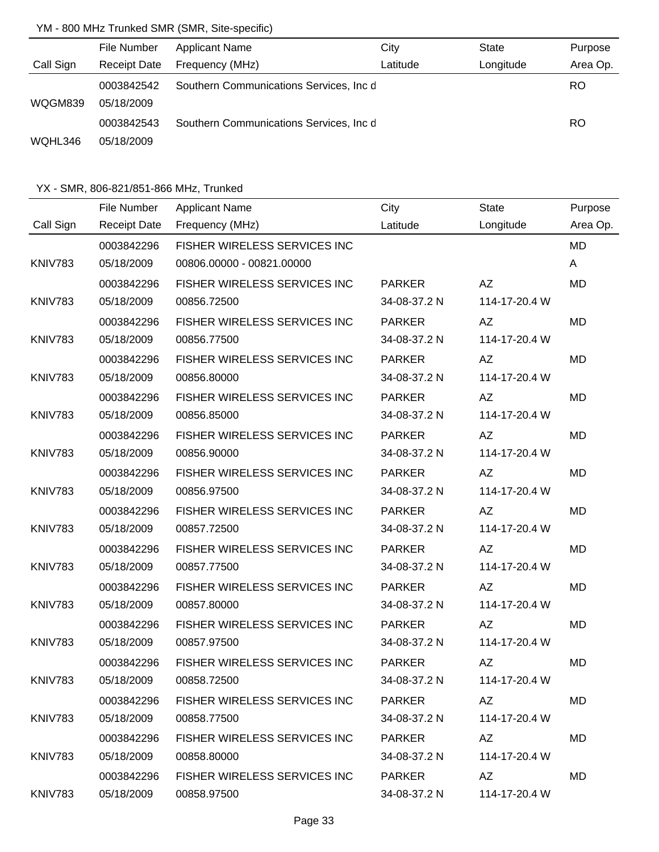## YM - 800 MHz Trunked SMR (SMR, Site-specific)

|           | File Number              | <b>Applicant Name</b>                   | City     | State     | Purpose  |
|-----------|--------------------------|-----------------------------------------|----------|-----------|----------|
| Call Sign | <b>Receipt Date</b>      | Frequency (MHz)                         | Latitude | Longitude | Area Op. |
| WQGM839   | 0003842542<br>05/18/2009 | Southern Communications Services, Inc d |          |           | RO.      |
|           | 0003842543               | Southern Communications Services, Inc d |          |           | RO.      |
| WQHL346   | 05/18/2009               |                                         |          |           |          |

|                | File Number         | <b>Applicant Name</b>        | City          | <b>State</b>  | Purpose   |
|----------------|---------------------|------------------------------|---------------|---------------|-----------|
| Call Sign      | <b>Receipt Date</b> | Frequency (MHz)              | Latitude      | Longitude     | Area Op.  |
|                | 0003842296          | FISHER WIRELESS SERVICES INC |               |               | <b>MD</b> |
| KNIV783        | 05/18/2009          | 00806.00000 - 00821.00000    |               |               | A         |
|                | 0003842296          | FISHER WIRELESS SERVICES INC | <b>PARKER</b> | AZ            | <b>MD</b> |
| <b>KNIV783</b> | 05/18/2009          | 00856.72500                  | 34-08-37.2 N  | 114-17-20.4 W |           |
|                | 0003842296          | FISHER WIRELESS SERVICES INC | <b>PARKER</b> | AZ            | <b>MD</b> |
| <b>KNIV783</b> | 05/18/2009          | 00856.77500                  | 34-08-37.2 N  | 114-17-20.4 W |           |
|                | 0003842296          | FISHER WIRELESS SERVICES INC | <b>PARKER</b> | AZ            | MD        |
| KNIV783        | 05/18/2009          | 00856.80000                  | 34-08-37.2 N  | 114-17-20.4 W |           |
|                | 0003842296          | FISHER WIRELESS SERVICES INC | <b>PARKER</b> | AZ            | MD        |
| <b>KNIV783</b> | 05/18/2009          | 00856.85000                  | 34-08-37.2 N  | 114-17-20.4 W |           |
|                | 0003842296          | FISHER WIRELESS SERVICES INC | <b>PARKER</b> | AZ            | MD        |
| <b>KNIV783</b> | 05/18/2009          | 00856.90000                  | 34-08-37.2 N  | 114-17-20.4 W |           |
|                | 0003842296          | FISHER WIRELESS SERVICES INC | <b>PARKER</b> | AZ            | MD        |
| KNIV783        | 05/18/2009          | 00856.97500                  | 34-08-37.2 N  | 114-17-20.4 W |           |
|                | 0003842296          | FISHER WIRELESS SERVICES INC | <b>PARKER</b> | AZ            | MD        |
| KNIV783        | 05/18/2009          | 00857.72500                  | 34-08-37.2 N  | 114-17-20.4 W |           |
|                | 0003842296          | FISHER WIRELESS SERVICES INC | <b>PARKER</b> | AZ            | <b>MD</b> |
| KNIV783        | 05/18/2009          | 00857.77500                  | 34-08-37.2 N  | 114-17-20.4 W |           |
|                | 0003842296          | FISHER WIRELESS SERVICES INC | <b>PARKER</b> | AZ            | MD        |
| KNIV783        | 05/18/2009          | 00857.80000                  | 34-08-37.2 N  | 114-17-20.4 W |           |
|                | 0003842296          | FISHER WIRELESS SERVICES INC | <b>PARKER</b> | <b>AZ</b>     | <b>MD</b> |
| KNIV783        | 05/18/2009          | 00857.97500                  | 34-08-37.2 N  | 114-17-20.4 W |           |
|                | 0003842296          | FISHER WIRELESS SERVICES INC | <b>PARKER</b> | <b>AZ</b>     | MD        |
| KNIV783        | 05/18/2009          | 00858.72500                  | 34-08-37.2 N  | 114-17-20.4 W |           |
|                | 0003842296          | FISHER WIRELESS SERVICES INC | <b>PARKER</b> | AZ            | MD        |
| KNIV783        | 05/18/2009          | 00858.77500                  | 34-08-37.2 N  | 114-17-20.4 W |           |
|                | 0003842296          | FISHER WIRELESS SERVICES INC | <b>PARKER</b> | AZ            | MD        |
| KNIV783        | 05/18/2009          | 00858.80000                  | 34-08-37.2 N  | 114-17-20.4 W |           |
|                | 0003842296          | FISHER WIRELESS SERVICES INC | <b>PARKER</b> | AZ            | MD        |
| KNIV783        | 05/18/2009          | 00858.97500                  | 34-08-37.2 N  | 114-17-20.4 W |           |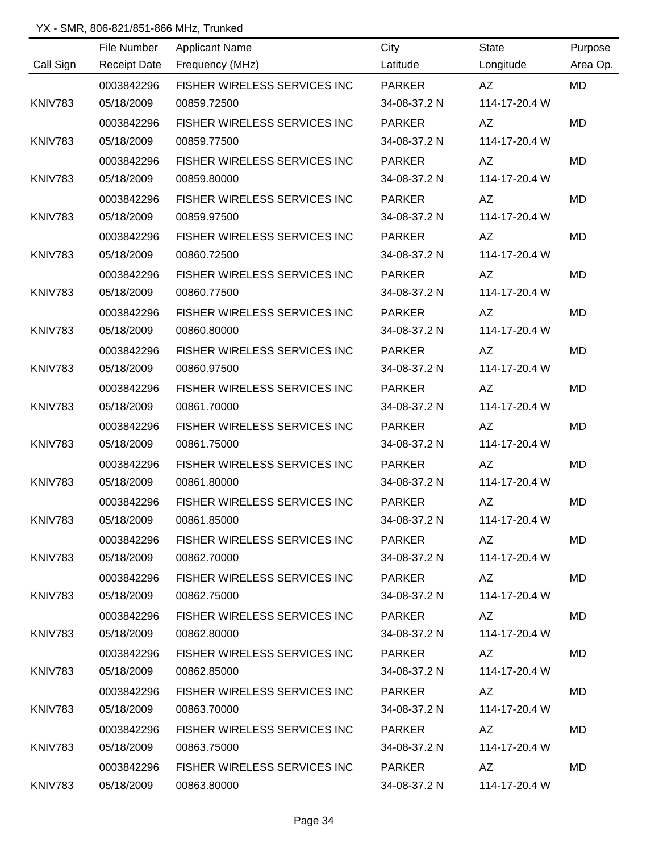|                | File Number         | <b>Applicant Name</b>               | City          | <b>State</b>                                                                                                                                                                                                                   | Purpose   |
|----------------|---------------------|-------------------------------------|---------------|--------------------------------------------------------------------------------------------------------------------------------------------------------------------------------------------------------------------------------|-----------|
| Call Sign      | <b>Receipt Date</b> | Frequency (MHz)                     | Latitude      | Longitude                                                                                                                                                                                                                      | Area Op.  |
|                | 0003842296          | FISHER WIRELESS SERVICES INC        | <b>PARKER</b> | AZ                                                                                                                                                                                                                             | <b>MD</b> |
| <b>KNIV783</b> | 05/18/2009          | 00859.72500                         | 34-08-37.2 N  | 114-17-20.4 W                                                                                                                                                                                                                  |           |
|                | 0003842296          | FISHER WIRELESS SERVICES INC        | <b>PARKER</b> | AZ                                                                                                                                                                                                                             | <b>MD</b> |
| <b>KNIV783</b> | 05/18/2009          | 00859.77500                         | 34-08-37.2 N  | 114-17-20.4 W                                                                                                                                                                                                                  |           |
|                | 0003842296          | <b>FISHER WIRELESS SERVICES INC</b> | <b>PARKER</b> | AZ                                                                                                                                                                                                                             | <b>MD</b> |
| <b>KNIV783</b> | 05/18/2009          | 00859.80000                         | 34-08-37.2 N  | 114-17-20.4 W                                                                                                                                                                                                                  |           |
|                | 0003842296          | FISHER WIRELESS SERVICES INC        | <b>PARKER</b> | AZ                                                                                                                                                                                                                             | MD        |
| <b>KNIV783</b> | 05/18/2009          | 00859.97500                         | 34-08-37.2 N  | 114-17-20.4 W                                                                                                                                                                                                                  |           |
|                | 0003842296          | FISHER WIRELESS SERVICES INC        | <b>PARKER</b> | AZ                                                                                                                                                                                                                             | MD        |
| <b>KNIV783</b> | 05/18/2009          | 00860.72500                         | 34-08-37.2 N  | 114-17-20.4 W                                                                                                                                                                                                                  |           |
|                | 0003842296          | FISHER WIRELESS SERVICES INC        | <b>PARKER</b> | AZ                                                                                                                                                                                                                             | MD        |
| <b>KNIV783</b> | 05/18/2009          | 00860.77500                         | 34-08-37.2 N  | 114-17-20.4 W                                                                                                                                                                                                                  |           |
|                | 0003842296          | FISHER WIRELESS SERVICES INC        | <b>PARKER</b> | AZ                                                                                                                                                                                                                             | <b>MD</b> |
| <b>KNIV783</b> | 05/18/2009          | 00860.80000                         | 34-08-37.2 N  | 114-17-20.4 W                                                                                                                                                                                                                  |           |
|                | 0003842296          | FISHER WIRELESS SERVICES INC        | <b>PARKER</b> | AZ                                                                                                                                                                                                                             | MD        |
| <b>KNIV783</b> | 05/18/2009          | 00860.97500                         | 34-08-37.2 N  | 114-17-20.4 W                                                                                                                                                                                                                  |           |
|                | 0003842296          | FISHER WIRELESS SERVICES INC        | <b>PARKER</b> | <b>AZ</b>                                                                                                                                                                                                                      | <b>MD</b> |
| KNIV783        | 05/18/2009          | 00861.70000                         | 34-08-37.2 N  | 114-17-20.4 W                                                                                                                                                                                                                  |           |
|                | 0003842296          | FISHER WIRELESS SERVICES INC        | <b>PARKER</b> | AZ                                                                                                                                                                                                                             | <b>MD</b> |
| <b>KNIV783</b> | 05/18/2009          | 00861.75000                         | 34-08-37.2 N  | 114-17-20.4 W                                                                                                                                                                                                                  |           |
|                | 0003842296          | FISHER WIRELESS SERVICES INC        | <b>PARKER</b> | AZ                                                                                                                                                                                                                             | <b>MD</b> |
| <b>KNIV783</b> | 05/18/2009          | 00861.80000                         | 34-08-37.2 N  | 114-17-20.4 W                                                                                                                                                                                                                  |           |
|                | 0003842296          | FISHER WIRELESS SERVICES INC        | <b>PARKER</b> | AZ                                                                                                                                                                                                                             | MD        |
| KNIV783        | 05/18/2009          | 00861.85000                         | 34-08-37.2 N  | 114-17-20.4 W                                                                                                                                                                                                                  |           |
|                | 0003842296          | FISHER WIRELESS SERVICES INC PARKER |               |                                                                                                                                                                                                                                | MD        |
| KNIV783        | 05/18/2009          | 00862.70000                         | 34-08-37.2 N  | 114-17-20.4 W                                                                                                                                                                                                                  |           |
|                | 0003842296          | FISHER WIRELESS SERVICES INC PARKER |               | AZ                                                                                                                                                                                                                             | MD        |
| KNIV783        | 05/18/2009          | 00862.75000                         | 34-08-37.2 N  | 114-17-20.4 W                                                                                                                                                                                                                  |           |
|                | 0003842296          | FISHER WIRELESS SERVICES INC PARKER |               |                                                                                                                                                                                                                                | MD        |
| KNIV783        | 05/18/2009          | 00862.80000                         | 34-08-37.2 N  | 114-17-20.4 W                                                                                                                                                                                                                  |           |
|                | 0003842296          | FISHER WIRELESS SERVICES INC        | PARKER        |                                                                                                                                                                                                                                | MD.       |
| KNIV783        | 05/18/2009          | 00862.85000                         | 34-08-37.2 N  | 114-17-20.4 W                                                                                                                                                                                                                  |           |
|                | 0003842296          | FISHER WIRELESS SERVICES INC PARKER |               | AZ                                                                                                                                                                                                                             | MD        |
| KNIV783        | 05/18/2009          | 00863.70000                         | 34-08-37.2 N  | 114-17-20.4 W                                                                                                                                                                                                                  |           |
|                | 0003842296          | FISHER WIRELESS SERVICES INC PARKER |               | AZ and the set of the set of the set of the set of the set of the set of the set of the set of the set of the set of the set of the set of the set of the set of the set of the set of the set of the set of the set of the se | MD        |
| KNIV783        | 05/18/2009          | 00863.75000                         | 34-08-37.2 N  | 114-17-20.4 W                                                                                                                                                                                                                  |           |
|                | 0003842296          | FISHER WIRELESS SERVICES INC PARKER |               | AZ DO                                                                                                                                                                                                                          | MD        |
| KNIV783        | 05/18/2009          | 00863.80000                         | 34-08-37.2 N  | 114-17-20.4 W                                                                                                                                                                                                                  |           |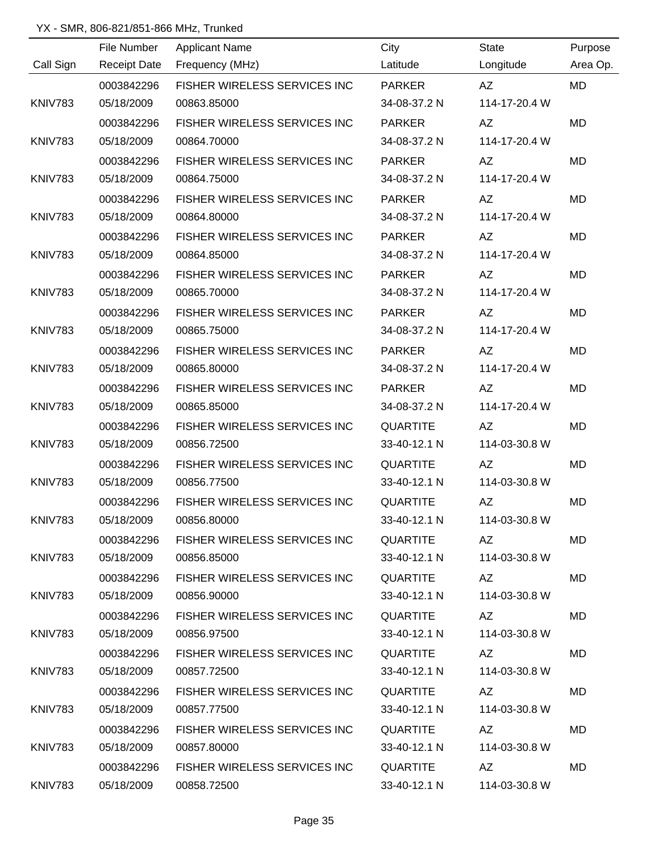|           |                     | <u> 1989 - Johann Barn, amerikansk politiker (</u> |                 |                                                                                                                                                                                                                                |           |
|-----------|---------------------|----------------------------------------------------|-----------------|--------------------------------------------------------------------------------------------------------------------------------------------------------------------------------------------------------------------------------|-----------|
|           | File Number         | <b>Applicant Name</b>                              | City            | State                                                                                                                                                                                                                          | Purpose   |
| Call Sign | <b>Receipt Date</b> | Frequency (MHz)                                    | Latitude        | Longitude                                                                                                                                                                                                                      | Area Op.  |
|           | 0003842296          | FISHER WIRELESS SERVICES INC                       | PARKER          | AZ                                                                                                                                                                                                                             | <b>MD</b> |
| KNIV783   | 05/18/2009          | 00863.85000                                        | 34-08-37.2 N    | 114-17-20.4 W                                                                                                                                                                                                                  |           |
|           | 0003842296          | FISHER WIRELESS SERVICES INC                       | <b>PARKER</b>   | AZ                                                                                                                                                                                                                             | <b>MD</b> |
| KNIV783   | 05/18/2009          | 00864.70000                                        | 34-08-37.2 N    | 114-17-20.4 W                                                                                                                                                                                                                  |           |
|           | 0003842296          | FISHER WIRELESS SERVICES INC                       | <b>PARKER</b>   | AZ                                                                                                                                                                                                                             | <b>MD</b> |
| KNIV783   | 05/18/2009          | 00864.75000                                        | 34-08-37.2 N    | 114-17-20.4 W                                                                                                                                                                                                                  |           |
|           | 0003842296          | FISHER WIRELESS SERVICES INC                       | PARKER          | AZ                                                                                                                                                                                                                             | MD        |
| KNIV783   | 05/18/2009          | 00864.80000                                        | 34-08-37.2 N    | 114-17-20.4 W                                                                                                                                                                                                                  |           |
|           | 0003842296          | FISHER WIRELESS SERVICES INC                       | PARKER          | AZ                                                                                                                                                                                                                             | MD        |
| KNIV783   | 05/18/2009          | 00864.85000                                        | 34-08-37.2 N    | 114-17-20.4 W                                                                                                                                                                                                                  |           |
|           | 0003842296          | FISHER WIRELESS SERVICES INC                       | <b>PARKER</b>   | AZ                                                                                                                                                                                                                             | MD        |
| KNIV783   | 05/18/2009          | 00865.70000                                        | 34-08-37.2 N    | 114-17-20.4 W                                                                                                                                                                                                                  |           |
|           | 0003842296          | FISHER WIRELESS SERVICES INC                       | <b>PARKER</b>   | AZ                                                                                                                                                                                                                             | MD        |
| KNIV783   | 05/18/2009          | 00865.75000                                        | 34-08-37.2 N    | 114-17-20.4 W                                                                                                                                                                                                                  |           |
|           | 0003842296          | FISHER WIRELESS SERVICES INC                       | <b>PARKER</b>   | AZ                                                                                                                                                                                                                             | <b>MD</b> |
| KNIV783   | 05/18/2009          | 00865.80000                                        | 34-08-37.2 N    | 114-17-20.4 W                                                                                                                                                                                                                  |           |
|           | 0003842296          | FISHER WIRELESS SERVICES INC                       | <b>PARKER</b>   | AZ                                                                                                                                                                                                                             | MD        |
| KNIV783   | 05/18/2009          | 00865.85000                                        | 34-08-37.2 N    | 114-17-20.4 W                                                                                                                                                                                                                  |           |
|           | 0003842296          | FISHER WIRELESS SERVICES INC                       | QUARTITE        | AZ                                                                                                                                                                                                                             | MD        |
| KNIV783   | 05/18/2009          | 00856.72500                                        | 33-40-12.1 N    | 114-03-30.8 W                                                                                                                                                                                                                  |           |
|           | 0003842296          | FISHER WIRELESS SERVICES INC                       | QUARTITE        | AZ                                                                                                                                                                                                                             | MD        |
| KNIV783   | 05/18/2009          | 00856.77500                                        | 33-40-12.1 N    | 114-03-30.8 W                                                                                                                                                                                                                  |           |
|           | 0003842296          | FISHER WIRELESS SERVICES INC                       | <b>QUARTITE</b> | AZ                                                                                                                                                                                                                             | MD        |
| KNIV783   | 05/18/2009          | 00856.80000                                        | 33-40-12.1 N    | 114-03-30.8 W                                                                                                                                                                                                                  |           |
|           | 0003842296          | FISHER WIRELESS SERVICES INC QUARTITE              |                 | AZ                                                                                                                                                                                                                             | MD        |
| KNIV783   | 05/18/2009          | 00856.85000                                        | 33-40-12.1 N    | 114-03-30.8 W                                                                                                                                                                                                                  |           |
|           | 0003842296          | FISHER WIRELESS SERVICES INC                       | QUARTITE        | AZ                                                                                                                                                                                                                             | MD.       |
| KNIV783   | 05/18/2009          | 00856.90000                                        | 33-40-12.1 N    | 114-03-30.8 W                                                                                                                                                                                                                  |           |
|           | 0003842296          | FISHER WIRELESS SERVICES INC                       | QUARTITE        | AZ and the set of the set of the set of the set of the set of the set of the set of the set of the set of the set of the set of the set of the set of the set of the set of the set of the set of the set of the set of the se | MD.       |
| KNIV783   | 05/18/2009          | 00856.97500                                        | 33-40-12.1 N    | 114-03-30.8 W                                                                                                                                                                                                                  |           |
|           | 0003842296          | FISHER WIRELESS SERVICES INC                       | QUARTITE        | AZ                                                                                                                                                                                                                             | MD.       |
| KNIV783   | 05/18/2009          | 00857.72500                                        | 33-40-12.1 N    | 114-03-30.8 W                                                                                                                                                                                                                  |           |
|           | 0003842296          | FISHER WIRELESS SERVICES INC                       | QUARTITE        | AZ                                                                                                                                                                                                                             | MD.       |
| KNIV783   | 05/18/2009          | 00857.77500                                        | 33-40-12.1 N    | 114-03-30.8 W                                                                                                                                                                                                                  |           |
|           | 0003842296          | FISHER WIRELESS SERVICES INC                       | QUARTITE        | AZ                                                                                                                                                                                                                             | MD        |
| KNIV783   | 05/18/2009          | 00857.80000                                        | 33-40-12.1 N    | 114-03-30.8 W                                                                                                                                                                                                                  |           |
|           | 0003842296          | FISHER WIRELESS SERVICES INC                       | QUARTITE        | AZ                                                                                                                                                                                                                             | MD        |
| KNIV783   | 05/18/2009          | 00858.72500                                        | 33-40-12.1 N    | 114-03-30.8 W                                                                                                                                                                                                                  |           |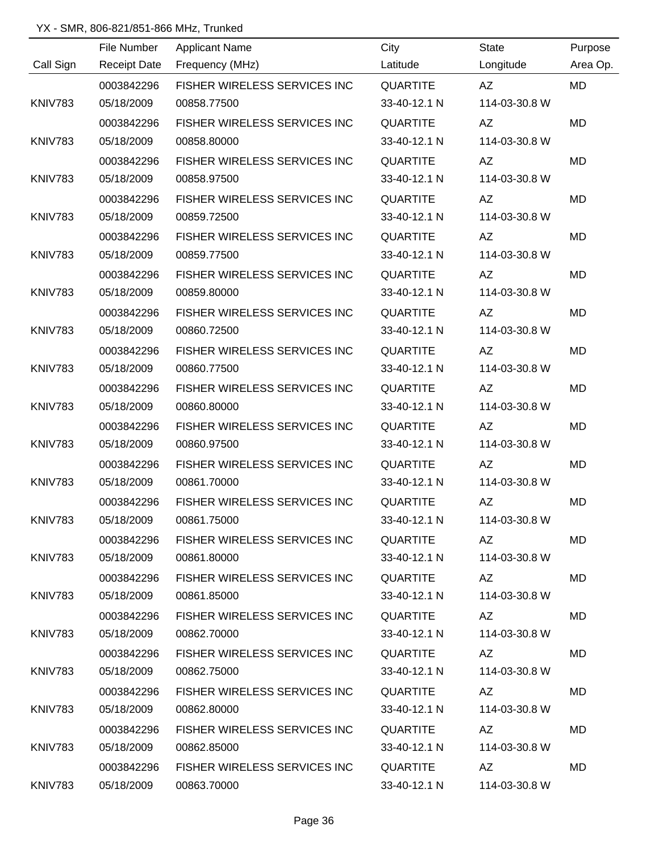|           | File Number | <u> 1980 - Johann Barbara, martxa alemaniar a</u><br><b>Applicant Name</b> | City            | State                                                                                                                                                                                                                          | Purpose   |
|-----------|-------------|----------------------------------------------------------------------------|-----------------|--------------------------------------------------------------------------------------------------------------------------------------------------------------------------------------------------------------------------------|-----------|
| Call Sign |             | Receipt Date Frequency (MHz)                                               | Latitude        | Longitude                                                                                                                                                                                                                      | Area Op.  |
|           | 0003842296  | FISHER WIRELESS SERVICES INC                                               | QUARTITE        | AZ                                                                                                                                                                                                                             | MD        |
| KNIV783   | 05/18/2009  | 00858.77500                                                                | 33-40-12.1 N    | 114-03-30.8 W                                                                                                                                                                                                                  |           |
|           | 0003842296  | FISHER WIRELESS SERVICES INC                                               | <b>QUARTITE</b> | AZ                                                                                                                                                                                                                             | <b>MD</b> |
| KNIV783   | 05/18/2009  | 00858.80000                                                                | 33-40-12.1 N    | 114-03-30.8 W                                                                                                                                                                                                                  |           |
|           | 0003842296  | FISHER WIRELESS SERVICES INC                                               | QUARTITE        | AZ                                                                                                                                                                                                                             | MD        |
| KNIV783   | 05/18/2009  | 00858.97500                                                                | 33-40-12.1 N    | 114-03-30.8 W                                                                                                                                                                                                                  |           |
|           | 0003842296  | FISHER WIRELESS SERVICES INC                                               | QUARTITE        | AZ                                                                                                                                                                                                                             | MD        |
| KNIV783   | 05/18/2009  | 00859.72500                                                                | 33-40-12.1 N    | 114-03-30.8 W                                                                                                                                                                                                                  |           |
|           | 0003842296  | FISHER WIRELESS SERVICES INC                                               | QUARTITE        | AZ                                                                                                                                                                                                                             | MD        |
| KNIV783   | 05/18/2009  | 00859.77500                                                                | 33-40-12.1 N    | 114-03-30.8 W                                                                                                                                                                                                                  |           |
|           | 0003842296  | FISHER WIRELESS SERVICES INC                                               | QUARTITE        | AZ                                                                                                                                                                                                                             | MD        |
| KNIV783   | 05/18/2009  | 00859.80000                                                                | 33-40-12.1 N    | 114-03-30.8 W                                                                                                                                                                                                                  |           |
|           | 0003842296  | FISHER WIRELESS SERVICES INC                                               | <b>QUARTITE</b> | AZ                                                                                                                                                                                                                             | MD        |
| KNIV783   | 05/18/2009  | 00860.72500                                                                | 33-40-12.1 N    | 114-03-30.8 W                                                                                                                                                                                                                  |           |
|           | 0003842296  | FISHER WIRELESS SERVICES INC                                               | <b>QUARTITE</b> | AZ                                                                                                                                                                                                                             | <b>MD</b> |
| KNIV783   | 05/18/2009  | 00860.77500                                                                | 33-40-12.1 N    | 114-03-30.8 W                                                                                                                                                                                                                  |           |
|           | 0003842296  | FISHER WIRELESS SERVICES INC                                               | QUARTITE        | AZ                                                                                                                                                                                                                             | MD        |
| KNIV783   | 05/18/2009  | 00860.80000                                                                | 33-40-12.1 N    | 114-03-30.8 W                                                                                                                                                                                                                  |           |
|           | 0003842296  | FISHER WIRELESS SERVICES INC                                               | QUARTITE        | AZ                                                                                                                                                                                                                             | MD        |
| KNIV783   | 05/18/2009  | 00860.97500                                                                | 33-40-12.1 N    | 114-03-30.8 W                                                                                                                                                                                                                  |           |
|           | 0003842296  | FISHER WIRELESS SERVICES INC                                               | QUARTITE        | AZ                                                                                                                                                                                                                             | MD        |
| KNIV783   | 05/18/2009  | 00861.70000                                                                | 33-40-12.1 N    | 114-03-30.8 W                                                                                                                                                                                                                  |           |
|           | 0003842296  | FISHER WIRELESS SERVICES INC                                               | <b>QUARTITE</b> | AZ                                                                                                                                                                                                                             | MD        |
| KNIV783   | 05/18/2009  | 00861.75000                                                                | 33-40-12.1 N    | 114-03-30.8 W                                                                                                                                                                                                                  |           |
|           | 0003842296  | FISHER WIRELESS SERVICES INC QUARTITE                                      |                 | AZ DO                                                                                                                                                                                                                          | MD        |
| KNIV783   | 05/18/2009  | 00861.80000                                                                | 33-40-12.1 N    | 114-03-30.8 W                                                                                                                                                                                                                  |           |
|           | 0003842296  | FISHER WIRELESS SERVICES INC QUARTITE                                      |                 |                                                                                                                                                                                                                                | MD.       |
| KNIV783   | 05/18/2009  | 00861.85000                                                                | 33-40-12.1 N    | 114-03-30.8 W                                                                                                                                                                                                                  |           |
|           | 0003842296  | FISHER WIRELESS SERVICES INC                                               | QUARTITE        | AZ                                                                                                                                                                                                                             | MD        |
| KNIV783   | 05/18/2009  | 00862.70000                                                                | 33-40-12.1 N    | 114-03-30.8 W                                                                                                                                                                                                                  |           |
|           | 0003842296  | FISHER WIRELESS SERVICES INC                                               | QUARTITE        | AZ and the set of the set of the set of the set of the set of the set of the set of the set of the set of the set of the set of the set of the set of the set of the set of the set of the set of the set of the set of the se | MD        |
| KNIV783   | 05/18/2009  | 00862.75000                                                                | 33-40-12.1 N    | 114-03-30.8 W                                                                                                                                                                                                                  |           |
|           | 0003842296  | FISHER WIRELESS SERVICES INC                                               | QUARTITE        | AZ                                                                                                                                                                                                                             | MD.       |
| KNIV783   | 05/18/2009  | 00862.80000                                                                | 33-40-12.1 N    | 114-03-30.8 W                                                                                                                                                                                                                  |           |
|           | 0003842296  | FISHER WIRELESS SERVICES INC                                               | QUARTITE        | AZ                                                                                                                                                                                                                             | MD        |
| KNIV783   | 05/18/2009  | 00862.85000                                                                | 33-40-12.1 N    | 114-03-30.8 W                                                                                                                                                                                                                  |           |
|           | 0003842296  | FISHER WIRELESS SERVICES INC                                               | QUARTITE        | AZ                                                                                                                                                                                                                             | MD        |
| KNIV783   | 05/18/2009  | 00863.70000                                                                | 33-40-12.1 N    | 114-03-30.8 W                                                                                                                                                                                                                  |           |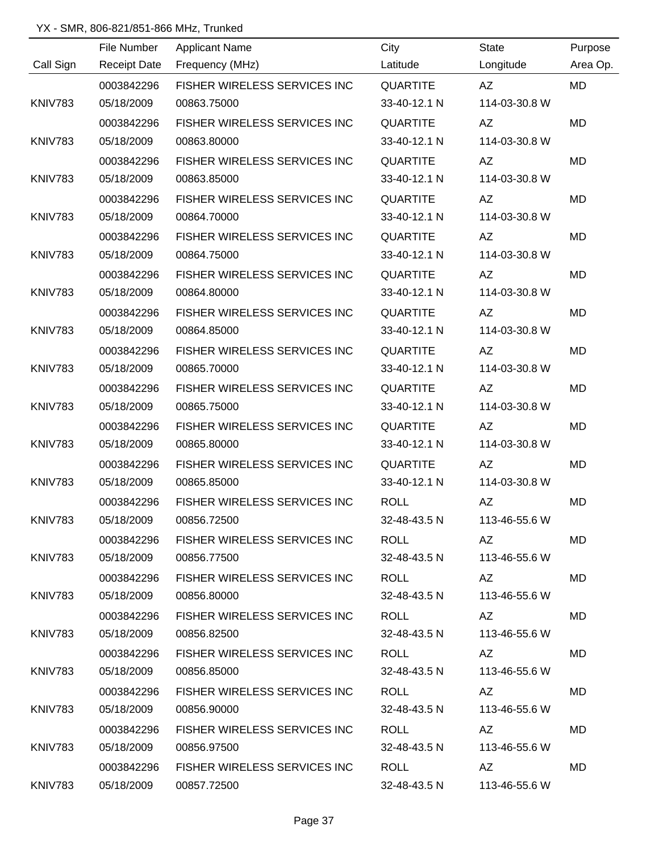|                | File Number         | <b>Applicant Name</b>               | City            | <b>State</b>                                                                                                                                                                                                                   | Purpose   |
|----------------|---------------------|-------------------------------------|-----------------|--------------------------------------------------------------------------------------------------------------------------------------------------------------------------------------------------------------------------------|-----------|
| Call Sign      | <b>Receipt Date</b> | Frequency (MHz)                     | Latitude        | Longitude                                                                                                                                                                                                                      | Area Op.  |
|                | 0003842296          | FISHER WIRELESS SERVICES INC        | <b>QUARTITE</b> | AZ                                                                                                                                                                                                                             | <b>MD</b> |
| <b>KNIV783</b> | 05/18/2009          | 00863.75000                         | 33-40-12.1 N    | 114-03-30.8 W                                                                                                                                                                                                                  |           |
|                | 0003842296          | FISHER WIRELESS SERVICES INC        | <b>QUARTITE</b> | AZ                                                                                                                                                                                                                             | <b>MD</b> |
| <b>KNIV783</b> | 05/18/2009          | 00863.80000                         | 33-40-12.1 N    | 114-03-30.8 W                                                                                                                                                                                                                  |           |
|                | 0003842296          | FISHER WIRELESS SERVICES INC        | <b>QUARTITE</b> | AZ                                                                                                                                                                                                                             | MD        |
| <b>KNIV783</b> | 05/18/2009          | 00863.85000                         | 33-40-12.1 N    | 114-03-30.8 W                                                                                                                                                                                                                  |           |
|                | 0003842296          | FISHER WIRELESS SERVICES INC        | <b>QUARTITE</b> | AZ                                                                                                                                                                                                                             | MD        |
| <b>KNIV783</b> | 05/18/2009          | 00864.70000                         | 33-40-12.1 N    | 114-03-30.8 W                                                                                                                                                                                                                  |           |
|                | 0003842296          | FISHER WIRELESS SERVICES INC        | <b>QUARTITE</b> | AZ                                                                                                                                                                                                                             | <b>MD</b> |
| <b>KNIV783</b> | 05/18/2009          | 00864.75000                         | 33-40-12.1 N    | 114-03-30.8 W                                                                                                                                                                                                                  |           |
|                | 0003842296          | FISHER WIRELESS SERVICES INC        | <b>QUARTITE</b> | AZ                                                                                                                                                                                                                             | <b>MD</b> |
| <b>KNIV783</b> | 05/18/2009          | 00864.80000                         | 33-40-12.1 N    | 114-03-30.8 W                                                                                                                                                                                                                  |           |
|                | 0003842296          | FISHER WIRELESS SERVICES INC        | <b>QUARTITE</b> | AZ                                                                                                                                                                                                                             | MD        |
| KNIV783        | 05/18/2009          | 00864.85000                         | 33-40-12.1 N    | 114-03-30.8 W                                                                                                                                                                                                                  |           |
|                | 0003842296          | FISHER WIRELESS SERVICES INC        | <b>QUARTITE</b> | AZ                                                                                                                                                                                                                             | MD        |
| KNIV783        | 05/18/2009          | 00865.70000                         | 33-40-12.1 N    | 114-03-30.8 W                                                                                                                                                                                                                  |           |
|                | 0003842296          | FISHER WIRELESS SERVICES INC        | <b>QUARTITE</b> | <b>AZ</b>                                                                                                                                                                                                                      | <b>MD</b> |
| KNIV783        | 05/18/2009          | 00865.75000                         | 33-40-12.1 N    | 114-03-30.8 W                                                                                                                                                                                                                  |           |
|                | 0003842296          | FISHER WIRELESS SERVICES INC        | <b>QUARTITE</b> | <b>AZ</b>                                                                                                                                                                                                                      | <b>MD</b> |
| <b>KNIV783</b> | 05/18/2009          | 00865.80000                         | 33-40-12.1 N    | 114-03-30.8 W                                                                                                                                                                                                                  |           |
|                | 0003842296          | FISHER WIRELESS SERVICES INC        | <b>QUARTITE</b> | AZ                                                                                                                                                                                                                             | MD        |
| KNIV783        | 05/18/2009          | 00865.85000                         | 33-40-12.1 N    | 114-03-30.8 W                                                                                                                                                                                                                  |           |
|                | 0003842296          | <b>FISHER WIRELESS SERVICES INC</b> | <b>ROLL</b>     | AZ                                                                                                                                                                                                                             | <b>MD</b> |
| KNIV783        | 05/18/2009          | 00856.72500                         | 32-48-43.5 N    | 113-46-55.6 W                                                                                                                                                                                                                  |           |
|                | 0003842296          | FISHER WIRELESS SERVICES INC        | ROLL            | AZ.                                                                                                                                                                                                                            | MD.       |
| KNIV783        | 05/18/2009          | 00856.77500                         | 32-48-43.5 N    | 113-46-55.6 W                                                                                                                                                                                                                  |           |
|                | 0003842296          | FISHER WIRELESS SERVICES INC        | <b>ROLL</b>     | AZ                                                                                                                                                                                                                             | <b>MD</b> |
| KNIV783        | 05/18/2009          | 00856.80000                         | 32-48-43.5 N    | 113-46-55.6 W                                                                                                                                                                                                                  |           |
|                | 0003842296          | FISHER WIRELESS SERVICES INC        | ROLL            | AZ                                                                                                                                                                                                                             | MD.       |
| KNIV783        | 05/18/2009          | 00856.82500                         | 32-48-43.5 N    | 113-46-55.6 W                                                                                                                                                                                                                  |           |
|                | 0003842296          | FISHER WIRELESS SERVICES INC        | ROLL            | AZ                                                                                                                                                                                                                             | MD        |
| KNIV783        | 05/18/2009          | 00856.85000                         | 32-48-43.5 N    | 113-46-55.6 W                                                                                                                                                                                                                  |           |
|                | 0003842296          | FISHER WIRELESS SERVICES INC        | ROLL            | AZ.                                                                                                                                                                                                                            | MD        |
| KNIV783        | 05/18/2009          | 00856.90000                         | 32-48-43.5 N    | 113-46-55.6 W                                                                                                                                                                                                                  |           |
|                | 0003842296          | <b>FISHER WIRELESS SERVICES INC</b> | ROLL            | AZ                                                                                                                                                                                                                             | MD        |
| KNIV783        | 05/18/2009          | 00856.97500                         | 32-48-43.5 N    | 113-46-55.6 W                                                                                                                                                                                                                  |           |
|                | 0003842296          | FISHER WIRELESS SERVICES INC        | <b>ROLL</b>     | AZ and the set of the set of the set of the set of the set of the set of the set of the set of the set of the set of the set of the set of the set of the set of the set of the set of the set of the set of the set of the se | MD.       |
| KNIV783        | 05/18/2009          | 00857.72500                         | 32-48-43.5 N    | 113-46-55.6 W                                                                                                                                                                                                                  |           |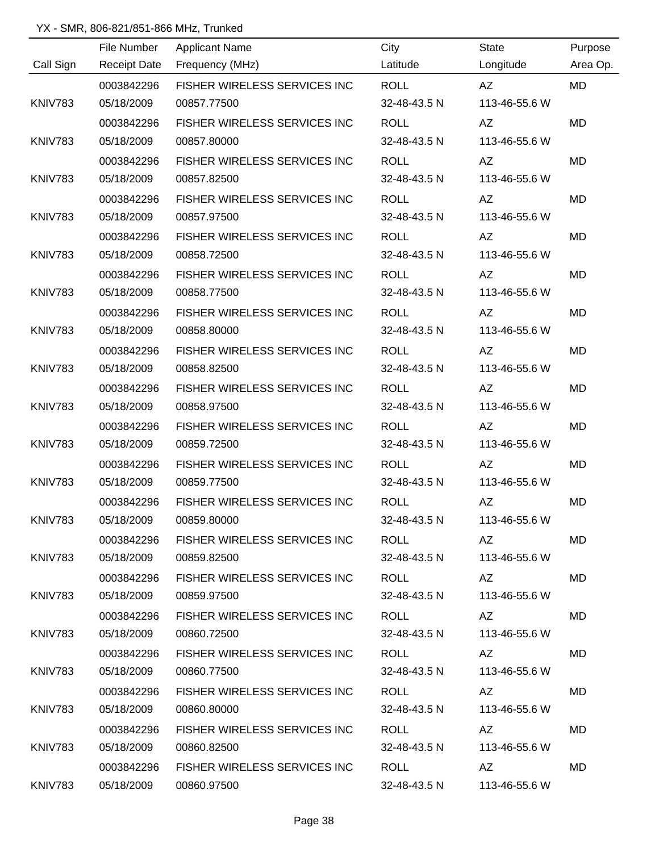|                | File Number         | <b>Applicant Name</b>               | City         | <b>State</b>                                                                                                                                                                                                                   | Purpose   |
|----------------|---------------------|-------------------------------------|--------------|--------------------------------------------------------------------------------------------------------------------------------------------------------------------------------------------------------------------------------|-----------|
| Call Sign      | <b>Receipt Date</b> | Frequency (MHz)                     | Latitude     | Longitude                                                                                                                                                                                                                      | Area Op.  |
|                | 0003842296          | FISHER WIRELESS SERVICES INC        | <b>ROLL</b>  | AZ                                                                                                                                                                                                                             | <b>MD</b> |
| <b>KNIV783</b> | 05/18/2009          | 00857.77500                         | 32-48-43.5 N | 113-46-55.6 W                                                                                                                                                                                                                  |           |
|                | 0003842296          | FISHER WIRELESS SERVICES INC        | <b>ROLL</b>  | AZ                                                                                                                                                                                                                             | <b>MD</b> |
| <b>KNIV783</b> | 05/18/2009          | 00857.80000                         | 32-48-43.5 N | 113-46-55.6 W                                                                                                                                                                                                                  |           |
|                | 0003842296          | <b>FISHER WIRELESS SERVICES INC</b> | <b>ROLL</b>  | AZ                                                                                                                                                                                                                             | <b>MD</b> |
| <b>KNIV783</b> | 05/18/2009          | 00857.82500                         | 32-48-43.5 N | 113-46-55.6 W                                                                                                                                                                                                                  |           |
|                | 0003842296          | FISHER WIRELESS SERVICES INC        | <b>ROLL</b>  | AZ                                                                                                                                                                                                                             | MD        |
| <b>KNIV783</b> | 05/18/2009          | 00857.97500                         | 32-48-43.5 N | 113-46-55.6 W                                                                                                                                                                                                                  |           |
|                | 0003842296          | FISHER WIRELESS SERVICES INC        | <b>ROLL</b>  | AZ                                                                                                                                                                                                                             | <b>MD</b> |
| <b>KNIV783</b> | 05/18/2009          | 00858.72500                         | 32-48-43.5 N | 113-46-55.6 W                                                                                                                                                                                                                  |           |
|                | 0003842296          | FISHER WIRELESS SERVICES INC        | <b>ROLL</b>  | AZ                                                                                                                                                                                                                             | MD        |
| <b>KNIV783</b> | 05/18/2009          | 00858.77500                         | 32-48-43.5 N | 113-46-55.6 W                                                                                                                                                                                                                  |           |
|                | 0003842296          | FISHER WIRELESS SERVICES INC        | <b>ROLL</b>  | AZ                                                                                                                                                                                                                             | MD        |
| <b>KNIV783</b> | 05/18/2009          | 00858.80000                         | 32-48-43.5 N | 113-46-55.6 W                                                                                                                                                                                                                  |           |
|                | 0003842296          | FISHER WIRELESS SERVICES INC        | <b>ROLL</b>  | <b>AZ</b>                                                                                                                                                                                                                      | MD        |
| <b>KNIV783</b> | 05/18/2009          | 00858.82500                         | 32-48-43.5 N | 113-46-55.6 W                                                                                                                                                                                                                  |           |
|                | 0003842296          | FISHER WIRELESS SERVICES INC        | <b>ROLL</b>  | AZ                                                                                                                                                                                                                             | <b>MD</b> |
| <b>KNIV783</b> | 05/18/2009          | 00858.97500                         | 32-48-43.5 N | 113-46-55.6 W                                                                                                                                                                                                                  |           |
|                | 0003842296          | FISHER WIRELESS SERVICES INC        | <b>ROLL</b>  | <b>AZ</b>                                                                                                                                                                                                                      | MD        |
| <b>KNIV783</b> | 05/18/2009          | 00859.72500                         | 32-48-43.5 N | 113-46-55.6 W                                                                                                                                                                                                                  |           |
|                | 0003842296          | FISHER WIRELESS SERVICES INC        | <b>ROLL</b>  | AZ                                                                                                                                                                                                                             | <b>MD</b> |
| <b>KNIV783</b> | 05/18/2009          | 00859.77500                         | 32-48-43.5 N | 113-46-55.6 W                                                                                                                                                                                                                  |           |
|                | 0003842296          | FISHER WIRELESS SERVICES INC        | <b>ROLL</b>  | <b>AZ</b>                                                                                                                                                                                                                      | MD        |
| KNIV783        | 05/18/2009          | 00859.80000                         | 32-48-43.5 N | 113-46-55.6 W                                                                                                                                                                                                                  |           |
|                | 0003842296          | FISHER WIRELESS SERVICES INC ROLL   |              | AZ and the set of the set of the set of the set of the set of the set of the set of the set of the set of the set of the set of the set of the set of the set of the set of the set of the set of the set of the set of the se | MD.       |
| KNIV783        | 05/18/2009          | 00859.82500                         | 32-48-43.5 N | 113-46-55.6 W                                                                                                                                                                                                                  |           |
|                | 0003842296          | FISHER WIRELESS SERVICES INC        | ROLL         | AZ and the set of the set of the set of the set of the set of the set of the set of the set of the set of the set of the set of the set of the set of the set of the set of the set of the set of the set of the set of the se | MD.       |
| KNIV783        | 05/18/2009          | 00859.97500                         | 32-48-43.5 N | 113-46-55.6 W                                                                                                                                                                                                                  |           |
|                | 0003842296          | FISHER WIRELESS SERVICES INC        | ROLL         | AZ                                                                                                                                                                                                                             | MD.       |
| KNIV783        | 05/18/2009          | 00860.72500                         | 32-48-43.5 N | 113-46-55.6 W                                                                                                                                                                                                                  |           |
|                | 0003842296          | FISHER WIRELESS SERVICES INC        | ROLL         | AZ                                                                                                                                                                                                                             | MD.       |
| KNIV783        | 05/18/2009          | 00860.77500                         | 32-48-43.5 N | 113-46-55.6 W                                                                                                                                                                                                                  |           |
|                | 0003842296          | FISHER WIRELESS SERVICES INC        | ROLL         | AZ                                                                                                                                                                                                                             | MD        |
| KNIV783        | 05/18/2009          | 00860.80000                         | 32-48-43.5 N | 113-46-55.6 W                                                                                                                                                                                                                  |           |
|                | 0003842296          | FISHER WIRELESS SERVICES INC        | ROLL         | AZ                                                                                                                                                                                                                             | MD        |
| KNIV783        | 05/18/2009          | 00860.82500                         | 32-48-43.5 N | 113-46-55.6 W                                                                                                                                                                                                                  |           |
|                | 0003842296          | <b>FISHER WIRELESS SERVICES INC</b> | ROLL         | AZ                                                                                                                                                                                                                             | MD.       |
| KNIV783        | 05/18/2009          | 00860.97500                         | 32-48-43.5 N | 113-46-55.6 W                                                                                                                                                                                                                  |           |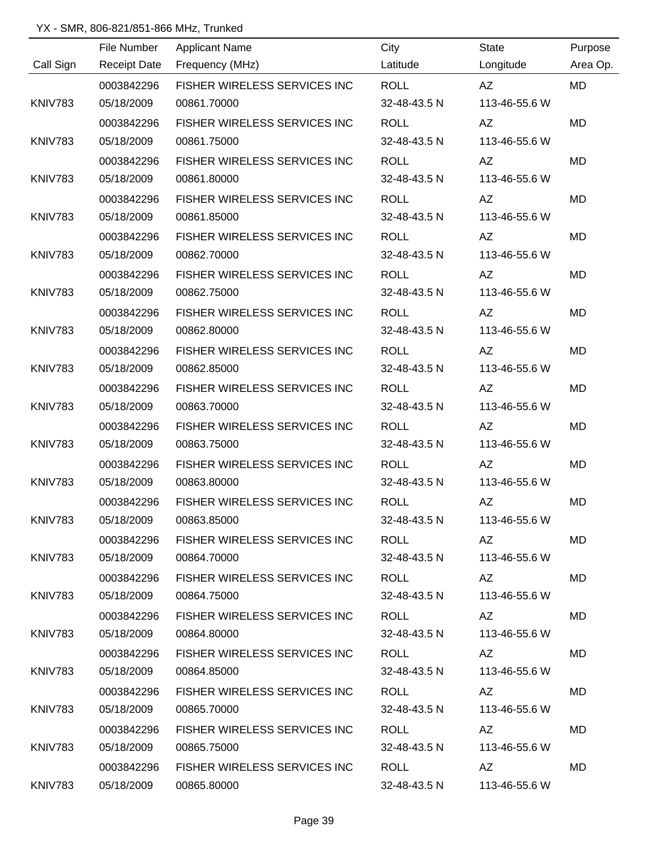|                | File Number         | <b>Applicant Name</b>               | City         | <b>State</b>                                                                                                                                                                                                                   | Purpose   |
|----------------|---------------------|-------------------------------------|--------------|--------------------------------------------------------------------------------------------------------------------------------------------------------------------------------------------------------------------------------|-----------|
| Call Sign      | <b>Receipt Date</b> | Frequency (MHz)                     | Latitude     | Longitude                                                                                                                                                                                                                      | Area Op.  |
|                | 0003842296          | FISHER WIRELESS SERVICES INC        | <b>ROLL</b>  | AZ                                                                                                                                                                                                                             | <b>MD</b> |
| <b>KNIV783</b> | 05/18/2009          | 00861.70000                         | 32-48-43.5 N | 113-46-55.6 W                                                                                                                                                                                                                  |           |
|                | 0003842296          | FISHER WIRELESS SERVICES INC        | <b>ROLL</b>  | AZ                                                                                                                                                                                                                             | <b>MD</b> |
| <b>KNIV783</b> | 05/18/2009          | 00861.75000                         | 32-48-43.5 N | 113-46-55.6 W                                                                                                                                                                                                                  |           |
|                | 0003842296          | FISHER WIRELESS SERVICES INC        | <b>ROLL</b>  | AZ                                                                                                                                                                                                                             | <b>MD</b> |
| <b>KNIV783</b> | 05/18/2009          | 00861.80000                         | 32-48-43.5 N | 113-46-55.6 W                                                                                                                                                                                                                  |           |
|                | 0003842296          | FISHER WIRELESS SERVICES INC        | <b>ROLL</b>  | AZ                                                                                                                                                                                                                             | MD        |
| <b>KNIV783</b> | 05/18/2009          | 00861.85000                         | 32-48-43.5 N | 113-46-55.6 W                                                                                                                                                                                                                  |           |
|                | 0003842296          | FISHER WIRELESS SERVICES INC        | <b>ROLL</b>  | AZ                                                                                                                                                                                                                             | MD        |
| <b>KNIV783</b> | 05/18/2009          | 00862.70000                         | 32-48-43.5 N | 113-46-55.6 W                                                                                                                                                                                                                  |           |
|                | 0003842296          | FISHER WIRELESS SERVICES INC        | <b>ROLL</b>  | AZ                                                                                                                                                                                                                             | MD        |
| <b>KNIV783</b> | 05/18/2009          | 00862.75000                         | 32-48-43.5 N | 113-46-55.6 W                                                                                                                                                                                                                  |           |
|                | 0003842296          | FISHER WIRELESS SERVICES INC        | <b>ROLL</b>  | AZ                                                                                                                                                                                                                             | <b>MD</b> |
| <b>KNIV783</b> | 05/18/2009          | 00862.80000                         | 32-48-43.5 N | 113-46-55.6 W                                                                                                                                                                                                                  |           |
|                | 0003842296          | FISHER WIRELESS SERVICES INC        | <b>ROLL</b>  | AZ                                                                                                                                                                                                                             | MD        |
| KNIV783        | 05/18/2009          | 00862.85000                         | 32-48-43.5 N | 113-46-55.6 W                                                                                                                                                                                                                  |           |
|                | 0003842296          | FISHER WIRELESS SERVICES INC        | <b>ROLL</b>  | <b>AZ</b>                                                                                                                                                                                                                      | MD        |
| KNIV783        | 05/18/2009          | 00863.70000                         | 32-48-43.5 N | 113-46-55.6 W                                                                                                                                                                                                                  |           |
|                | 0003842296          | FISHER WIRELESS SERVICES INC        | <b>ROLL</b>  | <b>AZ</b>                                                                                                                                                                                                                      | MD        |
| KNIV783        | 05/18/2009          | 00863.75000                         | 32-48-43.5 N | 113-46-55.6 W                                                                                                                                                                                                                  |           |
|                | 0003842296          | FISHER WIRELESS SERVICES INC        | <b>ROLL</b>  | AZ                                                                                                                                                                                                                             | <b>MD</b> |
| <b>KNIV783</b> | 05/18/2009          | 00863.80000                         | 32-48-43.5 N | 113-46-55.6 W                                                                                                                                                                                                                  |           |
|                | 0003842296          | <b>FISHER WIRELESS SERVICES INC</b> | <b>ROLL</b>  | AZ                                                                                                                                                                                                                             | MD        |
| KNIV783        | 05/18/2009          | 00863.85000                         | 32-48-43.5 N | 113-46-55.6 W                                                                                                                                                                                                                  |           |
|                | 0003842296          | FISHER WIRELESS SERVICES INC        | <b>ROLL</b>  | AZ                                                                                                                                                                                                                             | MD.       |
| KNIV783        | 05/18/2009          | 00864.70000                         | 32-48-43.5 N | 113-46-55.6 W                                                                                                                                                                                                                  |           |
|                | 0003842296          | FISHER WIRELESS SERVICES INC        | ROLL         | AZ and the set of the set of the set of the set of the set of the set of the set of the set of the set of the set of the set of the set of the set of the set of the set of the set of the set of the set of the set of the se | MD.       |
| KNIV783        | 05/18/2009          | 00864.75000                         | 32-48-43.5 N | 113-46-55.6 W                                                                                                                                                                                                                  |           |
|                | 0003842296          | FISHER WIRELESS SERVICES INC        | <b>ROLL</b>  | AZ                                                                                                                                                                                                                             | MD.       |
| KNIV783        | 05/18/2009          | 00864.80000                         | 32-48-43.5 N | 113-46-55.6 W                                                                                                                                                                                                                  |           |
|                | 0003842296          | FISHER WIRELESS SERVICES INC        | <b>ROLL</b>  | AZ                                                                                                                                                                                                                             | MD.       |
| <b>KNIV783</b> | 05/18/2009          | 00864.85000                         | 32-48-43.5 N | 113-46-55.6 W                                                                                                                                                                                                                  |           |
|                | 0003842296          | FISHER WIRELESS SERVICES INC        | <b>ROLL</b>  | AZ.                                                                                                                                                                                                                            | MD        |
| <b>KNIV783</b> | 05/18/2009          | 00865.70000                         | 32-48-43.5 N | 113-46-55.6 W                                                                                                                                                                                                                  |           |
|                | 0003842296          | <b>FISHER WIRELESS SERVICES INC</b> | ROLL         | AZ.                                                                                                                                                                                                                            | MD        |
| <b>KNIV783</b> | 05/18/2009          | 00865.75000                         | 32-48-43.5 N | 113-46-55.6 W                                                                                                                                                                                                                  |           |
|                | 0003842296          | <b>FISHER WIRELESS SERVICES INC</b> | ROLL         | AZ.                                                                                                                                                                                                                            | MD.       |
| KNIV783        | 05/18/2009          | 00865.80000                         | 32-48-43.5 N | 113-46-55.6 W                                                                                                                                                                                                                  |           |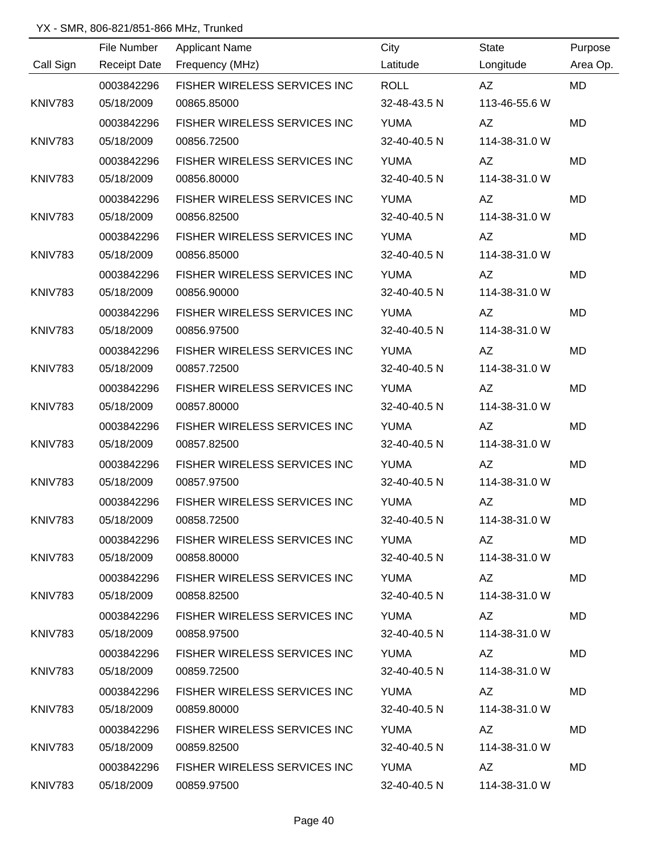|                | File Number         | <b>Applicant Name</b>               | City         | State                                                                                                                                                                                                                          | Purpose   |
|----------------|---------------------|-------------------------------------|--------------|--------------------------------------------------------------------------------------------------------------------------------------------------------------------------------------------------------------------------------|-----------|
| Call Sign      | <b>Receipt Date</b> | Frequency (MHz)                     | Latitude     | Longitude                                                                                                                                                                                                                      | Area Op.  |
|                | 0003842296          | FISHER WIRELESS SERVICES INC        | <b>ROLL</b>  | AZ                                                                                                                                                                                                                             | <b>MD</b> |
| <b>KNIV783</b> | 05/18/2009          | 00865.85000                         | 32-48-43.5 N | 113-46-55.6 W                                                                                                                                                                                                                  |           |
|                | 0003842296          | FISHER WIRELESS SERVICES INC        | <b>YUMA</b>  | AZ                                                                                                                                                                                                                             | <b>MD</b> |
| KNIV783        | 05/18/2009          | 00856.72500                         | 32-40-40.5 N | 114-38-31.0 W                                                                                                                                                                                                                  |           |
|                | 0003842296          | FISHER WIRELESS SERVICES INC        | <b>YUMA</b>  | AZ                                                                                                                                                                                                                             | MD        |
| <b>KNIV783</b> | 05/18/2009          | 00856.80000                         | 32-40-40.5 N | 114-38-31.0 W                                                                                                                                                                                                                  |           |
|                | 0003842296          | FISHER WIRELESS SERVICES INC        | <b>YUMA</b>  | AZ                                                                                                                                                                                                                             | MD        |
| KNIV783        | 05/18/2009          | 00856.82500                         | 32-40-40.5 N | 114-38-31.0 W                                                                                                                                                                                                                  |           |
|                | 0003842296          | FISHER WIRELESS SERVICES INC        | <b>YUMA</b>  | AZ                                                                                                                                                                                                                             | <b>MD</b> |
| <b>KNIV783</b> | 05/18/2009          | 00856.85000                         | 32-40-40.5 N | 114-38-31.0 W                                                                                                                                                                                                                  |           |
|                | 0003842296          | FISHER WIRELESS SERVICES INC        | <b>YUMA</b>  | AZ                                                                                                                                                                                                                             | MD        |
| <b>KNIV783</b> | 05/18/2009          | 00856.90000                         | 32-40-40.5 N | 114-38-31.0 W                                                                                                                                                                                                                  |           |
|                | 0003842296          | FISHER WIRELESS SERVICES INC        | <b>YUMA</b>  | <b>AZ</b>                                                                                                                                                                                                                      | <b>MD</b> |
| <b>KNIV783</b> | 05/18/2009          | 00856.97500                         | 32-40-40.5 N | 114-38-31.0 W                                                                                                                                                                                                                  |           |
|                | 0003842296          | FISHER WIRELESS SERVICES INC        | <b>YUMA</b>  | <b>AZ</b>                                                                                                                                                                                                                      | <b>MD</b> |
| KNIV783        | 05/18/2009          | 00857.72500                         | 32-40-40.5 N | 114-38-31.0 W                                                                                                                                                                                                                  |           |
|                | 0003842296          | FISHER WIRELESS SERVICES INC        | <b>YUMA</b>  | AZ                                                                                                                                                                                                                             | <b>MD</b> |
| KNIV783        | 05/18/2009          | 00857.80000                         | 32-40-40.5 N | 114-38-31.0 W                                                                                                                                                                                                                  |           |
|                | 0003842296          | FISHER WIRELESS SERVICES INC        | <b>YUMA</b>  | AZ                                                                                                                                                                                                                             | <b>MD</b> |
| <b>KNIV783</b> | 05/18/2009          | 00857.82500                         | 32-40-40.5 N | 114-38-31.0 W                                                                                                                                                                                                                  |           |
|                | 0003842296          | <b>FISHER WIRELESS SERVICES INC</b> | <b>YUMA</b>  | AZ                                                                                                                                                                                                                             | <b>MD</b> |
| KNIV783        | 05/18/2009          | 00857.97500                         | 32-40-40.5 N | 114-38-31.0 W                                                                                                                                                                                                                  |           |
|                | 0003842296          | FISHER WIRELESS SERVICES INC        | <b>YUMA</b>  | AZ                                                                                                                                                                                                                             | MD        |
| KNIV783        | 05/18/2009          | 00858.72500                         | 32-40-40.5 N | 114-38-31.0 W                                                                                                                                                                                                                  |           |
|                | 0003842296          | FISHER WIRELESS SERVICES INC YUMA   |              | AZ                                                                                                                                                                                                                             | MD        |
| KNIV783        | 05/18/2009          | 00858.80000                         | 32-40-40.5 N | 114-38-31.0 W                                                                                                                                                                                                                  |           |
|                | 0003842296          | FISHER WIRELESS SERVICES INC YUMA   |              | AZ                                                                                                                                                                                                                             | <b>MD</b> |
| KNIV783        | 05/18/2009          | 00858.82500                         | 32-40-40.5 N | 114-38-31.0 W                                                                                                                                                                                                                  |           |
|                | 0003842296          | FISHER WIRELESS SERVICES INC YUMA   |              | AZ                                                                                                                                                                                                                             | MD        |
| KNIV783        | 05/18/2009          | 00858.97500                         | 32-40-40.5 N | 114-38-31.0 W                                                                                                                                                                                                                  |           |
|                | 0003842296          | FISHER WIRELESS SERVICES INC        | YUMA         | AZ and the set of the set of the set of the set of the set of the set of the set of the set of the set of the set of the set of the set of the set of the set of the set of the set of the set of the set of the set of the se | MD        |
| KNIV783        | 05/18/2009          | 00859.72500                         | 32-40-40.5 N | 114-38-31.0 W                                                                                                                                                                                                                  |           |
|                | 0003842296          | FISHER WIRELESS SERVICES INC        | YUMA         | AZ DO                                                                                                                                                                                                                          | MD        |
| KNIV783        | 05/18/2009          | 00859.80000                         | 32-40-40.5 N | 114-38-31.0 W                                                                                                                                                                                                                  |           |
|                | 0003842296          | FISHER WIRELESS SERVICES INC        | YUMA         | AZ <b>Santa</b>                                                                                                                                                                                                                | <b>MD</b> |
| KNIV783        | 05/18/2009          | 00859.82500                         | 32-40-40.5 N | 114-38-31.0 W                                                                                                                                                                                                                  |           |
|                | 0003842296          | FISHER WIRELESS SERVICES INC YUMA   |              |                                                                                                                                                                                                                                | MD        |
| KNIV783        | 05/18/2009          | 00859.97500                         |              | 32-40-40.5 N 114-38-31.0 W                                                                                                                                                                                                     |           |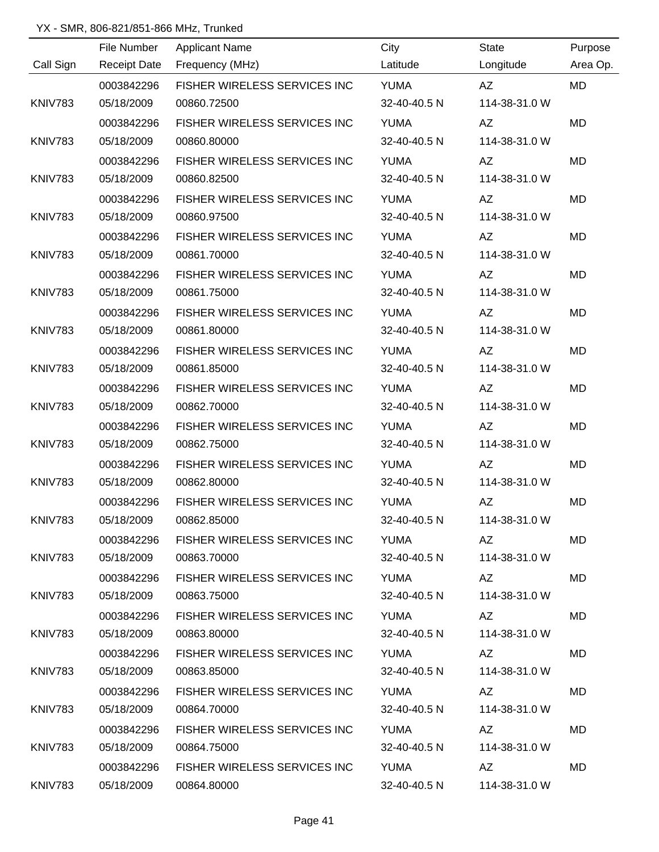|                | File Number         | <b>Applicant Name</b>               | City         | State                                                                                                                                                                                                                          | Purpose   |
|----------------|---------------------|-------------------------------------|--------------|--------------------------------------------------------------------------------------------------------------------------------------------------------------------------------------------------------------------------------|-----------|
| Call Sign      | <b>Receipt Date</b> | Frequency (MHz)                     | Latitude     | Longitude                                                                                                                                                                                                                      | Area Op.  |
|                | 0003842296          | FISHER WIRELESS SERVICES INC        | <b>YUMA</b>  | AZ                                                                                                                                                                                                                             | <b>MD</b> |
| <b>KNIV783</b> | 05/18/2009          | 00860.72500                         | 32-40-40.5 N | 114-38-31.0 W                                                                                                                                                                                                                  |           |
|                | 0003842296          | FISHER WIRELESS SERVICES INC        | <b>YUMA</b>  | AZ                                                                                                                                                                                                                             | <b>MD</b> |
| KNIV783        | 05/18/2009          | 00860.80000                         | 32-40-40.5 N | 114-38-31.0 W                                                                                                                                                                                                                  |           |
|                | 0003842296          | FISHER WIRELESS SERVICES INC        | <b>YUMA</b>  | AZ                                                                                                                                                                                                                             | MD        |
| <b>KNIV783</b> | 05/18/2009          | 00860.82500                         | 32-40-40.5 N | 114-38-31.0 W                                                                                                                                                                                                                  |           |
|                | 0003842296          | FISHER WIRELESS SERVICES INC        | <b>YUMA</b>  | AZ                                                                                                                                                                                                                             | MD        |
| KNIV783        | 05/18/2009          | 00860.97500                         | 32-40-40.5 N | 114-38-31.0 W                                                                                                                                                                                                                  |           |
|                | 0003842296          | FISHER WIRELESS SERVICES INC        | <b>YUMA</b>  | AZ                                                                                                                                                                                                                             | <b>MD</b> |
| <b>KNIV783</b> | 05/18/2009          | 00861.70000                         | 32-40-40.5 N | 114-38-31.0 W                                                                                                                                                                                                                  |           |
|                | 0003842296          | FISHER WIRELESS SERVICES INC        | <b>YUMA</b>  | AZ                                                                                                                                                                                                                             | MD        |
| <b>KNIV783</b> | 05/18/2009          | 00861.75000                         | 32-40-40.5 N | 114-38-31.0 W                                                                                                                                                                                                                  |           |
|                | 0003842296          | FISHER WIRELESS SERVICES INC        | <b>YUMA</b>  | <b>AZ</b>                                                                                                                                                                                                                      | <b>MD</b> |
| <b>KNIV783</b> | 05/18/2009          | 00861.80000                         | 32-40-40.5 N | 114-38-31.0 W                                                                                                                                                                                                                  |           |
|                | 0003842296          | FISHER WIRELESS SERVICES INC        | <b>YUMA</b>  | <b>AZ</b>                                                                                                                                                                                                                      | <b>MD</b> |
| KNIV783        | 05/18/2009          | 00861.85000                         | 32-40-40.5 N | 114-38-31.0 W                                                                                                                                                                                                                  |           |
|                | 0003842296          | FISHER WIRELESS SERVICES INC        | <b>YUMA</b>  | AZ                                                                                                                                                                                                                             | <b>MD</b> |
| KNIV783        | 05/18/2009          | 00862.70000                         | 32-40-40.5 N | 114-38-31.0 W                                                                                                                                                                                                                  |           |
|                | 0003842296          | FISHER WIRELESS SERVICES INC        | <b>YUMA</b>  | AZ                                                                                                                                                                                                                             | <b>MD</b> |
| <b>KNIV783</b> | 05/18/2009          | 00862.75000                         | 32-40-40.5 N | 114-38-31.0 W                                                                                                                                                                                                                  |           |
|                | 0003842296          | <b>FISHER WIRELESS SERVICES INC</b> | <b>YUMA</b>  | AZ                                                                                                                                                                                                                             | <b>MD</b> |
| KNIV783        | 05/18/2009          | 00862.80000                         | 32-40-40.5 N | 114-38-31.0 W                                                                                                                                                                                                                  |           |
|                | 0003842296          | FISHER WIRELESS SERVICES INC        | <b>YUMA</b>  | AZ                                                                                                                                                                                                                             | MD        |
| KNIV783        | 05/18/2009          | 00862.85000                         | 32-40-40.5 N | 114-38-31.0 W                                                                                                                                                                                                                  |           |
|                | 0003842296          | FISHER WIRELESS SERVICES INC YUMA   |              | AZ                                                                                                                                                                                                                             | MD        |
| KNIV783        | 05/18/2009          | 00863.70000                         | 32-40-40.5 N | 114-38-31.0 W                                                                                                                                                                                                                  |           |
|                | 0003842296          | FISHER WIRELESS SERVICES INC YUMA   |              | AZ                                                                                                                                                                                                                             | <b>MD</b> |
| <b>KNIV783</b> | 05/18/2009          | 00863.75000                         | 32-40-40.5 N | 114-38-31.0 W                                                                                                                                                                                                                  |           |
|                | 0003842296          | FISHER WIRELESS SERVICES INC YUMA   |              | AZ                                                                                                                                                                                                                             | MD        |
| KNIV783        | 05/18/2009          | 00863.80000                         | 32-40-40.5 N | 114-38-31.0 W                                                                                                                                                                                                                  |           |
|                | 0003842296          | FISHER WIRELESS SERVICES INC        | YUMA         | AZ and the set of the set of the set of the set of the set of the set of the set of the set of the set of the set of the set of the set of the set of the set of the set of the set of the set of the set of the set of the se | <b>MD</b> |
| KNIV783        | 05/18/2009          | 00863.85000                         | 32-40-40.5 N | 114-38-31.0 W                                                                                                                                                                                                                  |           |
|                | 0003842296          | FISHER WIRELESS SERVICES INC        | YUMA         | AZ <sub>1</sub>                                                                                                                                                                                                                | MD        |
| KNIV783        | 05/18/2009          | 00864.70000                         | 32-40-40.5 N | 114-38-31.0 W                                                                                                                                                                                                                  |           |
|                | 0003842296          | FISHER WIRELESS SERVICES INC        | YUMA         | AZ <b>Santa</b>                                                                                                                                                                                                                | <b>MD</b> |
| KNIV783        | 05/18/2009          | 00864.75000                         | 32-40-40.5 N | 114-38-31.0 W                                                                                                                                                                                                                  |           |
|                | 0003842296          | FISHER WIRELESS SERVICES INC YUMA   |              |                                                                                                                                                                                                                                | MD        |
| KNIV783        | 05/18/2009          | 00864.80000                         |              | 32-40-40.5 N 114-38-31.0 W                                                                                                                                                                                                     |           |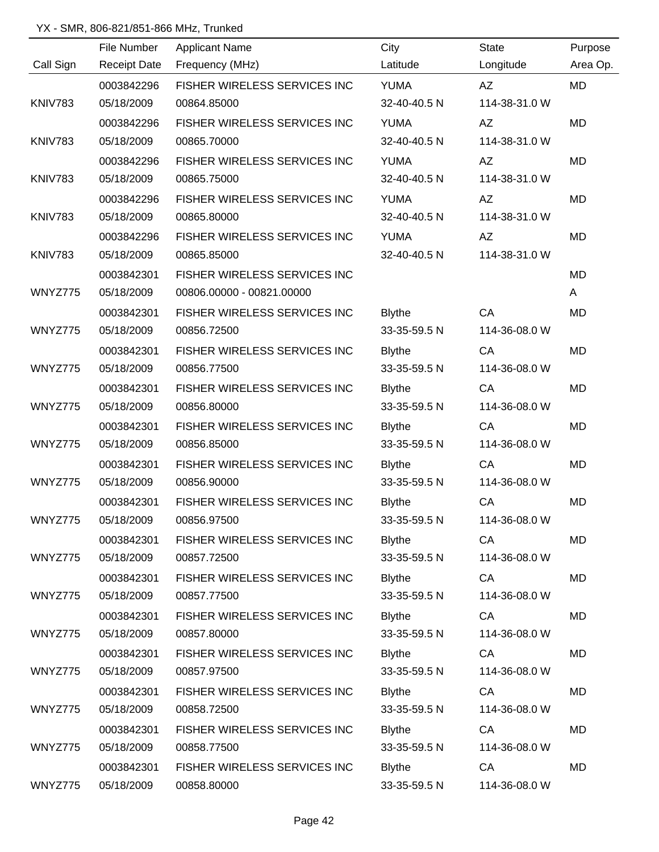|                | File Number         | <b>Applicant Name</b>        | City          | <b>State</b>  | Purpose   |
|----------------|---------------------|------------------------------|---------------|---------------|-----------|
| Call Sign      | <b>Receipt Date</b> | Frequency (MHz)              | Latitude      | Longitude     | Area Op.  |
|                | 0003842296          | FISHER WIRELESS SERVICES INC | <b>YUMA</b>   | AZ            | <b>MD</b> |
| <b>KNIV783</b> | 05/18/2009          | 00864.85000                  | 32-40-40.5 N  | 114-38-31.0 W |           |
|                | 0003842296          | FISHER WIRELESS SERVICES INC | <b>YUMA</b>   | AZ            | <b>MD</b> |
| <b>KNIV783</b> | 05/18/2009          | 00865.70000                  | 32-40-40.5 N  | 114-38-31.0 W |           |
|                | 0003842296          | FISHER WIRELESS SERVICES INC | <b>YUMA</b>   | AZ            | MD        |
| <b>KNIV783</b> | 05/18/2009          | 00865.75000                  | 32-40-40.5 N  | 114-38-31.0 W |           |
|                | 0003842296          | FISHER WIRELESS SERVICES INC | <b>YUMA</b>   | AZ            | MD        |
| KNIV783        | 05/18/2009          | 00865.80000                  | 32-40-40.5 N  | 114-38-31.0 W |           |
|                | 0003842296          | FISHER WIRELESS SERVICES INC | <b>YUMA</b>   | AZ            | MD        |
| <b>KNIV783</b> | 05/18/2009          | 00865.85000                  | 32-40-40.5 N  | 114-38-31.0 W |           |
|                | 0003842301          | FISHER WIRELESS SERVICES INC |               |               | MD        |
| WNYZ775        | 05/18/2009          | 00806.00000 - 00821.00000    |               |               | A         |
|                | 0003842301          | FISHER WIRELESS SERVICES INC | <b>Blythe</b> | CA            | MD        |
| WNYZ775        | 05/18/2009          | 00856.72500                  | 33-35-59.5 N  | 114-36-08.0 W |           |
|                | 0003842301          | FISHER WIRELESS SERVICES INC | <b>Blythe</b> | CA            | <b>MD</b> |
| WNYZ775        | 05/18/2009          | 00856.77500                  | 33-35-59.5 N  | 114-36-08.0 W |           |
|                | 0003842301          | FISHER WIRELESS SERVICES INC | <b>Blythe</b> | CA            | <b>MD</b> |
| WNYZ775        | 05/18/2009          | 00856.80000                  | 33-35-59.5 N  | 114-36-08.0 W |           |
|                | 0003842301          | FISHER WIRELESS SERVICES INC | <b>Blythe</b> | CA            | <b>MD</b> |
| WNYZ775        | 05/18/2009          | 00856.85000                  | 33-35-59.5 N  | 114-36-08.0 W |           |
|                | 0003842301          | FISHER WIRELESS SERVICES INC | <b>Blythe</b> | CA            | MD        |
| WNYZ775        | 05/18/2009          | 00856.90000                  | 33-35-59.5 N  | 114-36-08.0 W |           |
|                | 0003842301          | FISHER WIRELESS SERVICES INC | <b>Blythe</b> | CA            | <b>MD</b> |
| WNYZ775        | 05/18/2009          | 00856.97500                  | 33-35-59.5 N  | 114-36-08.0 W |           |
|                | 0003842301          | FISHER WIRELESS SERVICES INC | <b>Blythe</b> | CA            | <b>MD</b> |
| WNYZ775        | 05/18/2009          | 00857.72500                  | 33-35-59.5 N  | 114-36-08.0 W |           |
|                | 0003842301          | FISHER WIRELESS SERVICES INC | <b>Blythe</b> | CA            | <b>MD</b> |
| WNYZ775        | 05/18/2009          | 00857.77500                  | 33-35-59.5 N  | 114-36-08.0 W |           |
|                | 0003842301          | FISHER WIRELESS SERVICES INC | <b>Blythe</b> | CA            | MD        |
| WNYZ775        | 05/18/2009          | 00857.80000                  | 33-35-59.5 N  | 114-36-08.0 W |           |
|                | 0003842301          | FISHER WIRELESS SERVICES INC | <b>Blythe</b> | CA            | <b>MD</b> |
| WNYZ775        | 05/18/2009          | 00857.97500                  | 33-35-59.5 N  | 114-36-08.0 W |           |
|                | 0003842301          | FISHER WIRELESS SERVICES INC | <b>Blythe</b> | CA            | MD        |
| WNYZ775        | 05/18/2009          | 00858.72500                  | 33-35-59.5 N  | 114-36-08.0 W |           |
|                | 0003842301          | FISHER WIRELESS SERVICES INC | <b>Blythe</b> | CA            | <b>MD</b> |
| WNYZ775        | 05/18/2009          | 00858.77500                  | 33-35-59.5 N  | 114-36-08.0 W |           |
|                | 0003842301          | FISHER WIRELESS SERVICES INC | <b>Blythe</b> | CA            | MD        |
| WNYZ775        | 05/18/2009          | 00858.80000                  | 33-35-59.5 N  | 114-36-08.0 W |           |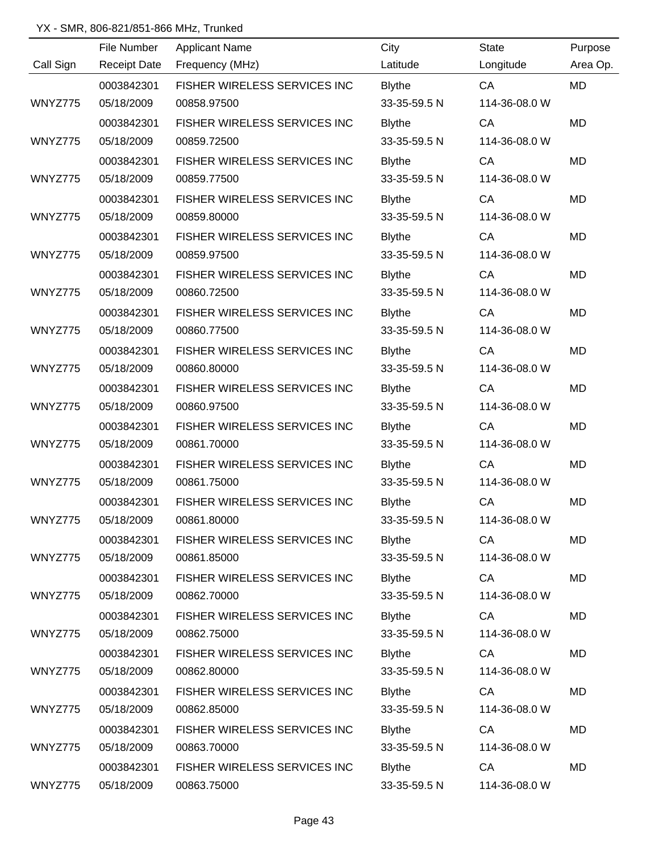|           | File Number         | <b>Applicant Name</b>        | City          | <b>State</b>  | Purpose   |
|-----------|---------------------|------------------------------|---------------|---------------|-----------|
| Call Sign | <b>Receipt Date</b> | Frequency (MHz)              | Latitude      | Longitude     | Area Op.  |
|           | 0003842301          | FISHER WIRELESS SERVICES INC | <b>Blythe</b> | CA            | <b>MD</b> |
| WNYZ775   | 05/18/2009          | 00858.97500                  | 33-35-59.5 N  | 114-36-08.0 W |           |
|           | 0003842301          | FISHER WIRELESS SERVICES INC | <b>Blythe</b> | CA            | <b>MD</b> |
| WNYZ775   | 05/18/2009          | 00859.72500                  | 33-35-59.5 N  | 114-36-08.0 W |           |
|           | 0003842301          | FISHER WIRELESS SERVICES INC | <b>Blythe</b> | CA            | MD        |
| WNYZ775   | 05/18/2009          | 00859.77500                  | 33-35-59.5 N  | 114-36-08.0 W |           |
|           | 0003842301          | FISHER WIRELESS SERVICES INC | <b>Blythe</b> | CA            | <b>MD</b> |
| WNYZ775   | 05/18/2009          | 00859.80000                  | 33-35-59.5 N  | 114-36-08.0 W |           |
|           | 0003842301          | FISHER WIRELESS SERVICES INC | <b>Blythe</b> | CA            | <b>MD</b> |
| WNYZ775   | 05/18/2009          | 00859.97500                  | 33-35-59.5 N  | 114-36-08.0 W |           |
|           | 0003842301          | FISHER WIRELESS SERVICES INC | <b>Blythe</b> | CA            | <b>MD</b> |
| WNYZ775   | 05/18/2009          | 00860.72500                  | 33-35-59.5 N  | 114-36-08.0 W |           |
|           | 0003842301          | FISHER WIRELESS SERVICES INC | <b>Blythe</b> | CA            | <b>MD</b> |
| WNYZ775   | 05/18/2009          | 00860.77500                  | 33-35-59.5 N  | 114-36-08.0 W |           |
|           | 0003842301          | FISHER WIRELESS SERVICES INC | <b>Blythe</b> | CA            | <b>MD</b> |
| WNYZ775   | 05/18/2009          | 00860.80000                  | 33-35-59.5 N  | 114-36-08.0 W |           |
|           | 0003842301          | FISHER WIRELESS SERVICES INC | <b>Blythe</b> | CA            | <b>MD</b> |
| WNYZ775   | 05/18/2009          | 00860.97500                  | 33-35-59.5 N  | 114-36-08.0 W |           |
|           | 0003842301          | FISHER WIRELESS SERVICES INC | <b>Blythe</b> | CA            | <b>MD</b> |
| WNYZ775   | 05/18/2009          | 00861.70000                  | 33-35-59.5 N  | 114-36-08.0 W |           |
|           | 0003842301          | FISHER WIRELESS SERVICES INC | <b>Blythe</b> | CA            | <b>MD</b> |
| WNYZ775   | 05/18/2009          | 00861.75000                  | 33-35-59.5 N  | 114-36-08.0 W |           |
|           | 0003842301          | FISHER WIRELESS SERVICES INC | <b>Blythe</b> | CA            | <b>MD</b> |
| WNYZ775   | 05/18/2009          | 00861.80000                  | 33-35-59.5 N  | 114-36-08.0 W |           |
|           | 0003842301          | FISHER WIRELESS SERVICES INC | <b>Blythe</b> | CA            | <b>MD</b> |
| WNYZ775   | 05/18/2009          | 00861.85000                  | 33-35-59.5 N  | 114-36-08.0 W |           |
|           | 0003842301          | FISHER WIRELESS SERVICES INC | <b>Blythe</b> | CA            | MD        |
| WNYZ775   | 05/18/2009          | 00862.70000                  | 33-35-59.5 N  | 114-36-08.0 W |           |
|           | 0003842301          | FISHER WIRELESS SERVICES INC | <b>Blythe</b> | CA            | <b>MD</b> |
| WNYZ775   | 05/18/2009          | 00862.75000                  | 33-35-59.5 N  | 114-36-08.0 W |           |
|           | 0003842301          | FISHER WIRELESS SERVICES INC | <b>Blythe</b> | CA            | <b>MD</b> |
| WNYZ775   | 05/18/2009          | 00862.80000                  | 33-35-59.5 N  | 114-36-08.0 W |           |
|           | 0003842301          | FISHER WIRELESS SERVICES INC | <b>Blythe</b> | CA            | <b>MD</b> |
| WNYZ775   | 05/18/2009          | 00862.85000                  | 33-35-59.5 N  | 114-36-08.0 W |           |
|           | 0003842301          | FISHER WIRELESS SERVICES INC | <b>Blythe</b> | CA            | MD        |
| WNYZ775   | 05/18/2009          | 00863.70000                  | 33-35-59.5 N  | 114-36-08.0 W |           |
|           | 0003842301          | FISHER WIRELESS SERVICES INC | <b>Blythe</b> | CA            | <b>MD</b> |
| WNYZ775   | 05/18/2009          | 00863.75000                  | 33-35-59.5 N  | 114-36-08.0 W |           |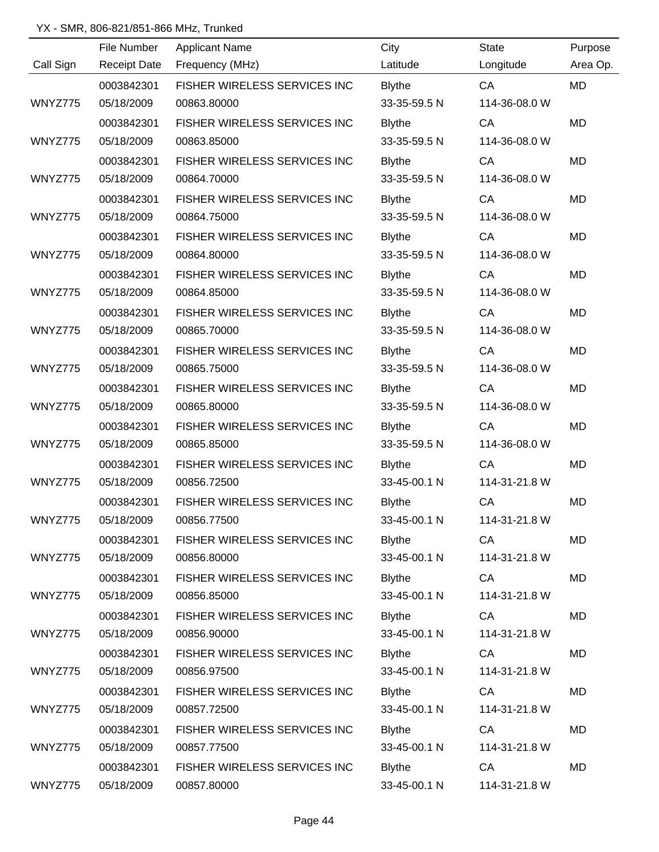|           | File Number         | <b>Applicant Name</b>               | City          | <b>State</b>  | Purpose   |
|-----------|---------------------|-------------------------------------|---------------|---------------|-----------|
| Call Sign | <b>Receipt Date</b> | Frequency (MHz)                     | Latitude      | Longitude     | Area Op.  |
|           | 0003842301          | FISHER WIRELESS SERVICES INC        | <b>Blythe</b> | CA            | <b>MD</b> |
| WNYZ775   | 05/18/2009          | 00863.80000                         | 33-35-59.5 N  | 114-36-08.0 W |           |
|           | 0003842301          | FISHER WIRELESS SERVICES INC        | <b>Blythe</b> | CA            | <b>MD</b> |
| WNYZ775   | 05/18/2009          | 00863.85000                         | 33-35-59.5 N  | 114-36-08.0 W |           |
|           | 0003842301          | FISHER WIRELESS SERVICES INC        | <b>Blythe</b> | CA            | MD        |
| WNYZ775   | 05/18/2009          | 00864.70000                         | 33-35-59.5 N  | 114-36-08.0 W |           |
|           | 0003842301          | FISHER WIRELESS SERVICES INC        | <b>Blythe</b> | CA            | MD        |
| WNYZ775   | 05/18/2009          | 00864.75000                         | 33-35-59.5 N  | 114-36-08.0 W |           |
|           | 0003842301          | FISHER WIRELESS SERVICES INC        | <b>Blythe</b> | CA            | <b>MD</b> |
| WNYZ775   | 05/18/2009          | 00864.80000                         | 33-35-59.5 N  | 114-36-08.0 W |           |
|           | 0003842301          | FISHER WIRELESS SERVICES INC        | <b>Blythe</b> | CA            | MD        |
| WNYZ775   | 05/18/2009          | 00864.85000                         | 33-35-59.5 N  | 114-36-08.0 W |           |
|           | 0003842301          | FISHER WIRELESS SERVICES INC        | <b>Blythe</b> | CA            | <b>MD</b> |
| WNYZ775   | 05/18/2009          | 00865.70000                         | 33-35-59.5 N  | 114-36-08.0 W |           |
|           | 0003842301          | FISHER WIRELESS SERVICES INC        | <b>Blythe</b> | CA            | <b>MD</b> |
| WNYZ775   | 05/18/2009          | 00865.75000                         | 33-35-59.5 N  | 114-36-08.0 W |           |
|           | 0003842301          | FISHER WIRELESS SERVICES INC        | <b>Blythe</b> | CA            | <b>MD</b> |
| WNYZ775   | 05/18/2009          | 00865.80000                         | 33-35-59.5 N  | 114-36-08.0 W |           |
|           | 0003842301          | FISHER WIRELESS SERVICES INC        | <b>Blythe</b> | CA            | <b>MD</b> |
| WNYZ775   | 05/18/2009          | 00865.85000                         | 33-35-59.5 N  | 114-36-08.0 W |           |
|           | 0003842301          | FISHER WIRELESS SERVICES INC        | <b>Blythe</b> | CA            | <b>MD</b> |
| WNYZ775   | 05/18/2009          | 00856.72500                         | 33-45-00.1 N  | 114-31-21.8 W |           |
|           | 0003842301          | <b>FISHER WIRELESS SERVICES INC</b> | <b>Blythe</b> | CA            | <b>MD</b> |
| WNYZ775   | 05/18/2009          | 00856.77500                         | 33-45-00.1 N  | 114-31-21.8 W |           |
|           | 0003842301          | FISHER WIRELESS SERVICES INC        | <b>Blythe</b> | CA            | <b>MD</b> |
| WNYZ775   | 05/18/2009          | 00856.80000                         | 33-45-00.1 N  | 114-31-21.8 W |           |
|           | 0003842301          | FISHER WIRELESS SERVICES INC        | <b>Blythe</b> | CA            | MD        |
| WNYZ775   | 05/18/2009          | 00856.85000                         | 33-45-00.1 N  | 114-31-21.8 W |           |
|           | 0003842301          | FISHER WIRELESS SERVICES INC        | <b>Blythe</b> | CA            | <b>MD</b> |
| WNYZ775   | 05/18/2009          | 00856.90000                         | 33-45-00.1 N  | 114-31-21.8 W |           |
|           | 0003842301          | FISHER WIRELESS SERVICES INC        | <b>Blythe</b> | CA            | <b>MD</b> |
| WNYZ775   | 05/18/2009          | 00856.97500                         | 33-45-00.1 N  | 114-31-21.8 W |           |
|           | 0003842301          | FISHER WIRELESS SERVICES INC        | <b>Blythe</b> | CA            | <b>MD</b> |
| WNYZ775   | 05/18/2009          | 00857.72500                         | 33-45-00.1 N  | 114-31-21.8 W |           |
|           | 0003842301          | FISHER WIRELESS SERVICES INC        | <b>Blythe</b> | CA            | <b>MD</b> |
| WNYZ775   | 05/18/2009          | 00857.77500                         | 33-45-00.1 N  | 114-31-21.8 W |           |
|           | 0003842301          | FISHER WIRELESS SERVICES INC        | <b>Blythe</b> | CA            | <b>MD</b> |
| WNYZ775   | 05/18/2009          | 00857.80000                         | 33-45-00.1 N  | 114-31-21.8 W |           |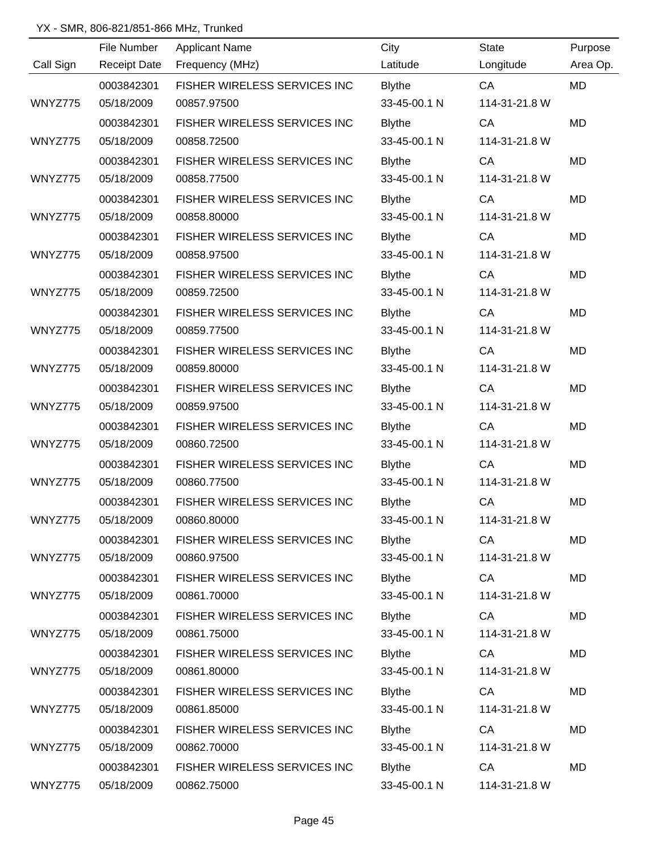|           | File Number         | <b>Applicant Name</b>        | City          | <b>State</b>  | Purpose   |
|-----------|---------------------|------------------------------|---------------|---------------|-----------|
| Call Sign | <b>Receipt Date</b> | Frequency (MHz)              | Latitude      | Longitude     | Area Op.  |
|           | 0003842301          | FISHER WIRELESS SERVICES INC | <b>Blythe</b> | CA            | <b>MD</b> |
| WNYZ775   | 05/18/2009          | 00857.97500                  | 33-45-00.1 N  | 114-31-21.8 W |           |
|           | 0003842301          | FISHER WIRELESS SERVICES INC | <b>Blythe</b> | CA            | <b>MD</b> |
| WNYZ775   | 05/18/2009          | 00858.72500                  | 33-45-00.1 N  | 114-31-21.8 W |           |
|           | 0003842301          | FISHER WIRELESS SERVICES INC | <b>Blythe</b> | CA            | MD        |
| WNYZ775   | 05/18/2009          | 00858.77500                  | 33-45-00.1 N  | 114-31-21.8 W |           |
|           | 0003842301          | FISHER WIRELESS SERVICES INC | <b>Blythe</b> | CA            | <b>MD</b> |
| WNYZ775   | 05/18/2009          | 00858.80000                  | 33-45-00.1 N  | 114-31-21.8 W |           |
|           | 0003842301          | FISHER WIRELESS SERVICES INC | <b>Blythe</b> | CA            | <b>MD</b> |
| WNYZ775   | 05/18/2009          | 00858.97500                  | 33-45-00.1 N  | 114-31-21.8 W |           |
|           | 0003842301          | FISHER WIRELESS SERVICES INC | <b>Blythe</b> | CA            | <b>MD</b> |
| WNYZ775   | 05/18/2009          | 00859.72500                  | 33-45-00.1 N  | 114-31-21.8 W |           |
|           | 0003842301          | FISHER WIRELESS SERVICES INC | <b>Blythe</b> | CA            | <b>MD</b> |
| WNYZ775   | 05/18/2009          | 00859.77500                  | 33-45-00.1 N  | 114-31-21.8 W |           |
|           | 0003842301          | FISHER WIRELESS SERVICES INC | <b>Blythe</b> | CA            | <b>MD</b> |
| WNYZ775   | 05/18/2009          | 00859.80000                  | 33-45-00.1 N  | 114-31-21.8 W |           |
|           | 0003842301          | FISHER WIRELESS SERVICES INC | <b>Blythe</b> | CA            | <b>MD</b> |
| WNYZ775   | 05/18/2009          | 00859.97500                  | 33-45-00.1 N  | 114-31-21.8 W |           |
|           | 0003842301          | FISHER WIRELESS SERVICES INC | <b>Blythe</b> | CA            | <b>MD</b> |
| WNYZ775   | 05/18/2009          | 00860.72500                  | 33-45-00.1 N  | 114-31-21.8 W |           |
|           | 0003842301          | FISHER WIRELESS SERVICES INC | <b>Blythe</b> | CA            | <b>MD</b> |
| WNYZ775   | 05/18/2009          | 00860.77500                  | 33-45-00.1 N  | 114-31-21.8 W |           |
|           | 0003842301          | FISHER WIRELESS SERVICES INC | <b>Blythe</b> | CA            | <b>MD</b> |
| WNYZ775   | 05/18/2009          | 00860.80000                  | 33-45-00.1 N  | 114-31-21.8 W |           |
|           | 0003842301          | FISHER WIRELESS SERVICES INC | <b>Blythe</b> | CA            | <b>MD</b> |
| WNYZ775   | 05/18/2009          | 00860.97500                  | 33-45-00.1 N  | 114-31-21.8 W |           |
|           | 0003842301          | FISHER WIRELESS SERVICES INC | <b>Blythe</b> | CA            | MD        |
| WNYZ775   | 05/18/2009          | 00861.70000                  | 33-45-00.1 N  | 114-31-21.8 W |           |
|           | 0003842301          | FISHER WIRELESS SERVICES INC | <b>Blythe</b> | CA            | <b>MD</b> |
| WNYZ775   | 05/18/2009          | 00861.75000                  | 33-45-00.1 N  | 114-31-21.8 W |           |
|           | 0003842301          | FISHER WIRELESS SERVICES INC | <b>Blythe</b> | CA            | <b>MD</b> |
| WNYZ775   | 05/18/2009          | 00861.80000                  | 33-45-00.1 N  | 114-31-21.8 W |           |
|           | 0003842301          | FISHER WIRELESS SERVICES INC | <b>Blythe</b> | CA            | <b>MD</b> |
| WNYZ775   | 05/18/2009          | 00861.85000                  | 33-45-00.1 N  | 114-31-21.8 W |           |
|           | 0003842301          | FISHER WIRELESS SERVICES INC | <b>Blythe</b> | CA            | MD        |
| WNYZ775   | 05/18/2009          | 00862.70000                  | 33-45-00.1 N  | 114-31-21.8 W |           |
|           | 0003842301          | FISHER WIRELESS SERVICES INC | <b>Blythe</b> | CA            | <b>MD</b> |
| WNYZ775   | 05/18/2009          | 00862.75000                  | 33-45-00.1 N  | 114-31-21.8 W |           |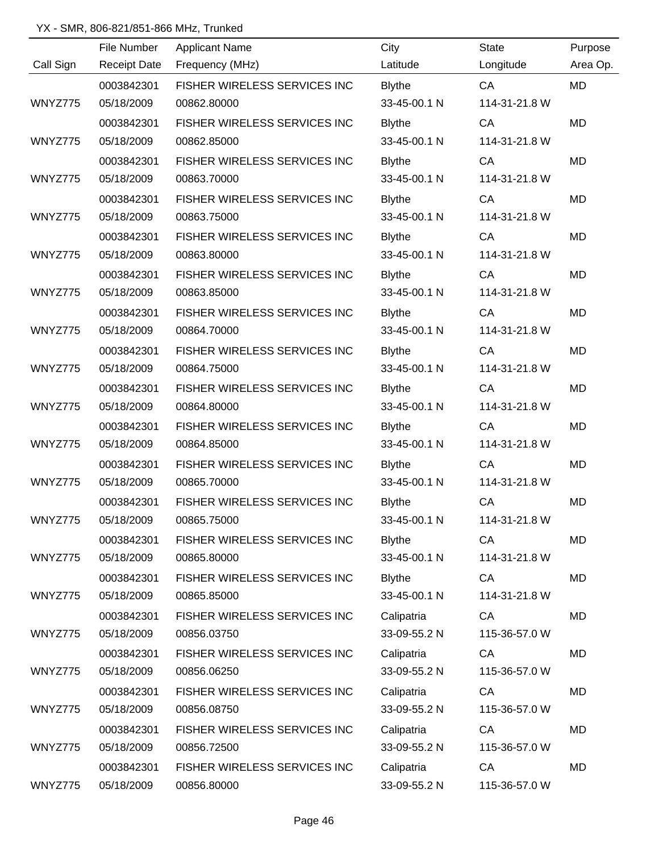|           | File Number         | <b>Applicant Name</b>        | City          | <b>State</b>  | Purpose   |
|-----------|---------------------|------------------------------|---------------|---------------|-----------|
| Call Sign | <b>Receipt Date</b> | Frequency (MHz)              | Latitude      | Longitude     | Area Op.  |
|           | 0003842301          | FISHER WIRELESS SERVICES INC | <b>Blythe</b> | CA            | <b>MD</b> |
| WNYZ775   | 05/18/2009          | 00862.80000                  | 33-45-00.1 N  | 114-31-21.8 W |           |
|           | 0003842301          | FISHER WIRELESS SERVICES INC | <b>Blythe</b> | CA            | <b>MD</b> |
| WNYZ775   | 05/18/2009          | 00862.85000                  | 33-45-00.1 N  | 114-31-21.8 W |           |
|           | 0003842301          | FISHER WIRELESS SERVICES INC | <b>Blythe</b> | CA            | MD        |
| WNYZ775   | 05/18/2009          | 00863.70000                  | 33-45-00.1 N  | 114-31-21.8 W |           |
|           | 0003842301          | FISHER WIRELESS SERVICES INC | <b>Blythe</b> | CA            | MD        |
| WNYZ775   | 05/18/2009          | 00863.75000                  | 33-45-00.1 N  | 114-31-21.8 W |           |
|           | 0003842301          | FISHER WIRELESS SERVICES INC | <b>Blythe</b> | CA            | <b>MD</b> |
| WNYZ775   | 05/18/2009          | 00863.80000                  | 33-45-00.1 N  | 114-31-21.8 W |           |
|           | 0003842301          | FISHER WIRELESS SERVICES INC | <b>Blythe</b> | CA            | <b>MD</b> |
| WNYZ775   | 05/18/2009          | 00863.85000                  | 33-45-00.1 N  | 114-31-21.8 W |           |
|           | 0003842301          | FISHER WIRELESS SERVICES INC | <b>Blythe</b> | CA            | MD        |
| WNYZ775   | 05/18/2009          | 00864.70000                  | 33-45-00.1 N  | 114-31-21.8 W |           |
|           | 0003842301          | FISHER WIRELESS SERVICES INC | <b>Blythe</b> | CA            | <b>MD</b> |
| WNYZ775   | 05/18/2009          | 00864.75000                  | 33-45-00.1 N  | 114-31-21.8 W |           |
|           | 0003842301          | FISHER WIRELESS SERVICES INC | <b>Blythe</b> | CA            | <b>MD</b> |
| WNYZ775   | 05/18/2009          | 00864.80000                  | 33-45-00.1 N  | 114-31-21.8 W |           |
|           | 0003842301          | FISHER WIRELESS SERVICES INC | <b>Blythe</b> | CA            | <b>MD</b> |
| WNYZ775   | 05/18/2009          | 00864.85000                  | 33-45-00.1 N  | 114-31-21.8 W |           |
|           | 0003842301          | FISHER WIRELESS SERVICES INC | <b>Blythe</b> | CA            | <b>MD</b> |
| WNYZ775   | 05/18/2009          | 00865.70000                  | 33-45-00.1 N  | 114-31-21.8 W |           |
|           | 0003842301          | FISHER WIRELESS SERVICES INC | <b>Blythe</b> | CA            | <b>MD</b> |
| WNYZ775   | 05/18/2009          | 00865.75000                  | 33-45-00.1 N  | 114-31-21.8 W |           |
|           | 0003842301          | FISHER WIRELESS SERVICES INC | <b>Blythe</b> | CA            | MD        |
| WNYZ775   | 05/18/2009          | 00865.80000                  | 33-45-00.1 N  | 114-31-21.8 W |           |
|           | 0003842301          | FISHER WIRELESS SERVICES INC | <b>Blythe</b> | CA            | MD        |
| WNYZ775   | 05/18/2009          | 00865.85000                  | 33-45-00.1 N  | 114-31-21.8 W |           |
|           | 0003842301          | FISHER WIRELESS SERVICES INC | Calipatria    | CA            | MD        |
| WNYZ775   | 05/18/2009          | 00856.03750                  | 33-09-55.2 N  | 115-36-57.0 W |           |
|           | 0003842301          | FISHER WIRELESS SERVICES INC | Calipatria    | CA            | MD        |
| WNYZ775   | 05/18/2009          | 00856.06250                  | 33-09-55.2 N  | 115-36-57.0 W |           |
|           | 0003842301          | FISHER WIRELESS SERVICES INC | Calipatria    | CA            | MD        |
| WNYZ775   | 05/18/2009          | 00856.08750                  | 33-09-55.2 N  | 115-36-57.0 W |           |
|           | 0003842301          | FISHER WIRELESS SERVICES INC | Calipatria    | CA            | MD        |
| WNYZ775   | 05/18/2009          | 00856.72500                  | 33-09-55.2 N  | 115-36-57.0 W |           |
|           | 0003842301          | FISHER WIRELESS SERVICES INC | Calipatria    | CA            | MD        |
| WNYZ775   | 05/18/2009          | 00856.80000                  | 33-09-55.2 N  | 115-36-57.0 W |           |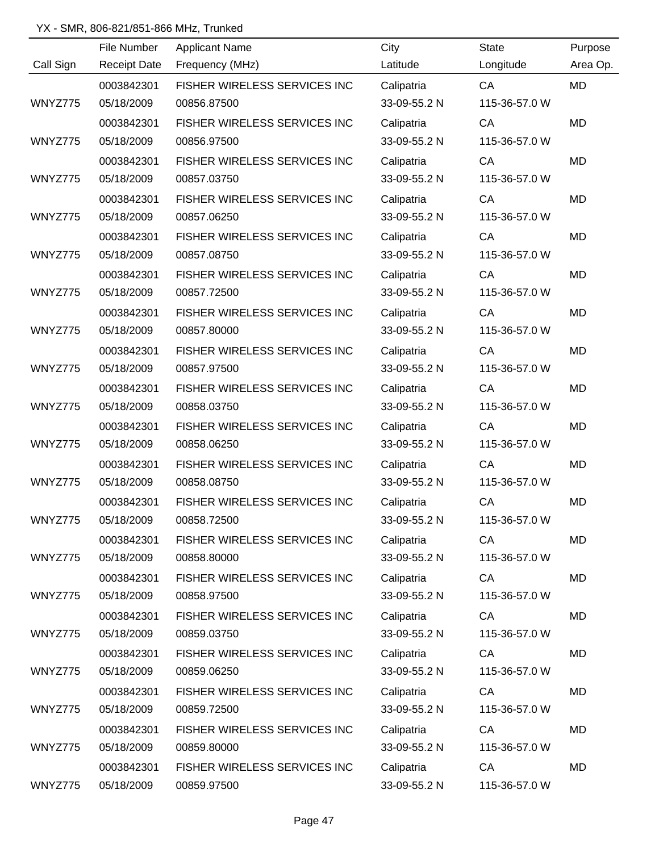|           | File Number         | <b>Applicant Name</b>        | City         | <b>State</b>  | Purpose   |
|-----------|---------------------|------------------------------|--------------|---------------|-----------|
| Call Sign | <b>Receipt Date</b> | Frequency (MHz)              | Latitude     | Longitude     | Area Op.  |
|           | 0003842301          | FISHER WIRELESS SERVICES INC | Calipatria   | CA            | <b>MD</b> |
| WNYZ775   | 05/18/2009          | 00856.87500                  | 33-09-55.2 N | 115-36-57.0 W |           |
|           | 0003842301          | FISHER WIRELESS SERVICES INC | Calipatria   | CA            | <b>MD</b> |
| WNYZ775   | 05/18/2009          | 00856.97500                  | 33-09-55.2 N | 115-36-57.0 W |           |
|           | 0003842301          | FISHER WIRELESS SERVICES INC | Calipatria   | CA            | MD        |
| WNYZ775   | 05/18/2009          | 00857.03750                  | 33-09-55.2 N | 115-36-57.0 W |           |
|           | 0003842301          | FISHER WIRELESS SERVICES INC | Calipatria   | CA            | MD        |
| WNYZ775   | 05/18/2009          | 00857.06250                  | 33-09-55.2 N | 115-36-57.0 W |           |
|           | 0003842301          | FISHER WIRELESS SERVICES INC | Calipatria   | CA            | <b>MD</b> |
| WNYZ775   | 05/18/2009          | 00857.08750                  | 33-09-55.2 N | 115-36-57.0 W |           |
|           | 0003842301          | FISHER WIRELESS SERVICES INC | Calipatria   | CA            | <b>MD</b> |
| WNYZ775   | 05/18/2009          | 00857.72500                  | 33-09-55.2 N | 115-36-57.0 W |           |
|           | 0003842301          | FISHER WIRELESS SERVICES INC | Calipatria   | CA            | MD        |
| WNYZ775   | 05/18/2009          | 00857.80000                  | 33-09-55.2 N | 115-36-57.0 W |           |
|           | 0003842301          | FISHER WIRELESS SERVICES INC | Calipatria   | CA            | <b>MD</b> |
| WNYZ775   | 05/18/2009          | 00857.97500                  | 33-09-55.2 N | 115-36-57.0 W |           |
|           | 0003842301          | FISHER WIRELESS SERVICES INC | Calipatria   | CA            | MD        |
| WNYZ775   | 05/18/2009          | 00858.03750                  | 33-09-55.2 N | 115-36-57.0 W |           |
|           | 0003842301          | FISHER WIRELESS SERVICES INC | Calipatria   | CA            | <b>MD</b> |
| WNYZ775   | 05/18/2009          | 00858.06250                  | 33-09-55.2 N | 115-36-57.0 W |           |
|           | 0003842301          | FISHER WIRELESS SERVICES INC | Calipatria   | CA            | MD        |
| WNYZ775   | 05/18/2009          | 00858.08750                  | 33-09-55.2 N | 115-36-57.0 W |           |
|           | 0003842301          | FISHER WIRELESS SERVICES INC | Calipatria   | CA            | MD        |
| WNYZ775   | 05/18/2009          | 00858.72500                  | 33-09-55.2 N | 115-36-57.0 W |           |
|           | 0003842301          | FISHER WIRELESS SERVICES INC | Calipatria   | CA            | MD        |
| WNYZ775   | 05/18/2009          | 00858.80000                  | 33-09-55.2 N | 115-36-57.0 W |           |
|           | 0003842301          | FISHER WIRELESS SERVICES INC | Calipatria   | CA            | MD        |
| WNYZ775   | 05/18/2009          | 00858.97500                  | 33-09-55.2 N | 115-36-57.0 W |           |
|           | 0003842301          | FISHER WIRELESS SERVICES INC | Calipatria   | CA            | MD        |
| WNYZ775   | 05/18/2009          | 00859.03750                  | 33-09-55.2 N | 115-36-57.0 W |           |
|           | 0003842301          | FISHER WIRELESS SERVICES INC | Calipatria   | CA            | MD        |
| WNYZ775   | 05/18/2009          | 00859.06250                  | 33-09-55.2 N | 115-36-57.0 W |           |
|           | 0003842301          | FISHER WIRELESS SERVICES INC | Calipatria   | CA            | MD        |
| WNYZ775   | 05/18/2009          | 00859.72500                  | 33-09-55.2 N | 115-36-57.0 W |           |
|           | 0003842301          | FISHER WIRELESS SERVICES INC | Calipatria   | CA            | MD        |
| WNYZ775   | 05/18/2009          | 00859.80000                  | 33-09-55.2 N | 115-36-57.0 W |           |
|           | 0003842301          | FISHER WIRELESS SERVICES INC | Calipatria   | CA            | MD        |
| WNYZ775   | 05/18/2009          | 00859.97500                  | 33-09-55.2 N | 115-36-57.0 W |           |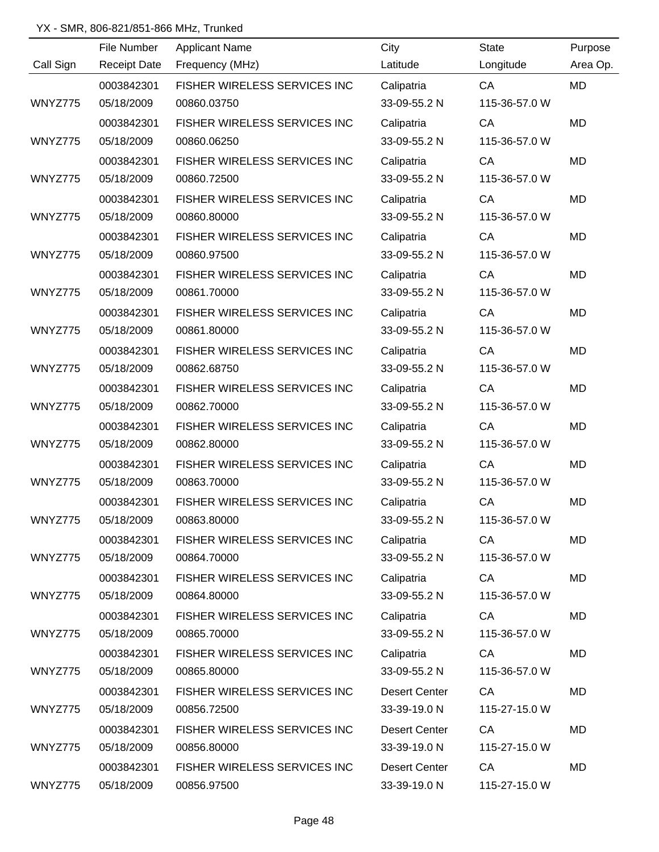|           | File Number         | <b>Applicant Name</b>        | City                 | <b>State</b>  | Purpose   |
|-----------|---------------------|------------------------------|----------------------|---------------|-----------|
| Call Sign | <b>Receipt Date</b> | Frequency (MHz)              | Latitude             | Longitude     | Area Op.  |
|           | 0003842301          | FISHER WIRELESS SERVICES INC | Calipatria           | CA            | <b>MD</b> |
| WNYZ775   | 05/18/2009          | 00860.03750                  | 33-09-55.2 N         | 115-36-57.0 W |           |
|           | 0003842301          | FISHER WIRELESS SERVICES INC | Calipatria           | CA            | <b>MD</b> |
| WNYZ775   | 05/18/2009          | 00860.06250                  | 33-09-55.2 N         | 115-36-57.0 W |           |
|           | 0003842301          | FISHER WIRELESS SERVICES INC | Calipatria           | CA            | MD        |
| WNYZ775   | 05/18/2009          | 00860.72500                  | 33-09-55.2 N         | 115-36-57.0 W |           |
|           | 0003842301          | FISHER WIRELESS SERVICES INC | Calipatria           | CA            | MD        |
| WNYZ775   | 05/18/2009          | 00860.80000                  | 33-09-55.2 N         | 115-36-57.0 W |           |
|           | 0003842301          | FISHER WIRELESS SERVICES INC | Calipatria           | CA            | MD        |
| WNYZ775   | 05/18/2009          | 00860.97500                  | 33-09-55.2 N         | 115-36-57.0 W |           |
|           | 0003842301          | FISHER WIRELESS SERVICES INC | Calipatria           | CA            | MD        |
| WNYZ775   | 05/18/2009          | 00861.70000                  | 33-09-55.2 N         | 115-36-57.0 W |           |
|           | 0003842301          | FISHER WIRELESS SERVICES INC | Calipatria           | CA            | MD        |
| WNYZ775   | 05/18/2009          | 00861.80000                  | 33-09-55.2 N         | 115-36-57.0 W |           |
|           | 0003842301          | FISHER WIRELESS SERVICES INC | Calipatria           | CA            | MD        |
| WNYZ775   | 05/18/2009          | 00862.68750                  | 33-09-55.2 N         | 115-36-57.0 W |           |
|           | 0003842301          | FISHER WIRELESS SERVICES INC | Calipatria           | CA            | <b>MD</b> |
| WNYZ775   | 05/18/2009          | 00862.70000                  | 33-09-55.2 N         | 115-36-57.0 W |           |
|           | 0003842301          | FISHER WIRELESS SERVICES INC | Calipatria           | CA            | <b>MD</b> |
| WNYZ775   | 05/18/2009          | 00862.80000                  | 33-09-55.2 N         | 115-36-57.0 W |           |
|           | 0003842301          | FISHER WIRELESS SERVICES INC | Calipatria           | CA            | MD        |
| WNYZ775   | 05/18/2009          | 00863.70000                  | 33-09-55.2 N         | 115-36-57.0 W |           |
|           | 0003842301          | FISHER WIRELESS SERVICES INC | Calipatria           | CA            | <b>MD</b> |
| WNYZ775   | 05/18/2009          | 00863.80000                  | 33-09-55.2 N         | 115-36-57.0 W |           |
|           | 0003842301          | FISHER WIRELESS SERVICES INC | Calipatria           | CA            | MD        |
| WNYZ775   | 05/18/2009          | 00864.70000                  | 33-09-55.2 N         | 115-36-57.0 W |           |
|           | 0003842301          | FISHER WIRELESS SERVICES INC | Calipatria           | CA            | MD        |
| WNYZ775   | 05/18/2009          | 00864.80000                  | 33-09-55.2 N         | 115-36-57.0 W |           |
|           | 0003842301          | FISHER WIRELESS SERVICES INC | Calipatria           | CA            | MD        |
| WNYZ775   | 05/18/2009          | 00865.70000                  | 33-09-55.2 N         | 115-36-57.0 W |           |
|           | 0003842301          | FISHER WIRELESS SERVICES INC | Calipatria           | CA            | MD        |
| WNYZ775   | 05/18/2009          | 00865.80000                  | 33-09-55.2 N         | 115-36-57.0 W |           |
|           | 0003842301          | FISHER WIRELESS SERVICES INC | <b>Desert Center</b> | CA            | MD        |
| WNYZ775   | 05/18/2009          | 00856.72500                  | 33-39-19.0 N         | 115-27-15.0 W |           |
|           | 0003842301          | FISHER WIRELESS SERVICES INC | <b>Desert Center</b> | CA            | <b>MD</b> |
| WNYZ775   | 05/18/2009          | 00856.80000                  | 33-39-19.0 N         | 115-27-15.0 W |           |
|           | 0003842301          | FISHER WIRELESS SERVICES INC | <b>Desert Center</b> | CA            | MD        |
| WNYZ775   | 05/18/2009          | 00856.97500                  | 33-39-19.0 N         | 115-27-15.0 W |           |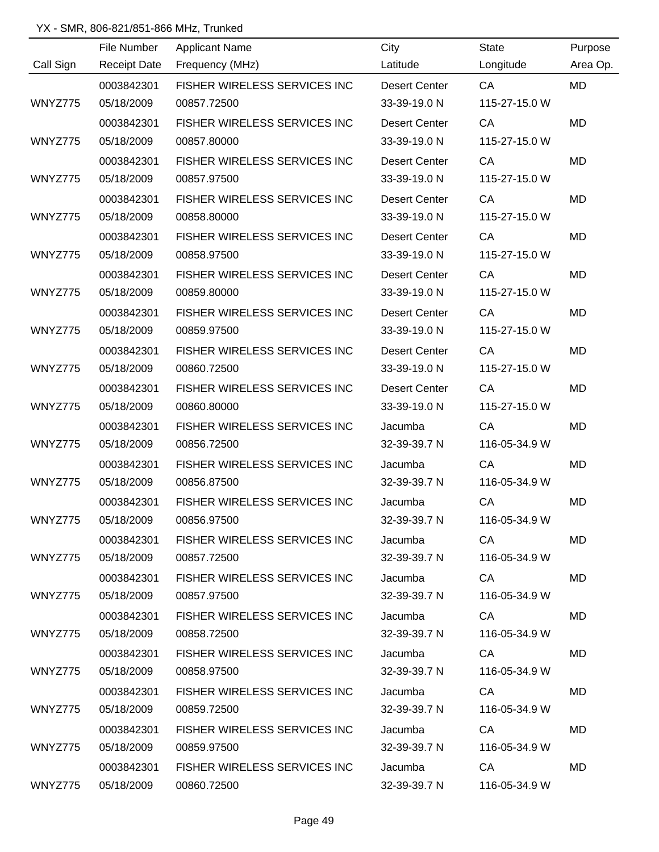|           | File Number         | <b>Applicant Name</b>               | City                 | <b>State</b>  | Purpose   |
|-----------|---------------------|-------------------------------------|----------------------|---------------|-----------|
| Call Sign | <b>Receipt Date</b> | Frequency (MHz)                     | Latitude             | Longitude     | Area Op.  |
|           | 0003842301          | FISHER WIRELESS SERVICES INC        | <b>Desert Center</b> | CA            | <b>MD</b> |
| WNYZ775   | 05/18/2009          | 00857.72500                         | 33-39-19.0 N         | 115-27-15.0 W |           |
|           | 0003842301          | FISHER WIRELESS SERVICES INC        | <b>Desert Center</b> | CA            | <b>MD</b> |
| WNYZ775   | 05/18/2009          | 00857.80000                         | 33-39-19.0 N         | 115-27-15.0 W |           |
|           | 0003842301          | <b>FISHER WIRELESS SERVICES INC</b> | <b>Desert Center</b> | CA            | MD        |
| WNYZ775   | 05/18/2009          | 00857.97500                         | 33-39-19.0 N         | 115-27-15.0 W |           |
|           | 0003842301          | FISHER WIRELESS SERVICES INC        | <b>Desert Center</b> | CA            | MD        |
| WNYZ775   | 05/18/2009          | 00858.80000                         | 33-39-19.0 N         | 115-27-15.0 W |           |
|           | 0003842301          | FISHER WIRELESS SERVICES INC        | <b>Desert Center</b> | CA            | MD        |
| WNYZ775   | 05/18/2009          | 00858.97500                         | 33-39-19.0 N         | 115-27-15.0 W |           |
|           | 0003842301          | FISHER WIRELESS SERVICES INC        | <b>Desert Center</b> | CA            | MD        |
| WNYZ775   | 05/18/2009          | 00859.80000                         | 33-39-19.0 N         | 115-27-15.0 W |           |
|           | 0003842301          | FISHER WIRELESS SERVICES INC        | <b>Desert Center</b> | CA            | MD        |
| WNYZ775   | 05/18/2009          | 00859.97500                         | 33-39-19.0 N         | 115-27-15.0 W |           |
|           | 0003842301          | FISHER WIRELESS SERVICES INC        | <b>Desert Center</b> | CA            | <b>MD</b> |
| WNYZ775   | 05/18/2009          | 00860.72500                         | 33-39-19.0 N         | 115-27-15.0 W |           |
|           | 0003842301          | FISHER WIRELESS SERVICES INC        | <b>Desert Center</b> | CA            | <b>MD</b> |
| WNYZ775   | 05/18/2009          | 00860.80000                         | 33-39-19.0 N         | 115-27-15.0 W |           |
|           | 0003842301          | FISHER WIRELESS SERVICES INC        | Jacumba              | CA            | <b>MD</b> |
| WNYZ775   | 05/18/2009          | 00856.72500                         | 32-39-39.7 N         | 116-05-34.9 W |           |
|           | 0003842301          | <b>FISHER WIRELESS SERVICES INC</b> | Jacumba              | CA            | MD        |
| WNYZ775   | 05/18/2009          | 00856.87500                         | 32-39-39.7 N         | 116-05-34.9 W |           |
|           | 0003842301          | FISHER WIRELESS SERVICES INC        | Jacumba              | CA            | MD        |
| WNYZ775   | 05/18/2009          | 00856.97500                         | 32-39-39.7 N         | 116-05-34.9 W |           |
|           | 0003842301          | FISHER WIRELESS SERVICES INC        | Jacumba              | CA            | <b>MD</b> |
| WNYZ775   | 05/18/2009          | 00857.72500                         | 32-39-39.7 N         | 116-05-34.9 W |           |
|           | 0003842301          | FISHER WIRELESS SERVICES INC        | Jacumba              | CA DOM:       | <b>MD</b> |
| WNYZ775   | 05/18/2009          | 00857.97500                         | 32-39-39.7 N         | 116-05-34.9 W |           |
|           | 0003842301          | FISHER WIRELESS SERVICES INC        | Jacumba              | <b>CA</b>     | MD        |
| WNYZ775   | 05/18/2009          | 00858.72500                         | 32-39-39.7 N         | 116-05-34.9 W |           |
|           | 0003842301          | FISHER WIRELESS SERVICES INC        | Jacumba              | CA            | MD.       |
| WNYZ775   | 05/18/2009          | 00858.97500                         | 32-39-39.7 N         | 116-05-34.9 W |           |
|           | 0003842301          | FISHER WIRELESS SERVICES INC        | Jacumba              | CA            | MD.       |
| WNYZ775   | 05/18/2009          | 00859.72500                         | 32-39-39.7 N         | 116-05-34.9 W |           |
|           | 0003842301          | FISHER WIRELESS SERVICES INC        | Jacumba              | CA            | <b>MD</b> |
| WNYZ775   | 05/18/2009          | 00859.97500                         | 32-39-39.7 N         | 116-05-34.9 W |           |
|           | 0003842301          | FISHER WIRELESS SERVICES INC        | Jacumba              | CA            | MD        |
| WNYZ775   | 05/18/2009          | 00860.72500                         | 32-39-39.7 N         | 116-05-34.9 W |           |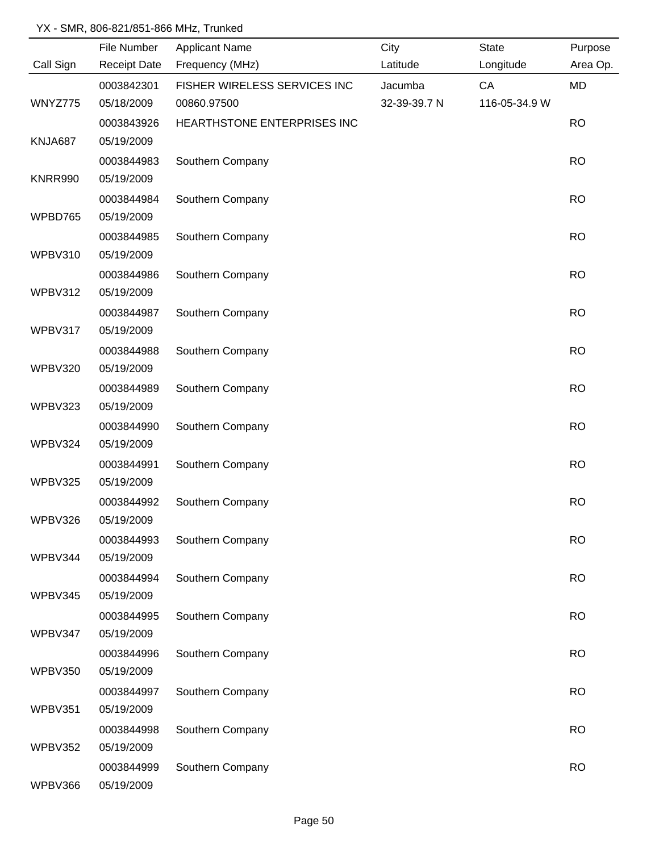|                | File Number         | <b>Applicant Name</b>        | City         | <b>State</b>  | Purpose   |
|----------------|---------------------|------------------------------|--------------|---------------|-----------|
| Call Sign      | <b>Receipt Date</b> | Frequency (MHz)              | Latitude     | Longitude     | Area Op.  |
|                | 0003842301          | FISHER WIRELESS SERVICES INC | Jacumba      | CA            | MD        |
| WNYZ775        | 05/18/2009          | 00860.97500                  | 32-39-39.7 N | 116-05-34.9 W |           |
|                | 0003843926          | HEARTHSTONE ENTERPRISES INC  |              |               | <b>RO</b> |
| KNJA687        | 05/19/2009          |                              |              |               |           |
|                | 0003844983          | Southern Company             |              |               | <b>RO</b> |
| <b>KNRR990</b> | 05/19/2009          |                              |              |               |           |
|                | 0003844984          | Southern Company             |              |               | <b>RO</b> |
| WPBD765        | 05/19/2009          |                              |              |               |           |
|                | 0003844985          | Southern Company             |              |               | <b>RO</b> |
| WPBV310        | 05/19/2009          |                              |              |               |           |
|                | 0003844986          | Southern Company             |              |               | <b>RO</b> |
| WPBV312        | 05/19/2009          |                              |              |               |           |
|                | 0003844987          | Southern Company             |              |               | <b>RO</b> |
| WPBV317        | 05/19/2009          |                              |              |               |           |
|                | 0003844988          | Southern Company             |              |               | <b>RO</b> |
| <b>WPBV320</b> | 05/19/2009          |                              |              |               |           |
|                | 0003844989          | Southern Company             |              |               | <b>RO</b> |
| WPBV323        | 05/19/2009          |                              |              |               |           |
|                | 0003844990          | Southern Company             |              |               | <b>RO</b> |
| WPBV324        | 05/19/2009          |                              |              |               |           |
|                | 0003844991          | Southern Company             |              |               | <b>RO</b> |
| WPBV325        | 05/19/2009          |                              |              |               |           |
|                | 0003844992          | Southern Company             |              |               | <b>RO</b> |
| WPBV326        | 05/19/2009          |                              |              |               |           |
|                | 0003844993          | Southern Company             |              |               | <b>RO</b> |
| WPBV344        | 05/19/2009          |                              |              |               |           |
|                | 0003844994          | Southern Company             |              |               | <b>RO</b> |
| WPBV345        | 05/19/2009          |                              |              |               |           |
|                | 0003844995          | Southern Company             |              |               | <b>RO</b> |
| WPBV347        | 05/19/2009          |                              |              |               |           |
|                | 0003844996          | Southern Company             |              |               | <b>RO</b> |
| WPBV350        | 05/19/2009          |                              |              |               |           |
|                | 0003844997          | Southern Company             |              |               | <b>RO</b> |
| WPBV351        | 05/19/2009          |                              |              |               |           |
|                | 0003844998          | Southern Company             |              |               | <b>RO</b> |
| WPBV352        | 05/19/2009          |                              |              |               |           |
|                | 0003844999          | Southern Company             |              |               | <b>RO</b> |
| WPBV366        | 05/19/2009          |                              |              |               |           |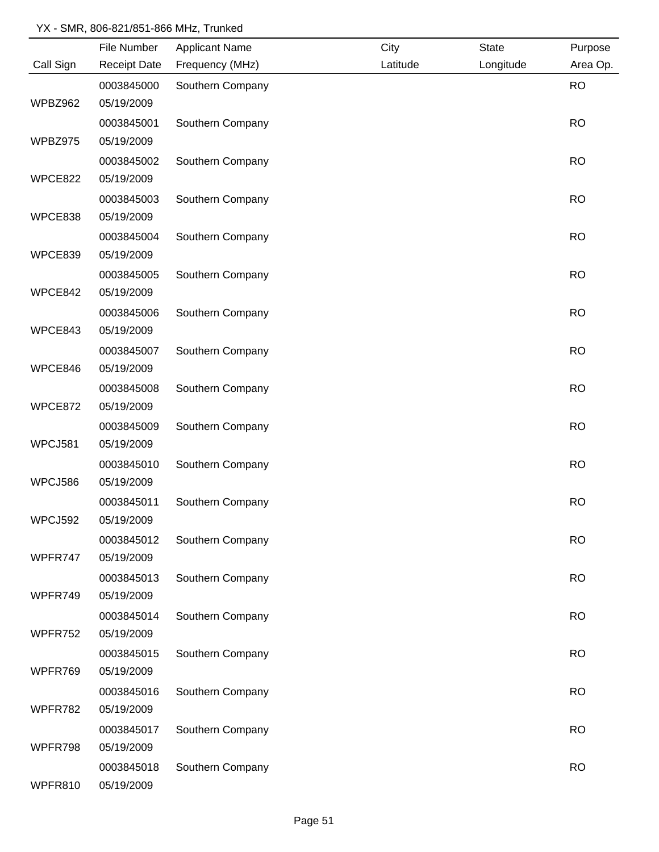|           | File Number         | <b>Applicant Name</b> | City     | <b>State</b> | Purpose   |
|-----------|---------------------|-----------------------|----------|--------------|-----------|
| Call Sign | <b>Receipt Date</b> | Frequency (MHz)       | Latitude | Longitude    | Area Op.  |
|           | 0003845000          | Southern Company      |          |              | <b>RO</b> |
| WPBZ962   | 05/19/2009          |                       |          |              |           |
|           | 0003845001          | Southern Company      |          |              | <b>RO</b> |
| WPBZ975   | 05/19/2009          |                       |          |              |           |
|           | 0003845002          | Southern Company      |          |              | <b>RO</b> |
| WPCE822   | 05/19/2009          |                       |          |              |           |
|           | 0003845003          | Southern Company      |          |              | <b>RO</b> |
| WPCE838   | 05/19/2009          |                       |          |              |           |
|           | 0003845004          | Southern Company      |          |              | <b>RO</b> |
| WPCE839   | 05/19/2009          |                       |          |              |           |
|           | 0003845005          | Southern Company      |          |              | <b>RO</b> |
| WPCE842   | 05/19/2009          |                       |          |              |           |
|           | 0003845006          | Southern Company      |          |              | <b>RO</b> |
| WPCE843   | 05/19/2009          |                       |          |              |           |
|           | 0003845007          | Southern Company      |          |              | <b>RO</b> |
| WPCE846   | 05/19/2009          |                       |          |              |           |
|           | 0003845008          | Southern Company      |          |              | <b>RO</b> |
| WPCE872   | 05/19/2009          |                       |          |              |           |
|           | 0003845009          | Southern Company      |          |              | <b>RO</b> |
| WPCJ581   | 05/19/2009          |                       |          |              |           |
|           | 0003845010          | Southern Company      |          |              | <b>RO</b> |
| WPCJ586   | 05/19/2009          |                       |          |              |           |
|           | 0003845011          | Southern Company      |          |              | <b>RO</b> |
| WPCJ592   | 05/19/2009          |                       |          |              |           |
|           | 0003845012          | Southern Company      |          |              | <b>RO</b> |
| WPFR747   | 05/19/2009          |                       |          |              |           |
|           | 0003845013          | Southern Company      |          |              | <b>RO</b> |
| WPFR749   | 05/19/2009          |                       |          |              |           |
|           | 0003845014          | Southern Company      |          |              | <b>RO</b> |
| WPFR752   | 05/19/2009          |                       |          |              |           |
|           | 0003845015          | Southern Company      |          |              | <b>RO</b> |
| WPFR769   | 05/19/2009          |                       |          |              |           |
|           | 0003845016          | Southern Company      |          |              | <b>RO</b> |
| WPFR782   | 05/19/2009          |                       |          |              |           |
|           | 0003845017          | Southern Company      |          |              | <b>RO</b> |
| WPFR798   | 05/19/2009          |                       |          |              |           |
|           | 0003845018          | Southern Company      |          |              | <b>RO</b> |
| WPFR810   | 05/19/2009          |                       |          |              |           |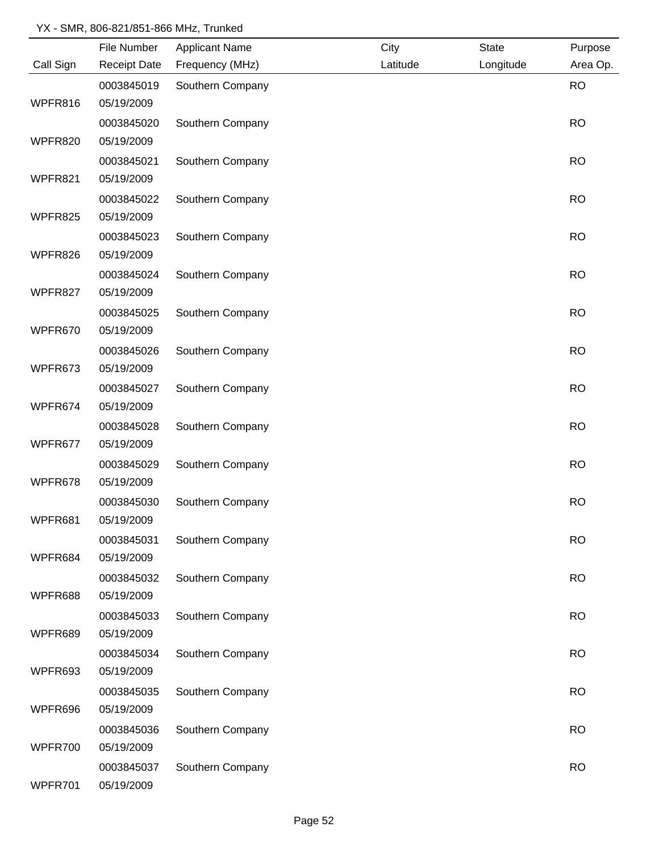|           | File Number         | <b>Applicant Name</b> | City     | <b>State</b> | Purpose   |
|-----------|---------------------|-----------------------|----------|--------------|-----------|
| Call Sign | <b>Receipt Date</b> | Frequency (MHz)       | Latitude | Longitude    | Area Op.  |
|           | 0003845019          | Southern Company      |          |              | <b>RO</b> |
| WPFR816   | 05/19/2009          |                       |          |              |           |
|           | 0003845020          | Southern Company      |          |              | <b>RO</b> |
| WPFR820   | 05/19/2009          |                       |          |              |           |
|           | 0003845021          | Southern Company      |          |              | <b>RO</b> |
| WPFR821   | 05/19/2009          |                       |          |              |           |
|           | 0003845022          | Southern Company      |          |              | <b>RO</b> |
| WPFR825   | 05/19/2009          |                       |          |              |           |
|           | 0003845023          | Southern Company      |          |              | <b>RO</b> |
| WPFR826   | 05/19/2009          |                       |          |              |           |
|           | 0003845024          | Southern Company      |          |              | <b>RO</b> |
| WPFR827   | 05/19/2009          |                       |          |              |           |
|           | 0003845025          | Southern Company      |          |              | <b>RO</b> |
| WPFR670   | 05/19/2009          |                       |          |              |           |
|           | 0003845026          | Southern Company      |          |              | <b>RO</b> |
| WPFR673   | 05/19/2009          |                       |          |              |           |
|           | 0003845027          | Southern Company      |          |              | <b>RO</b> |
| WPFR674   | 05/19/2009          |                       |          |              |           |
|           | 0003845028          | Southern Company      |          |              | <b>RO</b> |
| WPFR677   | 05/19/2009          |                       |          |              |           |
|           | 0003845029          | Southern Company      |          |              | <b>RO</b> |
| WPFR678   | 05/19/2009          |                       |          |              |           |
|           | 0003845030          | Southern Company      |          |              | <b>RO</b> |
| WPFR681   | 05/19/2009          |                       |          |              |           |
|           | 0003845031          | Southern Company      |          |              | <b>RO</b> |
| WPFR684   | 05/19/2009          |                       |          |              |           |
|           | 0003845032          | Southern Company      |          |              | <b>RO</b> |
| WPFR688   | 05/19/2009          |                       |          |              |           |
|           | 0003845033          | Southern Company      |          |              | <b>RO</b> |
| WPFR689   | 05/19/2009          |                       |          |              |           |
|           | 0003845034          | Southern Company      |          |              | <b>RO</b> |
| WPFR693   | 05/19/2009          |                       |          |              |           |
|           | 0003845035          | Southern Company      |          |              | <b>RO</b> |
| WPFR696   | 05/19/2009          |                       |          |              |           |
|           | 0003845036          | Southern Company      |          |              | <b>RO</b> |
| WPFR700   | 05/19/2009          |                       |          |              |           |
|           | 0003845037          | Southern Company      |          |              | <b>RO</b> |
| WPFR701   | 05/19/2009          |                       |          |              |           |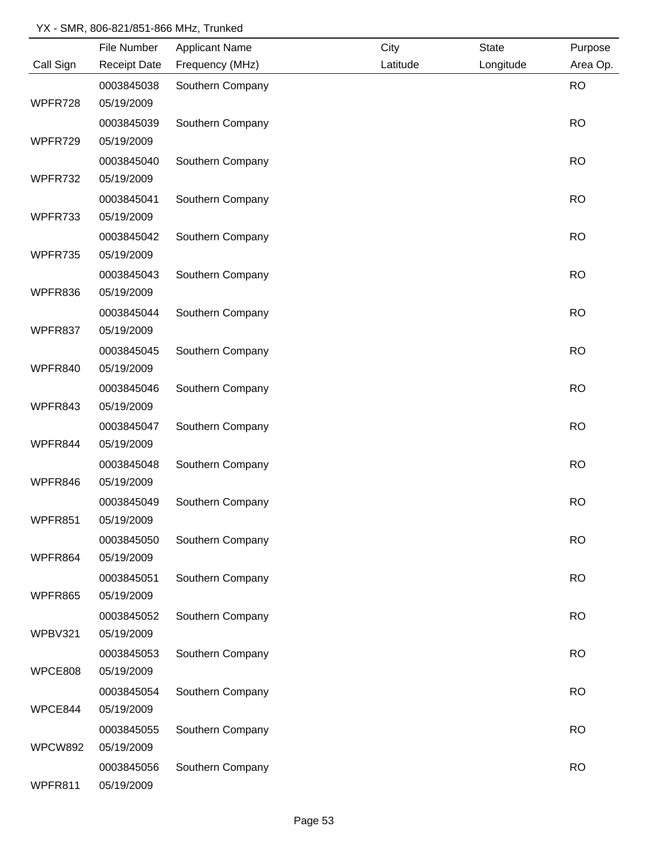|           | File Number         | <b>Applicant Name</b> | City     | <b>State</b> | Purpose   |
|-----------|---------------------|-----------------------|----------|--------------|-----------|
| Call Sign | <b>Receipt Date</b> | Frequency (MHz)       | Latitude | Longitude    | Area Op.  |
|           | 0003845038          | Southern Company      |          |              | <b>RO</b> |
| WPFR728   | 05/19/2009          |                       |          |              |           |
|           | 0003845039          | Southern Company      |          |              | <b>RO</b> |
| WPFR729   | 05/19/2009          |                       |          |              |           |
|           | 0003845040          | Southern Company      |          |              | <b>RO</b> |
| WPFR732   | 05/19/2009          |                       |          |              |           |
|           | 0003845041          | Southern Company      |          |              | <b>RO</b> |
| WPFR733   | 05/19/2009          |                       |          |              |           |
|           | 0003845042          | Southern Company      |          |              | <b>RO</b> |
| WPFR735   | 05/19/2009          |                       |          |              |           |
|           | 0003845043          | Southern Company      |          |              | <b>RO</b> |
| WPFR836   | 05/19/2009          |                       |          |              |           |
|           | 0003845044          | Southern Company      |          |              | <b>RO</b> |
| WPFR837   | 05/19/2009          |                       |          |              |           |
|           | 0003845045          | Southern Company      |          |              | <b>RO</b> |
| WPFR840   | 05/19/2009          |                       |          |              |           |
|           | 0003845046          | Southern Company      |          |              | <b>RO</b> |
| WPFR843   | 05/19/2009          |                       |          |              |           |
|           | 0003845047          | Southern Company      |          |              | <b>RO</b> |
| WPFR844   | 05/19/2009          |                       |          |              |           |
|           | 0003845048          | Southern Company      |          |              | <b>RO</b> |
| WPFR846   | 05/19/2009          |                       |          |              |           |
|           | 0003845049          | Southern Company      |          |              | <b>RO</b> |
| WPFR851   | 05/19/2009          |                       |          |              |           |
|           | 0003845050          | Southern Company      |          |              | <b>RO</b> |
| WPFR864   | 05/19/2009          |                       |          |              |           |
|           | 0003845051          | Southern Company      |          |              | <b>RO</b> |
| WPFR865   | 05/19/2009          |                       |          |              |           |
|           | 0003845052          | Southern Company      |          |              | <b>RO</b> |
| WPBV321   | 05/19/2009          |                       |          |              |           |
|           | 0003845053          | Southern Company      |          |              | <b>RO</b> |
| WPCE808   | 05/19/2009          |                       |          |              |           |
|           | 0003845054          | Southern Company      |          |              | <b>RO</b> |
| WPCE844   | 05/19/2009          |                       |          |              |           |
|           | 0003845055          | Southern Company      |          |              | <b>RO</b> |
| WPCW892   | 05/19/2009          |                       |          |              |           |
|           | 0003845056          | Southern Company      |          |              | <b>RO</b> |
| WPFR811   | 05/19/2009          |                       |          |              |           |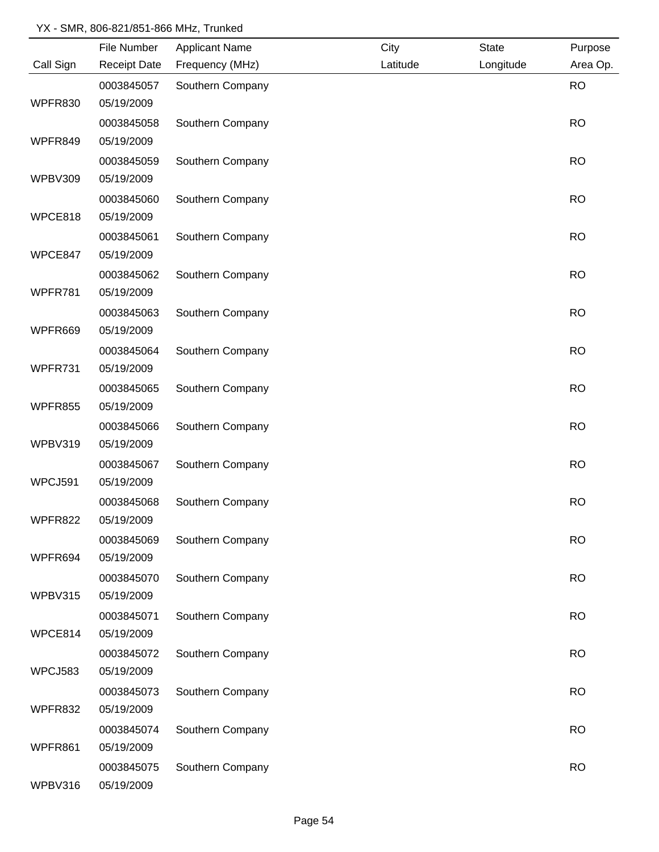|                | File Number         | <b>Applicant Name</b> | City     | <b>State</b> | Purpose   |
|----------------|---------------------|-----------------------|----------|--------------|-----------|
| Call Sign      | <b>Receipt Date</b> | Frequency (MHz)       | Latitude | Longitude    | Area Op.  |
|                | 0003845057          | Southern Company      |          |              | <b>RO</b> |
| WPFR830        | 05/19/2009          |                       |          |              |           |
|                | 0003845058          | Southern Company      |          |              | <b>RO</b> |
| WPFR849        | 05/19/2009          |                       |          |              |           |
|                | 0003845059          | Southern Company      |          |              | <b>RO</b> |
| <b>WPBV309</b> | 05/19/2009          |                       |          |              |           |
|                | 0003845060          | Southern Company      |          |              | <b>RO</b> |
| WPCE818        | 05/19/2009          |                       |          |              |           |
|                | 0003845061          | Southern Company      |          |              | <b>RO</b> |
| WPCE847        | 05/19/2009          |                       |          |              |           |
|                | 0003845062          | Southern Company      |          |              | <b>RO</b> |
| WPFR781        | 05/19/2009          |                       |          |              |           |
|                | 0003845063          | Southern Company      |          |              | <b>RO</b> |
| WPFR669        | 05/19/2009          |                       |          |              |           |
|                | 0003845064          | Southern Company      |          |              | <b>RO</b> |
| WPFR731        | 05/19/2009          |                       |          |              |           |
|                | 0003845065          | Southern Company      |          |              | <b>RO</b> |
| <b>WPFR855</b> | 05/19/2009          |                       |          |              |           |
|                | 0003845066          | Southern Company      |          |              | <b>RO</b> |
| WPBV319        | 05/19/2009          |                       |          |              |           |
|                | 0003845067          | Southern Company      |          |              | <b>RO</b> |
| WPCJ591        | 05/19/2009          |                       |          |              |           |
|                | 0003845068          | Southern Company      |          |              | <b>RO</b> |
| WPFR822        | 05/19/2009          |                       |          |              |           |
|                | 0003845069          | Southern Company      |          |              | <b>RO</b> |
| WPFR694        | 05/19/2009          |                       |          |              |           |
|                | 0003845070          | Southern Company      |          |              | <b>RO</b> |
| WPBV315        | 05/19/2009          |                       |          |              |           |
|                | 0003845071          | Southern Company      |          |              | <b>RO</b> |
| WPCE814        | 05/19/2009          |                       |          |              |           |
|                | 0003845072          | Southern Company      |          |              | <b>RO</b> |
| WPCJ583        | 05/19/2009          |                       |          |              |           |
|                | 0003845073          | Southern Company      |          |              | <b>RO</b> |
| WPFR832        | 05/19/2009          |                       |          |              |           |
|                | 0003845074          | Southern Company      |          |              | <b>RO</b> |
| WPFR861        | 05/19/2009          |                       |          |              |           |
|                | 0003845075          | Southern Company      |          |              | <b>RO</b> |
| WPBV316        | 05/19/2009          |                       |          |              |           |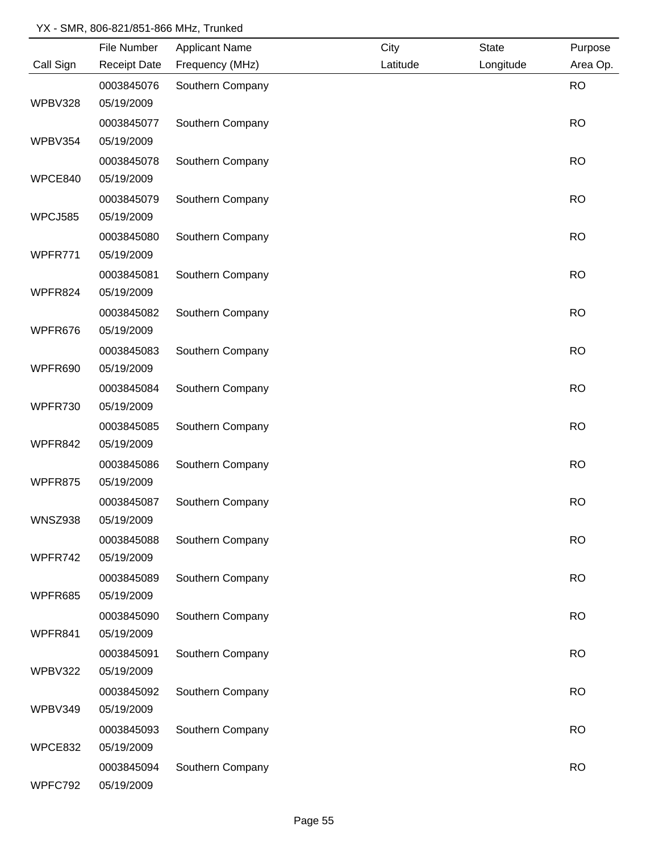|                | File Number         | <b>Applicant Name</b> | City     | <b>State</b> | Purpose   |
|----------------|---------------------|-----------------------|----------|--------------|-----------|
| Call Sign      | <b>Receipt Date</b> | Frequency (MHz)       | Latitude | Longitude    | Area Op.  |
|                | 0003845076          | Southern Company      |          |              | <b>RO</b> |
| WPBV328        | 05/19/2009          |                       |          |              |           |
|                | 0003845077          | Southern Company      |          |              | <b>RO</b> |
| WPBV354        | 05/19/2009          |                       |          |              |           |
|                | 0003845078          | Southern Company      |          |              | <b>RO</b> |
| WPCE840        | 05/19/2009          |                       |          |              |           |
|                | 0003845079          | Southern Company      |          |              | <b>RO</b> |
| WPCJ585        | 05/19/2009          |                       |          |              |           |
|                | 0003845080          | Southern Company      |          |              | <b>RO</b> |
| WPFR771        | 05/19/2009          |                       |          |              |           |
|                | 0003845081          | Southern Company      |          |              | <b>RO</b> |
| WPFR824        | 05/19/2009          |                       |          |              |           |
|                | 0003845082          | Southern Company      |          |              | <b>RO</b> |
| WPFR676        | 05/19/2009          |                       |          |              |           |
|                | 0003845083          | Southern Company      |          |              | <b>RO</b> |
| WPFR690        | 05/19/2009          |                       |          |              |           |
|                | 0003845084          | Southern Company      |          |              | <b>RO</b> |
| WPFR730        | 05/19/2009          |                       |          |              |           |
|                | 0003845085          | Southern Company      |          |              | <b>RO</b> |
| WPFR842        | 05/19/2009          |                       |          |              |           |
|                | 0003845086          | Southern Company      |          |              | <b>RO</b> |
| WPFR875        | 05/19/2009          |                       |          |              |           |
|                | 0003845087          | Southern Company      |          |              | <b>RO</b> |
| <b>WNSZ938</b> | 05/19/2009          |                       |          |              |           |
|                | 0003845088          | Southern Company      |          |              | <b>RO</b> |
| WPFR742        | 05/19/2009          |                       |          |              |           |
|                | 0003845089          | Southern Company      |          |              | <b>RO</b> |
| WPFR685        | 05/19/2009          |                       |          |              |           |
|                | 0003845090          | Southern Company      |          |              | <b>RO</b> |
| WPFR841        | 05/19/2009          |                       |          |              |           |
|                | 0003845091          | Southern Company      |          |              | <b>RO</b> |
| WPBV322        | 05/19/2009          |                       |          |              |           |
|                | 0003845092          | Southern Company      |          |              | <b>RO</b> |
| WPBV349        | 05/19/2009          |                       |          |              |           |
|                | 0003845093          | Southern Company      |          |              | <b>RO</b> |
| WPCE832        | 05/19/2009          |                       |          |              |           |
|                | 0003845094          | Southern Company      |          |              | <b>RO</b> |
| WPFC792        | 05/19/2009          |                       |          |              |           |